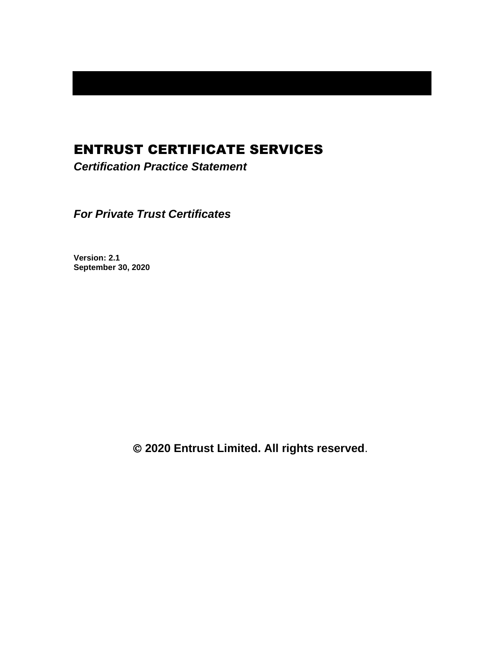# ENTRUST CERTIFICATE SERVICES

*Certification Practice Statement*

*For Private Trust Certificates*

**Version: 2.1 September 30, 2020**

© **2020 Entrust Limited. All rights reserved**.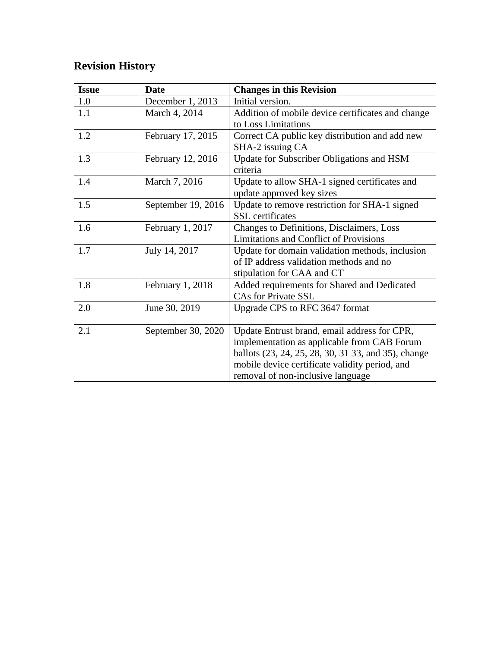# **Revision History**

| <b>Issue</b> | <b>Date</b>        | <b>Changes in this Revision</b>                     |
|--------------|--------------------|-----------------------------------------------------|
| 1.0          | December 1, 2013   | Initial version.                                    |
| 1.1          | March 4, 2014      | Addition of mobile device certificates and change   |
|              |                    | to Loss Limitations                                 |
| 1.2          | February 17, 2015  | Correct CA public key distribution and add new      |
|              |                    | SHA-2 issuing CA                                    |
| 1.3          | February 12, 2016  | Update for Subscriber Obligations and HSM           |
|              |                    | criteria                                            |
| 1.4          | March 7, 2016      | Update to allow SHA-1 signed certificates and       |
|              |                    | update approved key sizes                           |
| 1.5          | September 19, 2016 | Update to remove restriction for SHA-1 signed       |
|              |                    | <b>SSL</b> certificates                             |
| 1.6          | February 1, 2017   | Changes to Definitions, Disclaimers, Loss           |
|              |                    | <b>Limitations and Conflict of Provisions</b>       |
| 1.7          | July 14, 2017      | Update for domain validation methods, inclusion     |
|              |                    | of IP address validation methods and no             |
|              |                    | stipulation for CAA and CT                          |
| 1.8          | February 1, 2018   | Added requirements for Shared and Dedicated         |
|              |                    | <b>CAs for Private SSL</b>                          |
| 2.0          | June 30, 2019      | Upgrade CPS to RFC 3647 format                      |
|              |                    |                                                     |
| 2.1          | September 30, 2020 | Update Entrust brand, email address for CPR,        |
|              |                    | implementation as applicable from CAB Forum         |
|              |                    | ballots (23, 24, 25, 28, 30, 31 33, and 35), change |
|              |                    | mobile device certificate validity period, and      |
|              |                    | removal of non-inclusive language                   |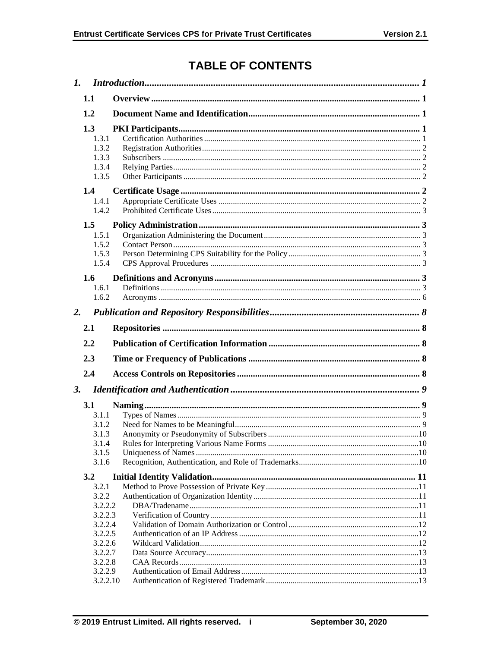## **TABLE OF CONTENTS**

|           | 1.1                                                       |  |
|-----------|-----------------------------------------------------------|--|
|           | 1.2                                                       |  |
|           | 1.3<br>1.3.1                                              |  |
|           | 1.3.2<br>1.3.3<br>1.3.4<br>1.3.5                          |  |
|           | 1.4<br>1.4.1<br>1.4.2                                     |  |
|           | 1.5<br>1.5.1<br>1.5.2<br>1.5.3<br>1.5.4                   |  |
|           | 1.6<br>1.6.1<br>1.6.2                                     |  |
| 2.        |                                                           |  |
|           | 2.1                                                       |  |
|           | 2.2                                                       |  |
|           |                                                           |  |
|           |                                                           |  |
|           | 2.3                                                       |  |
|           | 2.4                                                       |  |
| <b>3.</b> |                                                           |  |
|           | 3.1<br>3.1.1<br>3.1.2<br>3.1.3<br>3.1.4<br>3.1.5<br>3.1.6 |  |
|           | 3.2                                                       |  |
|           | 3.2.1<br>3.2.2<br>3.2.2.2<br>3.2.2.3                      |  |
|           | 3.2.2.4<br>3.2.2.5<br>3.2.2.6<br>3.2.2.7<br>3.2.2.8       |  |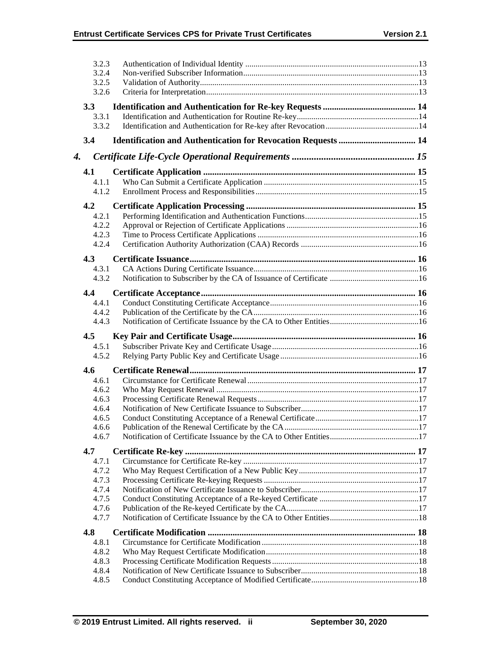|    | 3.2.3<br>3.2.4 |  |
|----|----------------|--|
|    | 3.2.5          |  |
|    | 3.2.6          |  |
|    |                |  |
|    | 3.3            |  |
|    | 3.3.1          |  |
|    | 3.3.2          |  |
|    | 3.4            |  |
| 4. |                |  |
|    | 4.1            |  |
|    | 4.1.1          |  |
|    | 4.1.2          |  |
|    |                |  |
|    | 4.2<br>4.2.1   |  |
|    | 4.2.2          |  |
|    | 4.2.3          |  |
|    | 4.2.4          |  |
|    |                |  |
|    | 4.3            |  |
|    | 4.3.1          |  |
|    | 4.3.2          |  |
|    | 4.4            |  |
|    | 4.4.1          |  |
|    | 4.4.2          |  |
|    | 4.4.3          |  |
|    |                |  |
|    | 4.5            |  |
|    | 4.5.1          |  |
|    | 4.5.2          |  |
|    |                |  |
|    | 4.6            |  |
|    | 4.6.1          |  |
|    | 4.6.2<br>4.6.3 |  |
|    | 4.6.4          |  |
|    | 4.6.5          |  |
|    | 4.6.6          |  |
|    | 4.6.7          |  |
|    |                |  |
|    | 4.7            |  |
|    | 4.7.1          |  |
|    | 4.7.2<br>4.7.3 |  |
|    | 4.7.4          |  |
|    | 4.7.5          |  |
|    | 4.7.6          |  |
|    | 4.7.7          |  |
|    | 4.8            |  |
|    | 4.8.1          |  |
|    | 4.8.2          |  |
|    | 4.8.3          |  |
|    | 4.8.4<br>4.8.5 |  |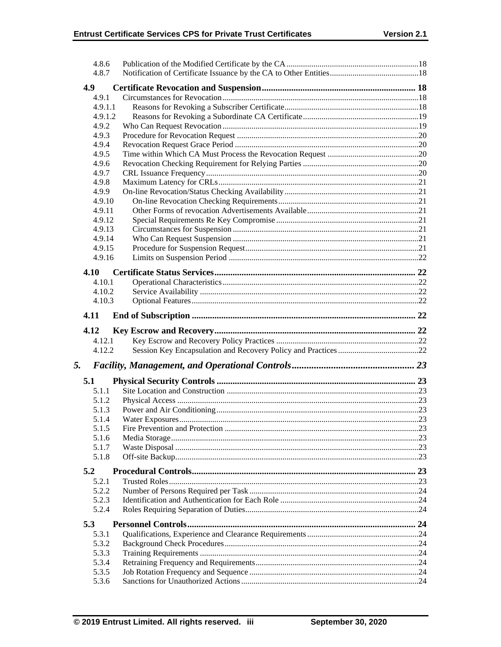|    | 4.8.6          |  |
|----|----------------|--|
|    | 4.8.7          |  |
|    | 4.9            |  |
|    | 4.9.1          |  |
|    | 4.9.1.1        |  |
|    | 4.9.1.2        |  |
|    | 4.9.2          |  |
|    | 4.9.3          |  |
|    | 4.9.4          |  |
|    | 4.9.5          |  |
|    | 4.9.6          |  |
|    | 4.9.7          |  |
|    | 4.9.8          |  |
|    | 4.9.9          |  |
|    | 4.9.10         |  |
|    | 4.9.11         |  |
|    | 4.9.12         |  |
|    | 4.9.13         |  |
|    | 4.9.14         |  |
|    | 4.9.15         |  |
|    | 4.9.16         |  |
|    |                |  |
|    | 4.10           |  |
|    | 4.10.1         |  |
|    | 4.10.2         |  |
|    | 4.10.3         |  |
|    | 4.11           |  |
|    | 4.12           |  |
|    |                |  |
|    | 4.12.1         |  |
|    | 4.12.2         |  |
|    |                |  |
| 5. |                |  |
|    | 5.1            |  |
|    | 5.1.1          |  |
|    | 5.1.2          |  |
|    | 5.1.3          |  |
|    | 5.1.4          |  |
|    | 5.1.5          |  |
|    | 5.1.6          |  |
|    | 5.1.7          |  |
|    | 5.1.8          |  |
|    | 5.2            |  |
|    | 5.2.1          |  |
|    | 5.2.2          |  |
|    | 5.2.3          |  |
|    | 5.2.4          |  |
|    | 5.3            |  |
|    | 5.3.1          |  |
|    | 5.3.2          |  |
|    | 5.3.3          |  |
|    |                |  |
|    | 5.3.4<br>5.3.5 |  |
|    | 5.3.6          |  |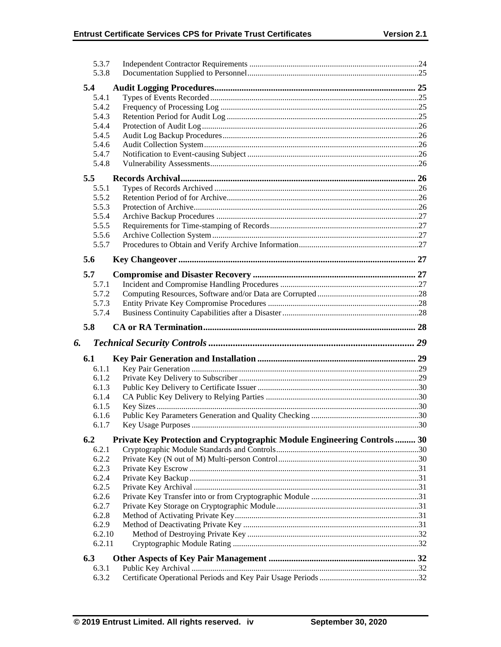|    | 5.3.7           |                                                                         |  |
|----|-----------------|-------------------------------------------------------------------------|--|
|    | 5.3.8           |                                                                         |  |
|    | 5.4             |                                                                         |  |
|    | 5.4.1           |                                                                         |  |
|    | 5.4.2           |                                                                         |  |
|    | 5.4.3           |                                                                         |  |
|    | 5.4.4           |                                                                         |  |
|    | 5.4.5           |                                                                         |  |
|    | 5.4.6           |                                                                         |  |
|    | 5.4.7           |                                                                         |  |
|    | 5.4.8           |                                                                         |  |
|    |                 |                                                                         |  |
|    | 5.5             |                                                                         |  |
|    | 5.5.1           |                                                                         |  |
|    | 5.5.2           |                                                                         |  |
|    | 5.5.3           |                                                                         |  |
|    | 5.5.4           |                                                                         |  |
|    | 5.5.5           |                                                                         |  |
|    | 5.5.6           |                                                                         |  |
|    | 5.5.7           |                                                                         |  |
|    | 5.6             |                                                                         |  |
|    | 5.7             |                                                                         |  |
|    | 5.7.1           |                                                                         |  |
|    | 5.7.2           |                                                                         |  |
|    | 5.7.3           |                                                                         |  |
|    | 5.7.4           |                                                                         |  |
|    |                 |                                                                         |  |
|    |                 |                                                                         |  |
|    | 5.8             |                                                                         |  |
| 6. |                 |                                                                         |  |
|    |                 |                                                                         |  |
|    | 6.1             |                                                                         |  |
|    | 6.1.1           |                                                                         |  |
|    | 6.1.2           |                                                                         |  |
|    | 6.1.3           |                                                                         |  |
|    | 6.1.4           |                                                                         |  |
|    | 6.1.5           |                                                                         |  |
|    | 6.1.6           |                                                                         |  |
|    | 6.1.7           |                                                                         |  |
|    | 6.2             | Private Key Protection and Cryptographic Module Engineering Controls 30 |  |
|    | 6.2.1           |                                                                         |  |
|    | 6.2.2           |                                                                         |  |
|    | 6.2.3           |                                                                         |  |
|    | 6.2.4           |                                                                         |  |
|    | 6.2.5           |                                                                         |  |
|    | 6.2.6           |                                                                         |  |
|    | 6.2.7           |                                                                         |  |
|    | 6.2.8           |                                                                         |  |
|    | 6.2.9<br>6.2.10 |                                                                         |  |
|    | 6.2.11          |                                                                         |  |
|    |                 |                                                                         |  |
|    | 6.3             |                                                                         |  |
|    | 6.3.1<br>6.3.2  |                                                                         |  |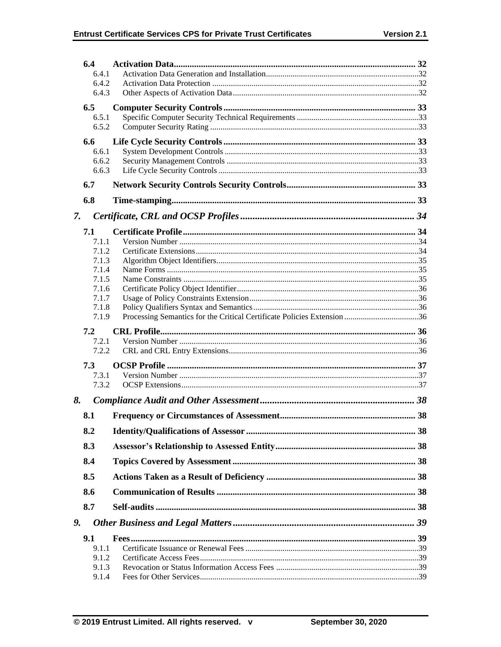|          | 6.4            |  |
|----------|----------------|--|
|          | 6.4.1          |  |
|          | 6.4.2          |  |
|          | 6.4.3          |  |
|          | 6.5            |  |
|          | 6.5.1          |  |
|          | 6.5.2          |  |
|          | 6.6            |  |
|          | 6.6.1          |  |
|          | 6.6.2          |  |
|          | 6.6.3          |  |
|          | 6.7            |  |
|          | 6.8            |  |
| 7.       |                |  |
|          | 7.1            |  |
|          | 7.1.1          |  |
|          | 7.1.2<br>7.1.3 |  |
|          | 7.1.4          |  |
|          | 7.1.5          |  |
|          | 7.1.6          |  |
|          | 7.1.7          |  |
|          | 7.1.8          |  |
|          | 7.1.9          |  |
|          | 7.2            |  |
|          |                |  |
|          | 7.2.1          |  |
|          | 7.2.2          |  |
|          | 7.3            |  |
|          | 7.3.1          |  |
|          | 7.3.2          |  |
|          |                |  |
|          | 8.1            |  |
|          | 8.2            |  |
|          | 8.3            |  |
|          | 8.4            |  |
|          | 8.5            |  |
|          | 8.6            |  |
|          | 8.7            |  |
|          |                |  |
|          | 9.1            |  |
|          | 9.1.1          |  |
|          | 9.1.2          |  |
| 8.<br>9. | 9.1.3<br>9.1.4 |  |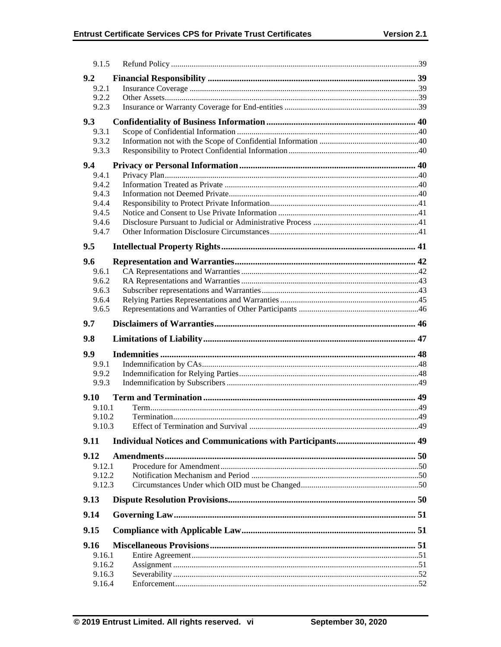| 9.1.5            |  |
|------------------|--|
| 9.2              |  |
| 9.2.1            |  |
| 9.2.2            |  |
| 9.2.3            |  |
| 9.3              |  |
| 9.3.1            |  |
| 9.3.2<br>9.3.3   |  |
|                  |  |
| 9.4              |  |
| 9.4.1<br>9.4.2   |  |
| 9.4.3            |  |
| 9.4.4            |  |
| 9.4.5            |  |
| 9.4.6            |  |
| 9.4.7            |  |
| 9.5              |  |
| 9.6              |  |
| 9.6.1            |  |
| 9.6.2            |  |
| 9.6.3<br>9.6.4   |  |
| 9.6.5            |  |
| 9.7              |  |
|                  |  |
| 9.8              |  |
| 9.9              |  |
| 9.9.1            |  |
| 9.9.2<br>9.9.3   |  |
|                  |  |
| 9.10             |  |
| 9.10.1<br>9.10.2 |  |
| 9.10.3           |  |
| 9.11             |  |
|                  |  |
| 9.12             |  |
| 9.12.1<br>9.12.2 |  |
| 9.12.3           |  |
| 9.13             |  |
|                  |  |
|                  |  |
| 9.14             |  |
| 9.15             |  |
| 9.16             |  |
| 9.16.1           |  |
| 9.16.2           |  |
| 9.16.3<br>9.16.4 |  |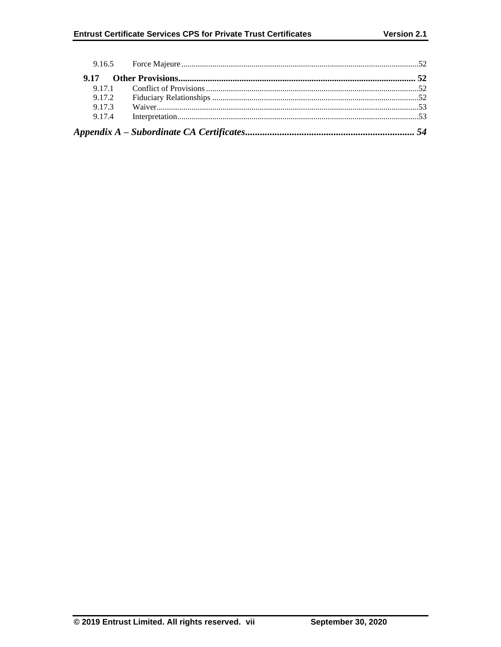| 9.17   |  |
|--------|--|
|        |  |
| 9.17.2 |  |
| 9.17.3 |  |
| 9.17.4 |  |
|        |  |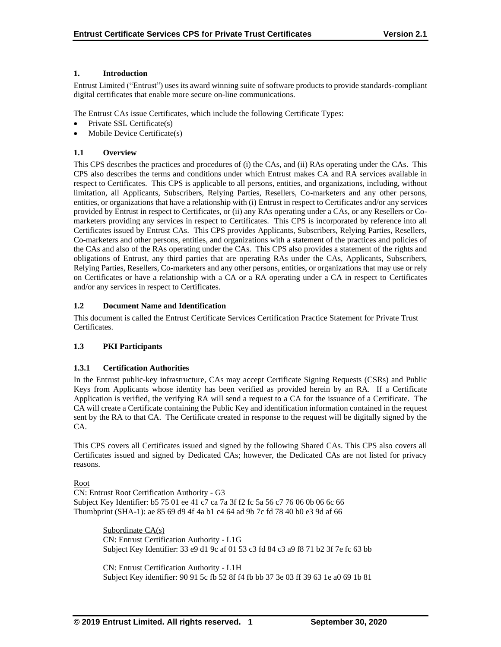## **1. Introduction**

Entrust Limited ("Entrust") uses its award winning suite of software products to provide standards-compliant digital certificates that enable more secure on-line communications.

The Entrust CAs issue Certificates, which include the following Certificate Types:

- Private SSL Certificate(s)
- Mobile Device Certificate(s)

## **1.1 Overview**

This CPS describes the practices and procedures of (i) the CAs, and (ii) RAs operating under the CAs. This CPS also describes the terms and conditions under which Entrust makes CA and RA services available in respect to Certificates. This CPS is applicable to all persons, entities, and organizations, including, without limitation, all Applicants, Subscribers, Relying Parties, Resellers, Co-marketers and any other persons, entities, or organizations that have a relationship with (i) Entrust in respect to Certificates and/or any services provided by Entrust in respect to Certificates, or (ii) any RAs operating under a CAs, or any Resellers or Comarketers providing any services in respect to Certificates. This CPS is incorporated by reference into all Certificates issued by Entrust CAs. This CPS provides Applicants, Subscribers, Relying Parties, Resellers, Co-marketers and other persons, entities, and organizations with a statement of the practices and policies of the CAs and also of the RAs operating under the CAs. This CPS also provides a statement of the rights and obligations of Entrust, any third parties that are operating RAs under the CAs, Applicants, Subscribers, Relying Parties, Resellers, Co-marketers and any other persons, entities, or organizations that may use or rely on Certificates or have a relationship with a CA or a RA operating under a CA in respect to Certificates and/or any services in respect to Certificates.

## **1.2 Document Name and Identification**

This document is called the Entrust Certificate Services Certification Practice Statement for Private Trust Certificates.

## **1.3 PKI Participants**

## **1.3.1 Certification Authorities**

In the Entrust public-key infrastructure, CAs may accept Certificate Signing Requests (CSRs) and Public Keys from Applicants whose identity has been verified as provided herein by an RA. If a Certificate Application is verified, the verifying RA will send a request to a CA for the issuance of a Certificate. The CA will create a Certificate containing the Public Key and identification information contained in the request sent by the RA to that CA. The Certificate created in response to the request will be digitally signed by the CA.

This CPS covers all Certificates issued and signed by the following Shared CAs. This CPS also covers all Certificates issued and signed by Dedicated CAs; however, the Dedicated CAs are not listed for privacy reasons.

## Root

CN: Entrust Root Certification Authority - G3 Subject Key Identifier: b5 75 01 ee 41 c7 ca 7a 3f f2 fc 5a 56 c7 76 06 0b 06 6c 66 Thumbprint (SHA-1): ae 85 69 d9 4f 4a b1 c4 64 ad 9b 7c fd 78 40 b0 e3 9d af 66

> Subordinate CA(s) CN: Entrust Certification Authority - L1G Subject Key Identifier: 33 e9 d1 9c af 01 53 c3 fd 84 c3 a9 f8 71 b2 3f 7e fc 63 bb

> CN: Entrust Certification Authority - L1H Subject Key identifier: 90 91 5c fb 52 8f f4 fb bb 37 3e 03 ff 39 63 1e a0 69 1b 81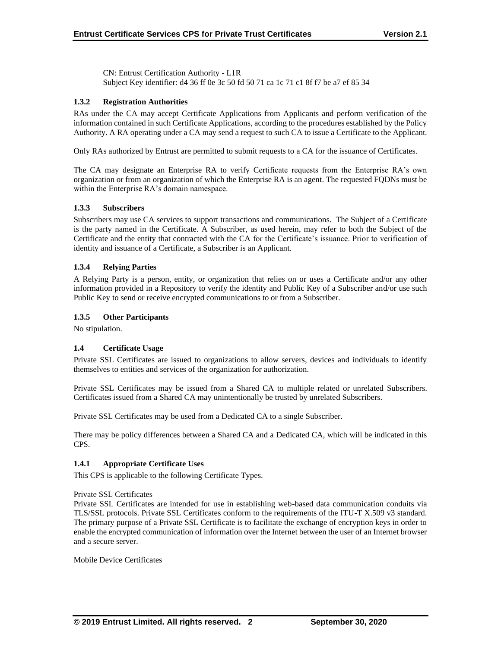CN: Entrust Certification Authority - L1R Subject Key identifier: d4 36 ff 0e 3c 50 fd 50 71 ca 1c 71 c1 8f f7 be a7 ef 85 34

## **1.3.2 Registration Authorities**

RAs under the CA may accept Certificate Applications from Applicants and perform verification of the information contained in such Certificate Applications, according to the procedures established by the Policy Authority. A RA operating under a CA may send a request to such CA to issue a Certificate to the Applicant.

Only RAs authorized by Entrust are permitted to submit requests to a CA for the issuance of Certificates.

The CA may designate an Enterprise RA to verify Certificate requests from the Enterprise RA's own organization or from an organization of which the Enterprise RA is an agent. The requested FQDNs must be within the Enterprise RA's domain namespace.

#### **1.3.3 Subscribers**

Subscribers may use CA services to support transactions and communications. The Subject of a Certificate is the party named in the Certificate. A Subscriber, as used herein, may refer to both the Subject of the Certificate and the entity that contracted with the CA for the Certificate's issuance. Prior to verification of identity and issuance of a Certificate, a Subscriber is an Applicant.

## **1.3.4 Relying Parties**

A Relying Party is a person, entity, or organization that relies on or uses a Certificate and/or any other information provided in a Repository to verify the identity and Public Key of a Subscriber and/or use such Public Key to send or receive encrypted communications to or from a Subscriber.

## **1.3.5 Other Participants**

No stipulation.

## **1.4 Certificate Usage**

Private SSL Certificates are issued to organizations to allow servers, devices and individuals to identify themselves to entities and services of the organization for authorization.

Private SSL Certificates may be issued from a Shared CA to multiple related or unrelated Subscribers. Certificates issued from a Shared CA may unintentionally be trusted by unrelated Subscribers.

Private SSL Certificates may be used from a Dedicated CA to a single Subscriber.

There may be policy differences between a Shared CA and a Dedicated CA, which will be indicated in this CPS.

## **1.4.1 Appropriate Certificate Uses**

This CPS is applicable to the following Certificate Types.

#### Private SSL Certificates

Private SSL Certificates are intended for use in establishing web-based data communication conduits via TLS/SSL protocols. Private SSL Certificates conform to the requirements of the ITU-T X.509 v3 standard. The primary purpose of a Private SSL Certificate is to facilitate the exchange of encryption keys in order to enable the encrypted communication of information over the Internet between the user of an Internet browser and a secure server.

#### Mobile Device Certificates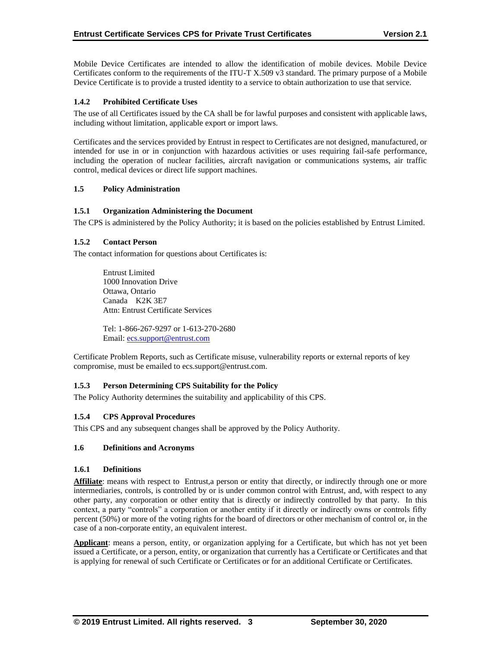Mobile Device Certificates are intended to allow the identification of mobile devices. Mobile Device Certificates conform to the requirements of the ITU-T X.509 v3 standard. The primary purpose of a Mobile Device Certificate is to provide a trusted identity to a service to obtain authorization to use that service.

## **1.4.2 Prohibited Certificate Uses**

The use of all Certificates issued by the CA shall be for lawful purposes and consistent with applicable laws, including without limitation, applicable export or import laws.

Certificates and the services provided by Entrust in respect to Certificates are not designed, manufactured, or intended for use in or in conjunction with hazardous activities or uses requiring fail-safe performance, including the operation of nuclear facilities, aircraft navigation or communications systems, air traffic control, medical devices or direct life support machines.

## **1.5 Policy Administration**

## **1.5.1 Organization Administering the Document**

The CPS is administered by the Policy Authority; it is based on the policies established by Entrust Limited.

## **1.5.2 Contact Person**

The contact information for questions about Certificates is:

Entrust Limited 1000 Innovation Drive Ottawa, Ontario Canada K2K 3E7 Attn: Entrust Certificate Services

Tel: 1-866-267-9297 or 1-613-270-2680 Email: [ecs.support@entrust.com](mailto:ecs.support@entrust.com)

Certificate Problem Reports, such as Certificate misuse, vulnerability reports or external reports of key compromise, must be emailed to ecs.support@entrust.com.

## **1.5.3 Person Determining CPS Suitability for the Policy**

The Policy Authority determines the suitability and applicability of this CPS.

## **1.5.4 CPS Approval Procedures**

This CPS and any subsequent changes shall be approved by the Policy Authority.

## **1.6 Definitions and Acronyms**

#### **1.6.1 Definitions**

Affiliate: means with respect to Entrust,a person or entity that directly, or indirectly through one or more intermediaries, controls, is controlled by or is under common control with Entrust, and, with respect to any other party, any corporation or other entity that is directly or indirectly controlled by that party. In this context, a party "controls" a corporation or another entity if it directly or indirectly owns or controls fifty percent (50%) or more of the voting rights for the board of directors or other mechanism of control or, in the case of a non-corporate entity, an equivalent interest.

**Applicant**: means a person, entity, or organization applying for a Certificate, but which has not yet been issued a Certificate, or a person, entity, or organization that currently has a Certificate or Certificates and that is applying for renewal of such Certificate or Certificates or for an additional Certificate or Certificates.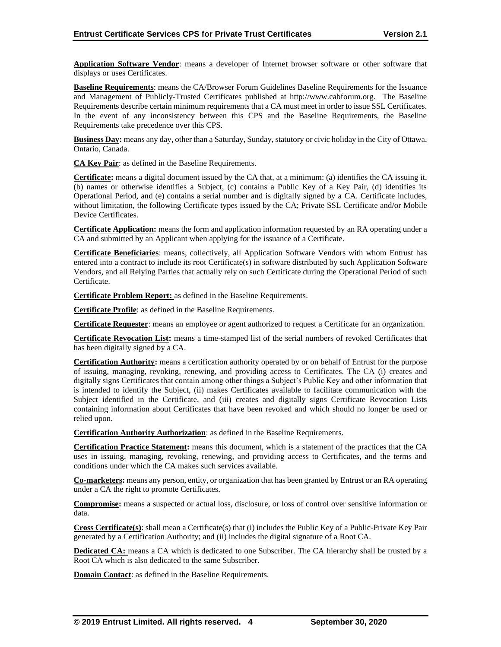**Application Software Vendor**: means a developer of Internet browser software or other software that displays or uses Certificates.

**Baseline Requirements**: means the CA/Browser Forum Guidelines Baseline Requirements for the Issuance and Management of Publicly-Trusted Certificates published at http://www.cabforum.org. The Baseline Requirements describe certain minimum requirements that a CA must meet in order to issue SSL Certificates. In the event of any inconsistency between this CPS and the Baseline Requirements, the Baseline Requirements take precedence over this CPS.

**Business Day:** means any day, other than a Saturday, Sunday, statutory or civic holiday in the City of Ottawa, Ontario, Canada.

**CA Key Pair**: as defined in the Baseline Requirements.

**Certificate:** means a digital document issued by the CA that, at a minimum: (a) identifies the CA issuing it, (b) names or otherwise identifies a Subject, (c) contains a Public Key of a Key Pair, (d) identifies its Operational Period, and (e) contains a serial number and is digitally signed by a CA. Certificate includes, without limitation, the following Certificate types issued by the CA; Private SSL Certificate and/or Mobile Device Certificates.

**Certificate Application:** means the form and application information requested by an RA operating under a CA and submitted by an Applicant when applying for the issuance of a Certificate.

**Certificate Beneficiaries**: means, collectively, all Application Software Vendors with whom Entrust has entered into a contract to include its root Certificate(s) in software distributed by such Application Software Vendors, and all Relying Parties that actually rely on such Certificate during the Operational Period of such Certificate.

**Certificate Problem Report:** as defined in the Baseline Requirements.

**Certificate Profile**: as defined in the Baseline Requirements.

**Certificate Requester**: means an employee or agent authorized to request a Certificate for an organization.

**Certificate Revocation List:** means a time-stamped list of the serial numbers of revoked Certificates that has been digitally signed by a CA.

**Certification Authority:** means a certification authority operated by or on behalf of Entrust for the purpose of issuing, managing, revoking, renewing, and providing access to Certificates. The CA (i) creates and digitally signs Certificates that contain among other things a Subject's Public Key and other information that is intended to identify the Subject, (ii) makes Certificates available to facilitate communication with the Subject identified in the Certificate, and (iii) creates and digitally signs Certificate Revocation Lists containing information about Certificates that have been revoked and which should no longer be used or relied upon.

**Certification Authority Authorization**: as defined in the Baseline Requirements.

**Certification Practice Statement:** means this document, which is a statement of the practices that the CA uses in issuing, managing, revoking, renewing, and providing access to Certificates, and the terms and conditions under which the CA makes such services available.

**Co-marketers:** means any person, entity, or organization that has been granted by Entrust or an RA operating under a CA the right to promote Certificates.

**Compromise:** means a suspected or actual loss, disclosure, or loss of control over sensitive information or data.

**Cross Certificate(s)**: shall mean a Certificate(s) that (i) includes the Public Key of a Public-Private Key Pair generated by a Certification Authority; and (ii) includes the digital signature of a Root CA.

**Dedicated CA:** means a CA which is dedicated to one Subscriber. The CA hierarchy shall be trusted by a Root CA which is also dedicated to the same Subscriber.

**Domain Contact:** as defined in the Baseline Requirements.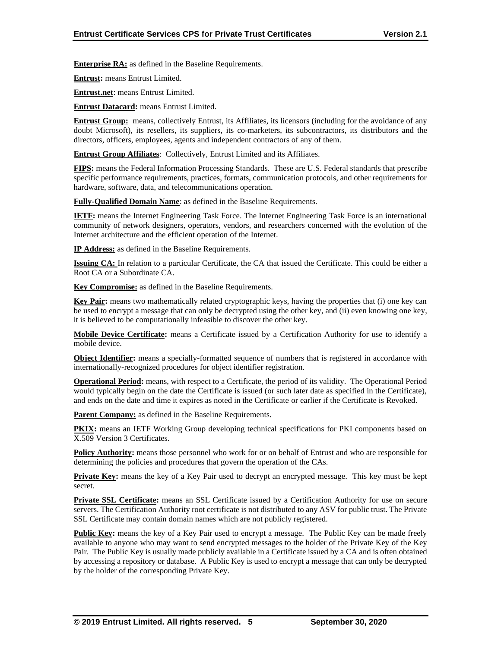**Enterprise RA:** as defined in the Baseline Requirements.

**Entrust:** means Entrust Limited.

**Entrust.net**: means Entrust Limited.

**Entrust Datacard:** means Entrust Limited.

**Entrust Group:** means, collectively Entrust, its Affiliates, its licensors (including for the avoidance of any doubt Microsoft), its resellers, its suppliers, its co-marketers, its subcontractors, its distributors and the directors, officers, employees, agents and independent contractors of any of them.

**Entrust Group Affiliates**: Collectively, Entrust Limited and its Affiliates.

**FIPS:** means the Federal Information Processing Standards. These are U.S. Federal standards that prescribe specific performance requirements, practices, formats, communication protocols, and other requirements for hardware, software, data, and telecommunications operation.

**Fully-Qualified Domain Name**: as defined in the Baseline Requirements.

**IETF:** means the Internet Engineering Task Force. The Internet Engineering Task Force is an international community of network designers, operators, vendors, and researchers concerned with the evolution of the Internet architecture and the efficient operation of the Internet.

**IP Address:** as defined in the Baseline Requirements.

**Issuing CA:** In relation to a particular Certificate, the CA that issued the Certificate. This could be either a Root CA or a Subordinate CA.

**Key Compromise:** as defined in the Baseline Requirements.

**Key Pair:** means two mathematically related cryptographic keys, having the properties that (i) one key can be used to encrypt a message that can only be decrypted using the other key, and (ii) even knowing one key, it is believed to be computationally infeasible to discover the other key.

**Mobile Device Certificate:** means a Certificate issued by a Certification Authority for use to identify a mobile device.

**Object Identifier:** means a specially-formatted sequence of numbers that is registered in accordance with internationally-recognized procedures for object identifier registration.

**Operational Period:** means, with respect to a Certificate, the period of its validity. The Operational Period would typically begin on the date the Certificate is issued (or such later date as specified in the Certificate), and ends on the date and time it expires as noted in the Certificate or earlier if the Certificate is Revoked.

**Parent Company:** as defined in the Baseline Requirements.

**PKIX:** means an IETF Working Group developing technical specifications for PKI components based on X.509 Version 3 Certificates.

**Policy Authority:** means those personnel who work for or on behalf of Entrust and who are responsible for determining the policies and procedures that govern the operation of the CAs.

**Private Key:** means the key of a Key Pair used to decrypt an encrypted message. This key must be kept secret.

**Private SSL Certificate:** means an SSL Certificate issued by a Certification Authority for use on secure servers. The Certification Authority root certificate is not distributed to any ASV for public trust. The Private SSL Certificate may contain domain names which are not publicly registered.

**Public Key:** means the key of a Key Pair used to encrypt a message. The Public Key can be made freely available to anyone who may want to send encrypted messages to the holder of the Private Key of the Key Pair. The Public Key is usually made publicly available in a Certificate issued by a CA and is often obtained by accessing a repository or database. A Public Key is used to encrypt a message that can only be decrypted by the holder of the corresponding Private Key.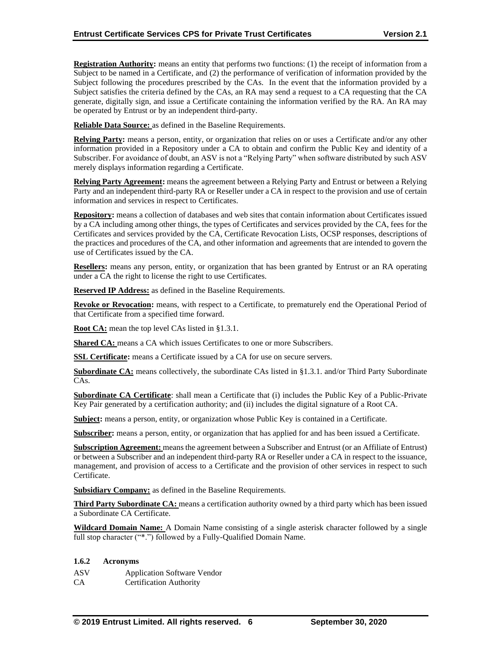**Registration Authority:** means an entity that performs two functions: (1) the receipt of information from a Subject to be named in a Certificate, and (2) the performance of verification of information provided by the Subject following the procedures prescribed by the CAs. In the event that the information provided by a Subject satisfies the criteria defined by the CAs, an RA may send a request to a CA requesting that the CA generate, digitally sign, and issue a Certificate containing the information verified by the RA. An RA may be operated by Entrust or by an independent third-party.

**Reliable Data Source:** as defined in the Baseline Requirements.

**Relying Party:** means a person, entity, or organization that relies on or uses a Certificate and/or any other information provided in a Repository under a CA to obtain and confirm the Public Key and identity of a Subscriber. For avoidance of doubt, an ASV is not a "Relying Party" when software distributed by such ASV merely displays information regarding a Certificate.

**Relying Party Agreement:** means the agreement between a Relying Party and Entrust or between a Relying Party and an independent third-party RA or Reseller under a CA in respect to the provision and use of certain information and services in respect to Certificates.

**Repository:** means a collection of databases and web sites that contain information about Certificates issued by a CA including among other things, the types of Certificates and services provided by the CA, fees for the Certificates and services provided by the CA, Certificate Revocation Lists, OCSP responses, descriptions of the practices and procedures of the CA, and other information and agreements that are intended to govern the use of Certificates issued by the CA.

**Resellers:** means any person, entity, or organization that has been granted by Entrust or an RA operating under a CA the right to license the right to use Certificates.

**Reserved IP Address:** as defined in the Baseline Requirements.

**Revoke or Revocation:** means, with respect to a Certificate, to prematurely end the Operational Period of that Certificate from a specified time forward.

**Root CA:** mean the top level CAs listed in §1.3.1.

**Shared CA:** means a CA which issues Certificates to one or more Subscribers.

**SSL Certificate:** means a Certificate issued by a CA for use on secure servers.

**Subordinate CA:** means collectively, the subordinate CAs listed in §1.3.1. and/or Third Party Subordinate CAs.

**Subordinate CA Certificate**: shall mean a Certificate that (i) includes the Public Key of a Public-Private Key Pair generated by a certification authority; and (ii) includes the digital signature of a Root CA.

**Subject:** means a person, entity, or organization whose Public Key is contained in a Certificate.

**Subscriber:** means a person, entity, or organization that has applied for and has been issued a Certificate.

**Subscription Agreement:** means the agreement between a Subscriber and Entrust (or an Affiliate of Entrust) or between a Subscriber and an independent third-party RA or Reseller under a CA in respect to the issuance, management, and provision of access to a Certificate and the provision of other services in respect to such Certificate.

**Subsidiary Company:** as defined in the Baseline Requirements.

**Third Party Subordinate CA:** means a certification authority owned by a third party which has been issued a Subordinate CA Certificate.

**Wildcard Domain Name:** A Domain Name consisting of a single asterisk character followed by a single full stop character ("\*.") followed by a Fully-Qualified Domain Name.

#### **1.6.2 Acronyms**

ASV Application Software Vendor

CA Certification Authority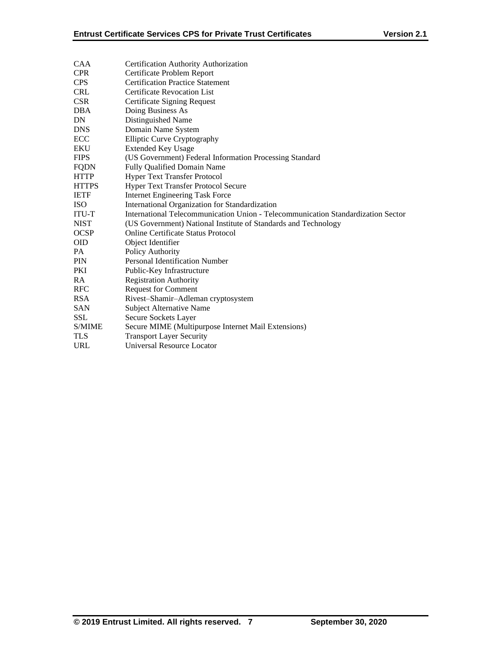| <b>CAA</b>   | Certification Authority Authorization                                            |
|--------------|----------------------------------------------------------------------------------|
| <b>CPR</b>   | Certificate Problem Report                                                       |
| <b>CPS</b>   | <b>Certification Practice Statement</b>                                          |
| <b>CRL</b>   | <b>Certificate Revocation List</b>                                               |
| <b>CSR</b>   | Certificate Signing Request                                                      |
| <b>DBA</b>   | Doing Business As                                                                |
| DN           | Distinguished Name                                                               |
| <b>DNS</b>   | Domain Name System                                                               |
| ECC          | <b>Elliptic Curve Cryptography</b>                                               |
| <b>EKU</b>   | <b>Extended Key Usage</b>                                                        |
| <b>FIPS</b>  | (US Government) Federal Information Processing Standard                          |
| <b>FQDN</b>  | <b>Fully Qualified Domain Name</b>                                               |
| <b>HTTP</b>  | Hyper Text Transfer Protocol                                                     |
| <b>HTTPS</b> | <b>Hyper Text Transfer Protocol Secure</b>                                       |
| <b>IETF</b>  | <b>Internet Engineering Task Force</b>                                           |
| <b>ISO</b>   | International Organization for Standardization                                   |
| ITU-T        | International Telecommunication Union - Telecommunication Standardization Sector |
| <b>NIST</b>  | (US Government) National Institute of Standards and Technology                   |
| <b>OCSP</b>  | <b>Online Certificate Status Protocol</b>                                        |
| <b>OID</b>   | Object Identifier                                                                |
| PA           | Policy Authority                                                                 |
| PIN          | <b>Personal Identification Number</b>                                            |
| <b>PKI</b>   | Public-Key Infrastructure                                                        |
| RA           | <b>Registration Authority</b>                                                    |
| <b>RFC</b>   | <b>Request for Comment</b>                                                       |
| <b>RSA</b>   | Rivest-Shamir-Adleman cryptosystem                                               |
| <b>SAN</b>   | <b>Subject Alternative Name</b>                                                  |
| <b>SSL</b>   | Secure Sockets Layer                                                             |
| S/MIME       | Secure MIME (Multipurpose Internet Mail Extensions)                              |
| <b>TLS</b>   | <b>Transport Layer Security</b>                                                  |
| <b>URL</b>   | Universal Resource Locator                                                       |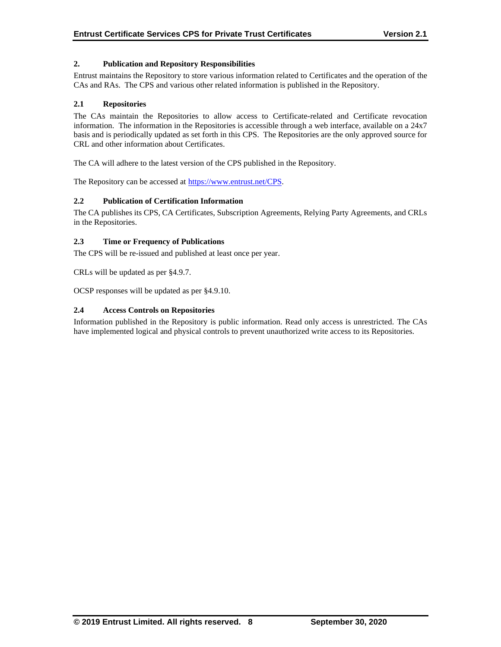## **2. Publication and Repository Responsibilities**

Entrust maintains the Repository to store various information related to Certificates and the operation of the CAs and RAs. The CPS and various other related information is published in the Repository.

#### **2.1 Repositories**

The CAs maintain the Repositories to allow access to Certificate-related and Certificate revocation information. The information in the Repositories is accessible through a web interface, available on a 24x7 basis and is periodically updated as set forth in this CPS. The Repositories are the only approved source for CRL and other information about Certificates.

The CA will adhere to the latest version of the CPS published in the Repository.

The Repository can be accessed at [https://www.entrust.net/CPS.](https://www.entrust.net/CPS)

## **2.2 Publication of Certification Information**

The CA publishes its CPS, CA Certificates, Subscription Agreements, Relying Party Agreements, and CRLs in the Repositories.

## **2.3 Time or Frequency of Publications**

The CPS will be re-issued and published at least once per year.

CRLs will be updated as per §4.9.7.

OCSP responses will be updated as per §4.9.10.

## **2.4 Access Controls on Repositories**

Information published in the Repository is public information. Read only access is unrestricted. The CAs have implemented logical and physical controls to prevent unauthorized write access to its Repositories.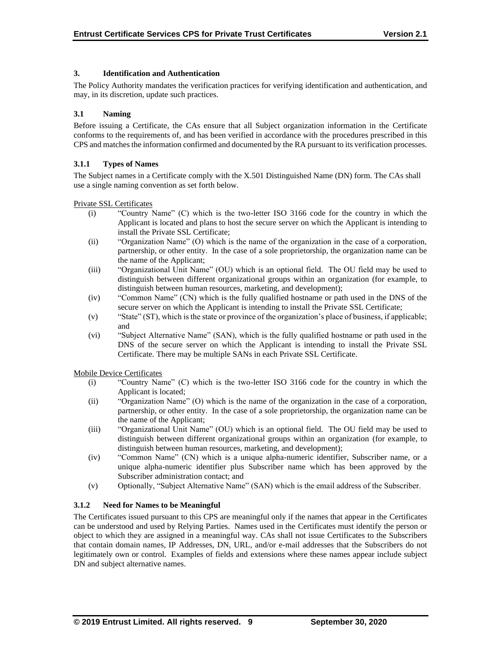## **3. Identification and Authentication**

The Policy Authority mandates the verification practices for verifying identification and authentication, and may, in its discretion, update such practices.

## **3.1 Naming**

Before issuing a Certificate, the CAs ensure that all Subject organization information in the Certificate conforms to the requirements of, and has been verified in accordance with the procedures prescribed in this CPS and matches the information confirmed and documented by the RA pursuant to its verification processes.

## **3.1.1 Types of Names**

The Subject names in a Certificate comply with the X.501 Distinguished Name (DN) form. The CAs shall use a single naming convention as set forth below.

Private SSL Certificates

- (i) "Country Name" (C) which is the two-letter ISO 3166 code for the country in which the Applicant is located and plans to host the secure server on which the Applicant is intending to install the Private SSL Certificate;
- (ii) "Organization Name" (O) which is the name of the organization in the case of a corporation, partnership, or other entity. In the case of a sole proprietorship, the organization name can be the name of the Applicant;
- (iii) "Organizational Unit Name" (OU) which is an optional field. The OU field may be used to distinguish between different organizational groups within an organization (for example, to distinguish between human resources, marketing, and development);
- (iv) "Common Name" (CN) which is the fully qualified hostname or path used in the DNS of the secure server on which the Applicant is intending to install the Private SSL Certificate;
- (v) "State" (ST), which is the state or province of the organization's place of business, if applicable; and
- (vi) "Subject Alternative Name" (SAN), which is the fully qualified hostname or path used in the DNS of the secure server on which the Applicant is intending to install the Private SSL Certificate. There may be multiple SANs in each Private SSL Certificate.

Mobile Device Certificates

- (i) "Country Name" (C) which is the two-letter ISO 3166 code for the country in which the Applicant is located;
- (ii) "Organization Name" (O) which is the name of the organization in the case of a corporation, partnership, or other entity. In the case of a sole proprietorship, the organization name can be the name of the Applicant;
- (iii) "Organizational Unit Name" (OU) which is an optional field. The OU field may be used to distinguish between different organizational groups within an organization (for example, to distinguish between human resources, marketing, and development);
- (iv) "Common Name" (CN) which is a unique alpha-numeric identifier, Subscriber name, or a unique alpha-numeric identifier plus Subscriber name which has been approved by the Subscriber administration contact; and
- (v) Optionally, "Subject Alternative Name" (SAN) which is the email address of the Subscriber.

## **3.1.2 Need for Names to be Meaningful**

The Certificates issued pursuant to this CPS are meaningful only if the names that appear in the Certificates can be understood and used by Relying Parties. Names used in the Certificates must identify the person or object to which they are assigned in a meaningful way. CAs shall not issue Certificates to the Subscribers that contain domain names, IP Addresses, DN, URL, and/or e-mail addresses that the Subscribers do not legitimately own or control. Examples of fields and extensions where these names appear include subject DN and subject alternative names.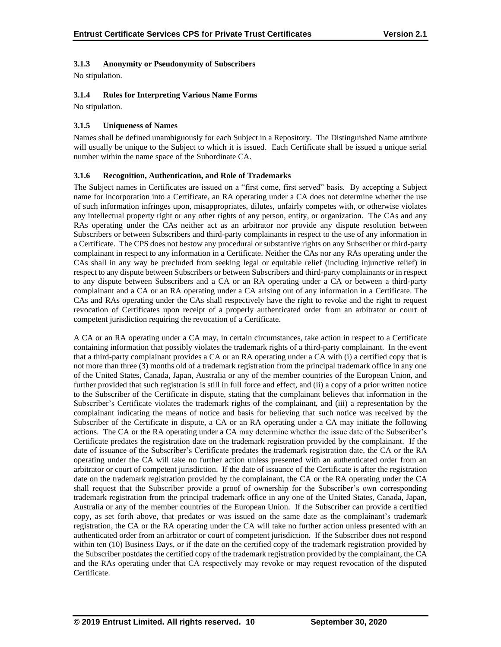## **3.1.3 Anonymity or Pseudonymity of Subscribers**

No stipulation.

## **3.1.4 Rules for Interpreting Various Name Forms**

No stipulation.

## **3.1.5 Uniqueness of Names**

Names shall be defined unambiguously for each Subject in a Repository. The Distinguished Name attribute will usually be unique to the Subject to which it is issued. Each Certificate shall be issued a unique serial number within the name space of the Subordinate CA.

## **3.1.6 Recognition, Authentication, and Role of Trademarks**

The Subject names in Certificates are issued on a "first come, first served" basis. By accepting a Subject name for incorporation into a Certificate, an RA operating under a CA does not determine whether the use of such information infringes upon, misappropriates, dilutes, unfairly competes with, or otherwise violates any intellectual property right or any other rights of any person, entity, or organization. The CAs and any RAs operating under the CAs neither act as an arbitrator nor provide any dispute resolution between Subscribers or between Subscribers and third-party complainants in respect to the use of any information in a Certificate. The CPS does not bestow any procedural or substantive rights on any Subscriber or third-party complainant in respect to any information in a Certificate. Neither the CAs nor any RAs operating under the CAs shall in any way be precluded from seeking legal or equitable relief (including injunctive relief) in respect to any dispute between Subscribers or between Subscribers and third-party complainants or in respect to any dispute between Subscribers and a CA or an RA operating under a CA or between a third-party complainant and a CA or an RA operating under a CA arising out of any information in a Certificate. The CAs and RAs operating under the CAs shall respectively have the right to revoke and the right to request revocation of Certificates upon receipt of a properly authenticated order from an arbitrator or court of competent jurisdiction requiring the revocation of a Certificate.

A CA or an RA operating under a CA may, in certain circumstances, take action in respect to a Certificate containing information that possibly violates the trademark rights of a third-party complainant. In the event that a third-party complainant provides a CA or an RA operating under a CA with (i) a certified copy that is not more than three (3) months old of a trademark registration from the principal trademark office in any one of the United States, Canada, Japan, Australia or any of the member countries of the European Union, and further provided that such registration is still in full force and effect, and (ii) a copy of a prior written notice to the Subscriber of the Certificate in dispute, stating that the complainant believes that information in the Subscriber's Certificate violates the trademark rights of the complainant, and (iii) a representation by the complainant indicating the means of notice and basis for believing that such notice was received by the Subscriber of the Certificate in dispute, a CA or an RA operating under a CA may initiate the following actions. The CA or the RA operating under a CA may determine whether the issue date of the Subscriber's Certificate predates the registration date on the trademark registration provided by the complainant. If the date of issuance of the Subscriber's Certificate predates the trademark registration date, the CA or the RA operating under the CA will take no further action unless presented with an authenticated order from an arbitrator or court of competent jurisdiction. If the date of issuance of the Certificate is after the registration date on the trademark registration provided by the complainant, the CA or the RA operating under the CA shall request that the Subscriber provide a proof of ownership for the Subscriber's own corresponding trademark registration from the principal trademark office in any one of the United States, Canada, Japan, Australia or any of the member countries of the European Union. If the Subscriber can provide a certified copy, as set forth above, that predates or was issued on the same date as the complainant's trademark registration, the CA or the RA operating under the CA will take no further action unless presented with an authenticated order from an arbitrator or court of competent jurisdiction. If the Subscriber does not respond within ten (10) Business Days, or if the date on the certified copy of the trademark registration provided by the Subscriber postdates the certified copy of the trademark registration provided by the complainant, the CA and the RAs operating under that CA respectively may revoke or may request revocation of the disputed Certificate.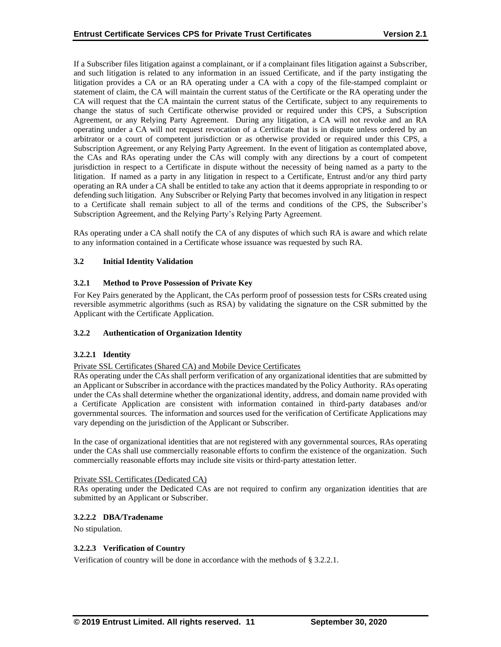If a Subscriber files litigation against a complainant, or if a complainant files litigation against a Subscriber, and such litigation is related to any information in an issued Certificate, and if the party instigating the litigation provides a CA or an RA operating under a CA with a copy of the file-stamped complaint or statement of claim, the CA will maintain the current status of the Certificate or the RA operating under the CA will request that the CA maintain the current status of the Certificate, subject to any requirements to change the status of such Certificate otherwise provided or required under this CPS, a Subscription Agreement, or any Relying Party Agreement. During any litigation, a CA will not revoke and an RA operating under a CA will not request revocation of a Certificate that is in dispute unless ordered by an arbitrator or a court of competent jurisdiction or as otherwise provided or required under this CPS, a Subscription Agreement, or any Relying Party Agreement. In the event of litigation as contemplated above, the CAs and RAs operating under the CAs will comply with any directions by a court of competent jurisdiction in respect to a Certificate in dispute without the necessity of being named as a party to the litigation. If named as a party in any litigation in respect to a Certificate, Entrust and/or any third party operating an RA under a CA shall be entitled to take any action that it deems appropriate in responding to or defending such litigation. Any Subscriber or Relying Party that becomes involved in any litigation in respect to a Certificate shall remain subject to all of the terms and conditions of the CPS, the Subscriber's Subscription Agreement, and the Relying Party's Relying Party Agreement.

RAs operating under a CA shall notify the CA of any disputes of which such RA is aware and which relate to any information contained in a Certificate whose issuance was requested by such RA.

## **3.2 Initial Identity Validation**

## **3.2.1 Method to Prove Possession of Private Key**

For Key Pairs generated by the Applicant, the CAs perform proof of possession tests for CSRs created using reversible asymmetric algorithms (such as RSA) by validating the signature on the CSR submitted by the Applicant with the Certificate Application.

#### **3.2.2 Authentication of Organization Identity**

#### **3.2.2.1 Identity**

#### Private SSL Certificates (Shared CA) and Mobile Device Certificates

RAs operating under the CAs shall perform verification of any organizational identities that are submitted by an Applicant or Subscriber in accordance with the practices mandated by the Policy Authority. RAs operating under the CAs shall determine whether the organizational identity, address, and domain name provided with a Certificate Application are consistent with information contained in third-party databases and/or governmental sources. The information and sources used for the verification of Certificate Applications may vary depending on the jurisdiction of the Applicant or Subscriber.

In the case of organizational identities that are not registered with any governmental sources, RAs operating under the CAs shall use commercially reasonable efforts to confirm the existence of the organization. Such commercially reasonable efforts may include site visits or third-party attestation letter.

#### Private SSL Certificates (Dedicated CA)

RAs operating under the Dedicated CAs are not required to confirm any organization identities that are submitted by an Applicant or Subscriber.

#### **3.2.2.2 DBA/Tradename**

No stipulation.

#### **3.2.2.3 Verification of Country**

Verification of country will be done in accordance with the methods of § 3.2.2.1.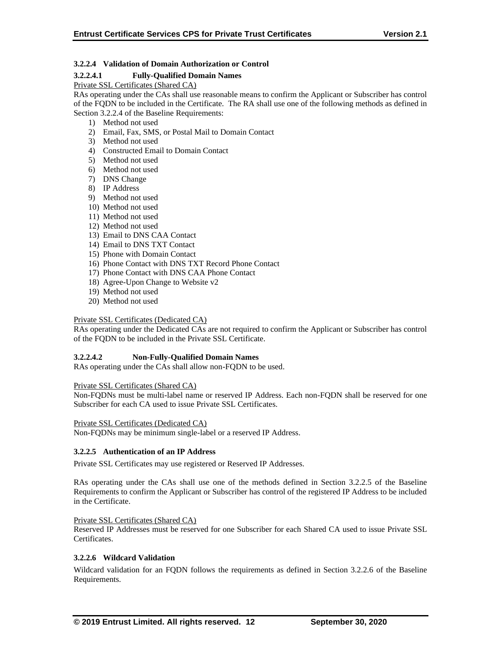## **3.2.2.4 Validation of Domain Authorization or Control**

## **3.2.2.4.1 Fully-Qualified Domain Names**

Private SSL Certificates (Shared CA)

RAs operating under the CAs shall use reasonable means to confirm the Applicant or Subscriber has control of the FQDN to be included in the Certificate. The RA shall use one of the following methods as defined in Section 3.2.2.4 of the Baseline Requirements:

- 1) Method not used
- 2) Email, Fax, SMS, or Postal Mail to Domain Contact
- 3) Method not used
- 4) Constructed Email to Domain Contact
- 5) Method not used
- 6) Method not used
- 7) DNS Change
- 8) IP Address
- 9) Method not used
- 10) Method not used
- 11) Method not used
- 12) Method not used
- 13) Email to DNS CAA Contact
- 14) Email to DNS TXT Contact
- 15) Phone with Domain Contact
- 16) Phone Contact with DNS TXT Record Phone Contact
- 17) Phone Contact with DNS CAA Phone Contact
- 18) Agree-Upon Change to Website v2
- 19) Method not used
- 20) Method not used

#### Private SSL Certificates (Dedicated CA)

RAs operating under the Dedicated CAs are not required to confirm the Applicant or Subscriber has control of the FQDN to be included in the Private SSL Certificate.

#### **3.2.2.4.2 Non-Fully-Qualified Domain Names**

RAs operating under the CAs shall allow non-FQDN to be used.

Private SSL Certificates (Shared CA)

Non-FQDNs must be multi-label name or reserved IP Address. Each non-FQDN shall be reserved for one Subscriber for each CA used to issue Private SSL Certificates.

Private SSL Certificates (Dedicated CA)

Non-FQDNs may be minimum single-label or a reserved IP Address.

#### **3.2.2.5 Authentication of an IP Address**

Private SSL Certificates may use registered or Reserved IP Addresses.

RAs operating under the CAs shall use one of the methods defined in Section 3.2.2.5 of the Baseline Requirements to confirm the Applicant or Subscriber has control of the registered IP Address to be included in the Certificate.

#### Private SSL Certificates (Shared CA)

Reserved IP Addresses must be reserved for one Subscriber for each Shared CA used to issue Private SSL Certificates.

#### **3.2.2.6 Wildcard Validation**

Wildcard validation for an FQDN follows the requirements as defined in Section 3.2.2.6 of the Baseline Requirements.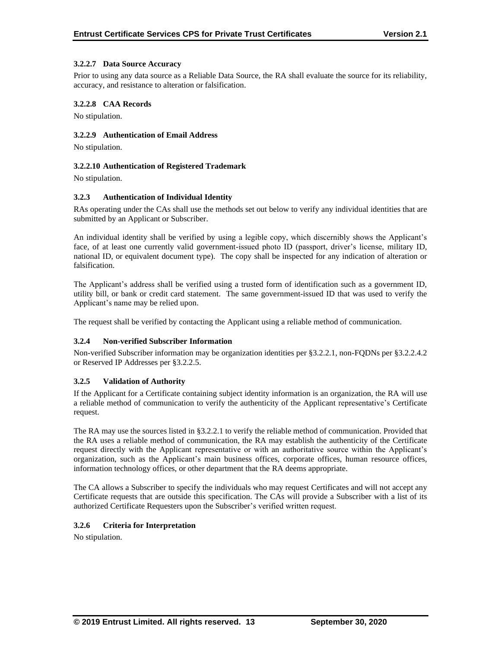#### **3.2.2.7 Data Source Accuracy**

Prior to using any data source as a Reliable Data Source, the RA shall evaluate the source for its reliability, accuracy, and resistance to alteration or falsification.

#### **3.2.2.8 CAA Records**

No stipulation.

## **3.2.2.9 Authentication of Email Address**

No stipulation.

#### **3.2.2.10 Authentication of Registered Trademark**

No stipulation.

#### **3.2.3 Authentication of Individual Identity**

RAs operating under the CAs shall use the methods set out below to verify any individual identities that are submitted by an Applicant or Subscriber.

An individual identity shall be verified by using a legible copy, which discernibly shows the Applicant's face, of at least one currently valid government-issued photo ID (passport, driver's license, military ID, national ID, or equivalent document type). The copy shall be inspected for any indication of alteration or falsification.

The Applicant's address shall be verified using a trusted form of identification such as a government ID, utility bill, or bank or credit card statement. The same government-issued ID that was used to verify the Applicant's name may be relied upon.

The request shall be verified by contacting the Applicant using a reliable method of communication.

#### **3.2.4 Non-verified Subscriber Information**

Non-verified Subscriber information may be organization identities per §3.2.2.1, non-FQDNs per §3.2.2.4.2 or Reserved IP Addresses per §3.2.2.5.

#### **3.2.5 Validation of Authority**

If the Applicant for a Certificate containing subject identity information is an organization, the RA will use a reliable method of communication to verify the authenticity of the Applicant representative's Certificate request.

The RA may use the sources listed in §3.2.2.1 to verify the reliable method of communication. Provided that the RA uses a reliable method of communication, the RA may establish the authenticity of the Certificate request directly with the Applicant representative or with an authoritative source within the Applicant's organization, such as the Applicant's main business offices, corporate offices, human resource offices, information technology offices, or other department that the RA deems appropriate.

The CA allows a Subscriber to specify the individuals who may request Certificates and will not accept any Certificate requests that are outside this specification. The CAs will provide a Subscriber with a list of its authorized Certificate Requesters upon the Subscriber's verified written request.

#### **3.2.6 Criteria for Interpretation**

No stipulation.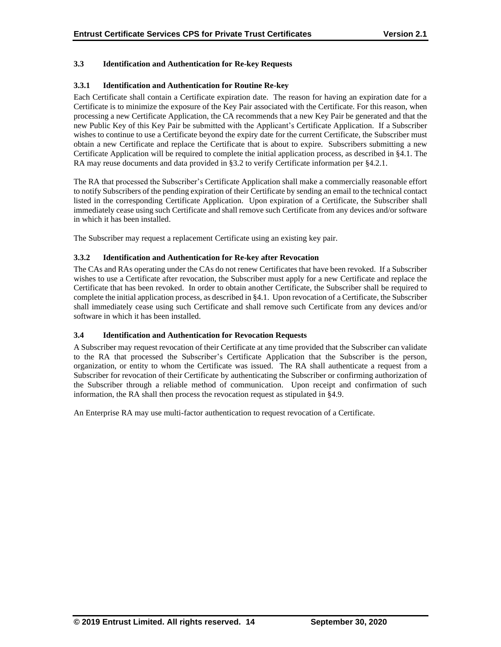## **3.3 Identification and Authentication for Re-key Requests**

## **3.3.1 Identification and Authentication for Routine Re-key**

Each Certificate shall contain a Certificate expiration date. The reason for having an expiration date for a Certificate is to minimize the exposure of the Key Pair associated with the Certificate. For this reason, when processing a new Certificate Application, the CA recommends that a new Key Pair be generated and that the new Public Key of this Key Pair be submitted with the Applicant's Certificate Application. If a Subscriber wishes to continue to use a Certificate beyond the expiry date for the current Certificate, the Subscriber must obtain a new Certificate and replace the Certificate that is about to expire. Subscribers submitting a new Certificate Application will be required to complete the initial application process, as described in §4.1. The RA may reuse documents and data provided in §3.2 to verify Certificate information per §4.2.1.

The RA that processed the Subscriber's Certificate Application shall make a commercially reasonable effort to notify Subscribers of the pending expiration of their Certificate by sending an email to the technical contact listed in the corresponding Certificate Application. Upon expiration of a Certificate, the Subscriber shall immediately cease using such Certificate and shall remove such Certificate from any devices and/or software in which it has been installed.

The Subscriber may request a replacement Certificate using an existing key pair.

## **3.3.2 Identification and Authentication for Re-key after Revocation**

The CAs and RAs operating under the CAs do not renew Certificates that have been revoked. If a Subscriber wishes to use a Certificate after revocation, the Subscriber must apply for a new Certificate and replace the Certificate that has been revoked. In order to obtain another Certificate, the Subscriber shall be required to complete the initial application process, as described in §4.1. Upon revocation of a Certificate, the Subscriber shall immediately cease using such Certificate and shall remove such Certificate from any devices and/or software in which it has been installed.

## **3.4 Identification and Authentication for Revocation Requests**

A Subscriber may request revocation of their Certificate at any time provided that the Subscriber can validate to the RA that processed the Subscriber's Certificate Application that the Subscriber is the person, organization, or entity to whom the Certificate was issued. The RA shall authenticate a request from a Subscriber for revocation of their Certificate by authenticating the Subscriber or confirming authorization of the Subscriber through a reliable method of communication. Upon receipt and confirmation of such information, the RA shall then process the revocation request as stipulated in §4.9.

An Enterprise RA may use multi-factor authentication to request revocation of a Certificate.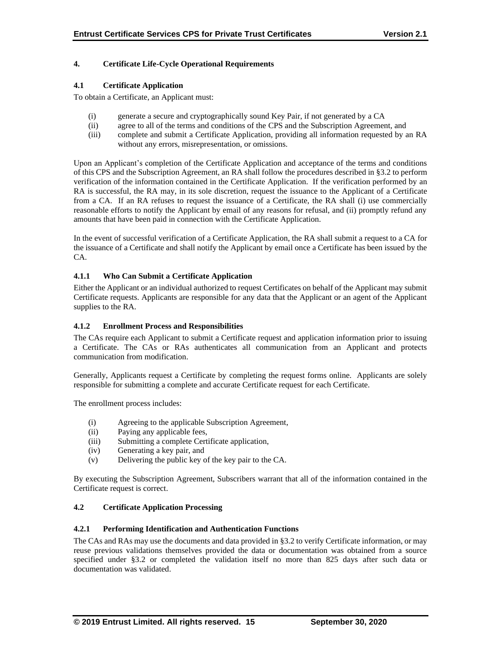## **4. Certificate Life-Cycle Operational Requirements**

## **4.1 Certificate Application**

To obtain a Certificate, an Applicant must:

- (i) generate a secure and cryptographically sound Key Pair, if not generated by a CA
- (ii) agree to all of the terms and conditions of the CPS and the Subscription Agreement, and
- (iii) complete and submit a Certificate Application, providing all information requested by an RA without any errors, misrepresentation, or omissions.

Upon an Applicant's completion of the Certificate Application and acceptance of the terms and conditions of this CPS and the Subscription Agreement, an RA shall follow the procedures described in §3.2 to perform verification of the information contained in the Certificate Application. If the verification performed by an RA is successful, the RA may, in its sole discretion, request the issuance to the Applicant of a Certificate from a CA. If an RA refuses to request the issuance of a Certificate, the RA shall (i) use commercially reasonable efforts to notify the Applicant by email of any reasons for refusal, and (ii) promptly refund any amounts that have been paid in connection with the Certificate Application.

In the event of successful verification of a Certificate Application, the RA shall submit a request to a CA for the issuance of a Certificate and shall notify the Applicant by email once a Certificate has been issued by the CA.

## **4.1.1 Who Can Submit a Certificate Application**

Either the Applicant or an individual authorized to request Certificates on behalf of the Applicant may submit Certificate requests. Applicants are responsible for any data that the Applicant or an agent of the Applicant supplies to the RA.

## **4.1.2 Enrollment Process and Responsibilities**

The CAs require each Applicant to submit a Certificate request and application information prior to issuing a Certificate. The CAs or RAs authenticates all communication from an Applicant and protects communication from modification.

Generally, Applicants request a Certificate by completing the request forms online. Applicants are solely responsible for submitting a complete and accurate Certificate request for each Certificate.

The enrollment process includes:

- (i) Agreeing to the applicable Subscription Agreement,
- (ii) Paying any applicable fees,
- (iii) Submitting a complete Certificate application,
- (iv) Generating a key pair, and
- (v) Delivering the public key of the key pair to the CA.

By executing the Subscription Agreement, Subscribers warrant that all of the information contained in the Certificate request is correct.

## **4.2 Certificate Application Processing**

#### **4.2.1 Performing Identification and Authentication Functions**

The CAs and RAs may use the documents and data provided in §3.2 to verify Certificate information, or may reuse previous validations themselves provided the data or documentation was obtained from a source specified under §3.2 or completed the validation itself no more than 825 days after such data or documentation was validated.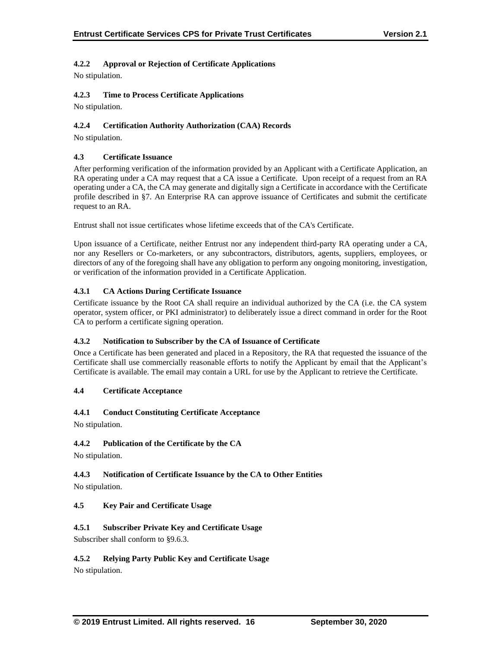## **4.2.2 Approval or Rejection of Certificate Applications**

No stipulation.

## **4.2.3 Time to Process Certificate Applications**

No stipulation.

## **4.2.4 Certification Authority Authorization (CAA) Records**

No stipulation.

## **4.3 Certificate Issuance**

After performing verification of the information provided by an Applicant with a Certificate Application, an RA operating under a CA may request that a CA issue a Certificate. Upon receipt of a request from an RA operating under a CA, the CA may generate and digitally sign a Certificate in accordance with the Certificate profile described in §7. An Enterprise RA can approve issuance of Certificates and submit the certificate request to an RA.

Entrust shall not issue certificates whose lifetime exceeds that of the CA's Certificate.

Upon issuance of a Certificate, neither Entrust nor any independent third-party RA operating under a CA, nor any Resellers or Co-marketers, or any subcontractors, distributors, agents, suppliers, employees, or directors of any of the foregoing shall have any obligation to perform any ongoing monitoring, investigation, or verification of the information provided in a Certificate Application.

## **4.3.1 CA Actions During Certificate Issuance**

Certificate issuance by the Root CA shall require an individual authorized by the CA (i.e. the CA system operator, system officer, or PKI administrator) to deliberately issue a direct command in order for the Root CA to perform a certificate signing operation.

## **4.3.2 Notification to Subscriber by the CA of Issuance of Certificate**

Once a Certificate has been generated and placed in a Repository, the RA that requested the issuance of the Certificate shall use commercially reasonable efforts to notify the Applicant by email that the Applicant's Certificate is available. The email may contain a URL for use by the Applicant to retrieve the Certificate.

## **4.4 Certificate Acceptance**

## **4.4.1 Conduct Constituting Certificate Acceptance**

No stipulation.

## **4.4.2 Publication of the Certificate by the CA**

No stipulation.

## **4.4.3 Notification of Certificate Issuance by the CA to Other Entities**

No stipulation.

## **4.5 Key Pair and Certificate Usage**

## **4.5.1 Subscriber Private Key and Certificate Usage**

Subscriber shall conform to §9.6.3.

## **4.5.2 Relying Party Public Key and Certificate Usage**

No stipulation.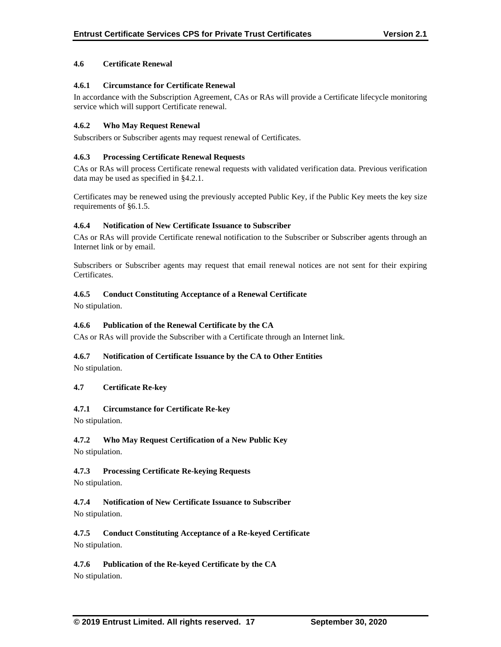## **4.6 Certificate Renewal**

## **4.6.1 Circumstance for Certificate Renewal**

In accordance with the Subscription Agreement, CAs or RAs will provide a Certificate lifecycle monitoring service which will support Certificate renewal.

## **4.6.2 Who May Request Renewal**

Subscribers or Subscriber agents may request renewal of Certificates.

#### **4.6.3 Processing Certificate Renewal Requests**

CAs or RAs will process Certificate renewal requests with validated verification data. Previous verification data may be used as specified in §4.2.1.

Certificates may be renewed using the previously accepted Public Key, if the Public Key meets the key size requirements of §6.1.5.

#### **4.6.4 Notification of New Certificate Issuance to Subscriber**

CAs or RAs will provide Certificate renewal notification to the Subscriber or Subscriber agents through an Internet link or by email.

Subscribers or Subscriber agents may request that email renewal notices are not sent for their expiring Certificates.

## **4.6.5 Conduct Constituting Acceptance of a Renewal Certificate**

No stipulation.

#### **4.6.6 Publication of the Renewal Certificate by the CA**

CAs or RAs will provide the Subscriber with a Certificate through an Internet link.

#### **4.6.7 Notification of Certificate Issuance by the CA to Other Entities**

No stipulation.

#### **4.7 Certificate Re-key**

#### **4.7.1 Circumstance for Certificate Re-key**

No stipulation.

## **4.7.2 Who May Request Certification of a New Public Key**

No stipulation.

#### **4.7.3 Processing Certificate Re-keying Requests**

No stipulation.

# **4.7.4 Notification of New Certificate Issuance to Subscriber**

No stipulation.

**4.7.5 Conduct Constituting Acceptance of a Re-keyed Certificate** No stipulation.

**4.7.6 Publication of the Re-keyed Certificate by the CA**

No stipulation.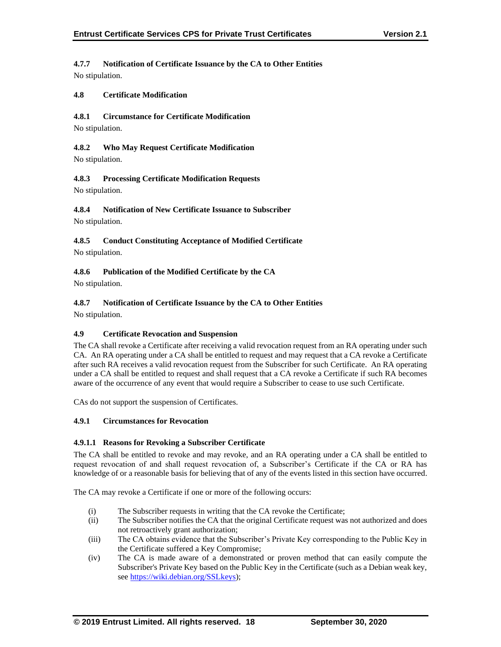# **4.7.7 Notification of Certificate Issuance by the CA to Other Entities**

No stipulation.

## **4.8 Certificate Modification**

## **4.8.1 Circumstance for Certificate Modification**

No stipulation.

#### **4.8.2 Who May Request Certificate Modification**

No stipulation.

## **4.8.3 Processing Certificate Modification Requests**

No stipulation.

## **4.8.4 Notification of New Certificate Issuance to Subscriber**

No stipulation.

## **4.8.5 Conduct Constituting Acceptance of Modified Certificate**

No stipulation.

## **4.8.6 Publication of the Modified Certificate by the CA**

No stipulation.

## **4.8.7 Notification of Certificate Issuance by the CA to Other Entities**

No stipulation.

#### **4.9 Certificate Revocation and Suspension**

The CA shall revoke a Certificate after receiving a valid revocation request from an RA operating under such CA. An RA operating under a CA shall be entitled to request and may request that a CA revoke a Certificate after such RA receives a valid revocation request from the Subscriber for such Certificate. An RA operating under a CA shall be entitled to request and shall request that a CA revoke a Certificate if such RA becomes aware of the occurrence of any event that would require a Subscriber to cease to use such Certificate.

CAs do not support the suspension of Certificates.

#### **4.9.1 Circumstances for Revocation**

#### **4.9.1.1 Reasons for Revoking a Subscriber Certificate**

The CA shall be entitled to revoke and may revoke, and an RA operating under a CA shall be entitled to request revocation of and shall request revocation of, a Subscriber's Certificate if the CA or RA has knowledge of or a reasonable basis for believing that of any of the events listed in this section have occurred.

The CA may revoke a Certificate if one or more of the following occurs:

- (i) The Subscriber requests in writing that the CA revoke the Certificate;
- (ii) The Subscriber notifies the CA that the original Certificate request was not authorized and does not retroactively grant authorization;
- (iii) The CA obtains evidence that the Subscriber's Private Key corresponding to the Public Key in the Certificate suffered a Key Compromise;
- (iv) The CA is made aware of a demonstrated or proven method that can easily compute the Subscriber's Private Key based on the Public Key in the Certificate (such as a Debian weak key, see [https://wiki.debian.org/SSLkeys\)](https://wiki.debian.org/SSLkeys);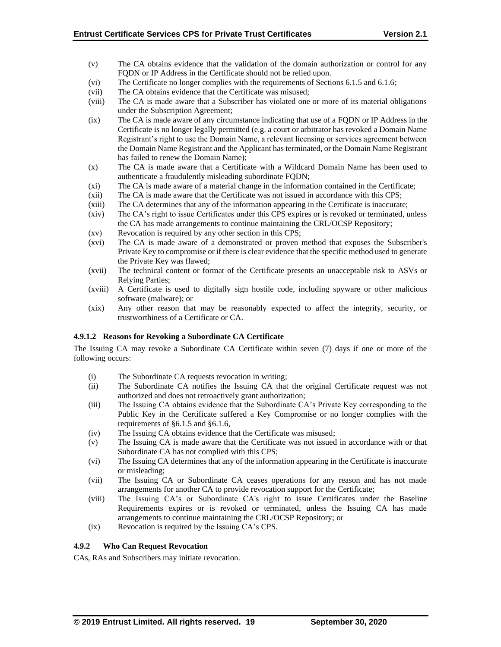- (v) The CA obtains evidence that the validation of the domain authorization or control for any FODN or IP Address in the Certificate should not be relied upon.
- (vi) The Certificate no longer complies with the requirements of Sections 6.1.5 and 6.1.6;
- (vii) The CA obtains evidence that the Certificate was misused;
- (viii) The CA is made aware that a Subscriber has violated one or more of its material obligations under the Subscription Agreement;
- (ix) The CA is made aware of any circumstance indicating that use of a FQDN or IP Address in the Certificate is no longer legally permitted (e.g. a court or arbitrator has revoked a Domain Name Registrant's right to use the Domain Name, a relevant licensing or services agreement between the Domain Name Registrant and the Applicant has terminated, or the Domain Name Registrant has failed to renew the Domain Name);
- (x) The CA is made aware that a Certificate with a Wildcard Domain Name has been used to authenticate a fraudulently misleading subordinate FQDN;
- (xi) The CA is made aware of a material change in the information contained in the Certificate;
- (xii) The CA is made aware that the Certificate was not issued in accordance with this CPS;
- (xiii) The CA determines that any of the information appearing in the Certificate is inaccurate;
- (xiv) The CA's right to issue Certificates under this CPS expires or is revoked or terminated, unless the CA has made arrangements to continue maintaining the CRL/OCSP Repository;
- (xv) Revocation is required by any other section in this CPS;
- (xvi) The CA is made aware of a demonstrated or proven method that exposes the Subscriber's Private Key to compromise or if there is clear evidence that the specific method used to generate the Private Key was flawed;
- (xvii) The technical content or format of the Certificate presents an unacceptable risk to ASVs or Relying Parties;
- (xviii) A Certificate is used to digitally sign hostile code, including spyware or other malicious software (malware); or
- (xix) Any other reason that may be reasonably expected to affect the integrity, security, or trustworthiness of a Certificate or CA.

## **4.9.1.2 Reasons for Revoking a Subordinate CA Certificate**

The Issuing CA may revoke a Subordinate CA Certificate within seven (7) days if one or more of the following occurs:

- (i) The Subordinate CA requests revocation in writing;
- (ii) The Subordinate CA notifies the Issuing CA that the original Certificate request was not authorized and does not retroactively grant authorization;
- (iii) The Issuing CA obtains evidence that the Subordinate CA's Private Key corresponding to the Public Key in the Certificate suffered a Key Compromise or no longer complies with the requirements of §6.1.5 and §6.1.6,
- (iv) The Issuing CA obtains evidence that the Certificate was misused;
- (v) The Issuing CA is made aware that the Certificate was not issued in accordance with or that Subordinate CA has not complied with this CPS;
- (vi) The Issuing CA determines that any of the information appearing in the Certificate is inaccurate or misleading;
- (vii) The Issuing CA or Subordinate CA ceases operations for any reason and has not made arrangements for another CA to provide revocation support for the Certificate;
- (viii) The Issuing CA's or Subordinate CA's right to issue Certificates under the Baseline Requirements expires or is revoked or terminated, unless the Issuing CA has made arrangements to continue maintaining the CRL/OCSP Repository; or
- (ix) Revocation is required by the Issuing CA's CPS.

## **4.9.2 Who Can Request Revocation**

CAs, RAs and Subscribers may initiate revocation.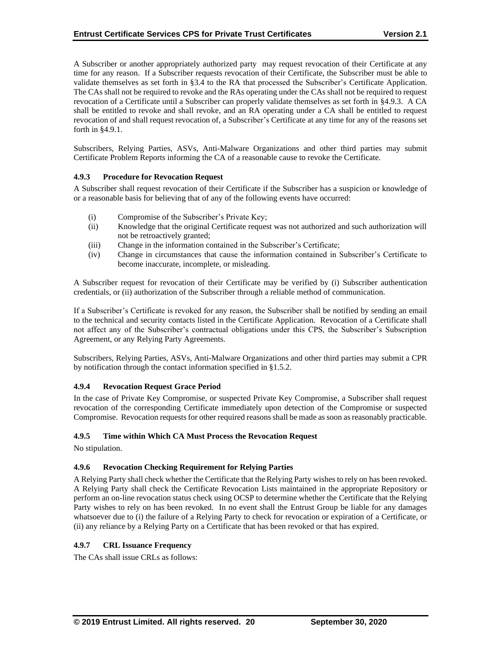A Subscriber or another appropriately authorized party may request revocation of their Certificate at any time for any reason. If a Subscriber requests revocation of their Certificate, the Subscriber must be able to validate themselves as set forth in §3.4 to the RA that processed the Subscriber's Certificate Application. The CAs shall not be required to revoke and the RAs operating under the CAs shall not be required to request revocation of a Certificate until a Subscriber can properly validate themselves as set forth in §4.9.3. A CA shall be entitled to revoke and shall revoke, and an RA operating under a CA shall be entitled to request revocation of and shall request revocation of, a Subscriber's Certificate at any time for any of the reasons set forth in §4.9.1.

Subscribers, Relying Parties, ASVs, Anti-Malware Organizations and other third parties may submit Certificate Problem Reports informing the CA of a reasonable cause to revoke the Certificate.

## **4.9.3 Procedure for Revocation Request**

A Subscriber shall request revocation of their Certificate if the Subscriber has a suspicion or knowledge of or a reasonable basis for believing that of any of the following events have occurred:

- (i) Compromise of the Subscriber's Private Key;
- (ii) Knowledge that the original Certificate request was not authorized and such authorization will not be retroactively granted;
- (iii) Change in the information contained in the Subscriber's Certificate;
- (iv) Change in circumstances that cause the information contained in Subscriber's Certificate to become inaccurate, incomplete, or misleading.

A Subscriber request for revocation of their Certificate may be verified by (i) Subscriber authentication credentials, or (ii) authorization of the Subscriber through a reliable method of communication.

If a Subscriber's Certificate is revoked for any reason, the Subscriber shall be notified by sending an email to the technical and security contacts listed in the Certificate Application. Revocation of a Certificate shall not affect any of the Subscriber's contractual obligations under this CPS, the Subscriber's Subscription Agreement, or any Relying Party Agreements.

Subscribers, Relying Parties, ASVs, Anti-Malware Organizations and other third parties may submit a CPR by notification through the contact information specified in §1.5.2.

## **4.9.4 Revocation Request Grace Period**

In the case of Private Key Compromise, or suspected Private Key Compromise, a Subscriber shall request revocation of the corresponding Certificate immediately upon detection of the Compromise or suspected Compromise. Revocation requests for other required reasons shall be made as soon as reasonably practicable.

#### **4.9.5 Time within Which CA Must Process the Revocation Request**

No stipulation.

#### **4.9.6 Revocation Checking Requirement for Relying Parties**

A Relying Party shall check whether the Certificate that the Relying Party wishes to rely on has been revoked. A Relying Party shall check the Certificate Revocation Lists maintained in the appropriate Repository or perform an on-line revocation status check using OCSP to determine whether the Certificate that the Relying Party wishes to rely on has been revoked. In no event shall the Entrust Group be liable for any damages whatsoever due to (i) the failure of a Relying Party to check for revocation or expiration of a Certificate, or (ii) any reliance by a Relying Party on a Certificate that has been revoked or that has expired.

## **4.9.7 CRL Issuance Frequency**

The CAs shall issue CRLs as follows: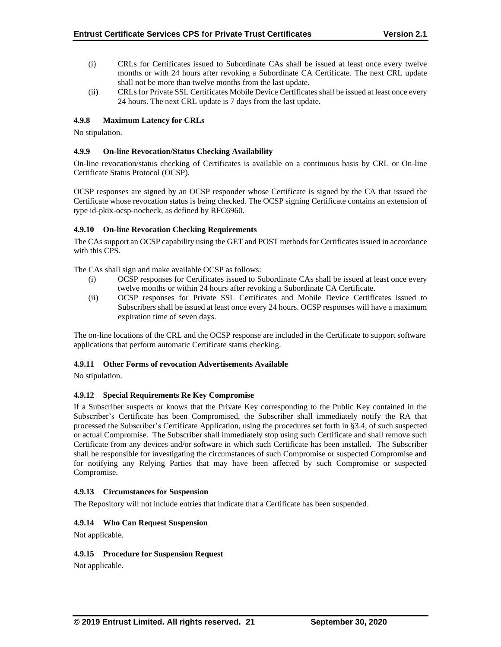- (i) CRLs for Certificates issued to Subordinate CAs shall be issued at least once every twelve months or with 24 hours after revoking a Subordinate CA Certificate. The next CRL update shall not be more than twelve months from the last update.
- (ii) CRLs for Private SSL Certificates Mobile Device Certificates shall be issued at least once every 24 hours. The next CRL update is 7 days from the last update.

## **4.9.8 Maximum Latency for CRLs**

No stipulation.

#### **4.9.9 On-line Revocation/Status Checking Availability**

On-line revocation/status checking of Certificates is available on a continuous basis by CRL or On-line Certificate Status Protocol (OCSP).

OCSP responses are signed by an OCSP responder whose Certificate is signed by the CA that issued the Certificate whose revocation status is being checked. The OCSP signing Certificate contains an extension of type id-pkix-ocsp-nocheck, as defined by RFC6960.

## **4.9.10 On-line Revocation Checking Requirements**

The CAs support an OCSP capability using the GET and POST methods for Certificates issued in accordance with this CPS.

The CAs shall sign and make available OCSP as follows:

- (i) OCSP responses for Certificates issued to Subordinate CAs shall be issued at least once every twelve months or within 24 hours after revoking a Subordinate CA Certificate.
- (ii) OCSP responses for Private SSL Certificates and Mobile Device Certificates issued to Subscribers shall be issued at least once every 24 hours. OCSP responses will have a maximum expiration time of seven days.

The on-line locations of the CRL and the OCSP response are included in the Certificate to support software applications that perform automatic Certificate status checking.

#### **4.9.11 Other Forms of revocation Advertisements Available**

No stipulation.

#### **4.9.12 Special Requirements Re Key Compromise**

If a Subscriber suspects or knows that the Private Key corresponding to the Public Key contained in the Subscriber's Certificate has been Compromised, the Subscriber shall immediately notify the RA that processed the Subscriber's Certificate Application, using the procedures set forth in §3.4, of such suspected or actual Compromise. The Subscriber shall immediately stop using such Certificate and shall remove such Certificate from any devices and/or software in which such Certificate has been installed. The Subscriber shall be responsible for investigating the circumstances of such Compromise or suspected Compromise and for notifying any Relying Parties that may have been affected by such Compromise or suspected Compromise.

#### **4.9.13 Circumstances for Suspension**

The Repository will not include entries that indicate that a Certificate has been suspended.

#### **4.9.14 Who Can Request Suspension**

Not applicable.

#### **4.9.15 Procedure for Suspension Request**

Not applicable.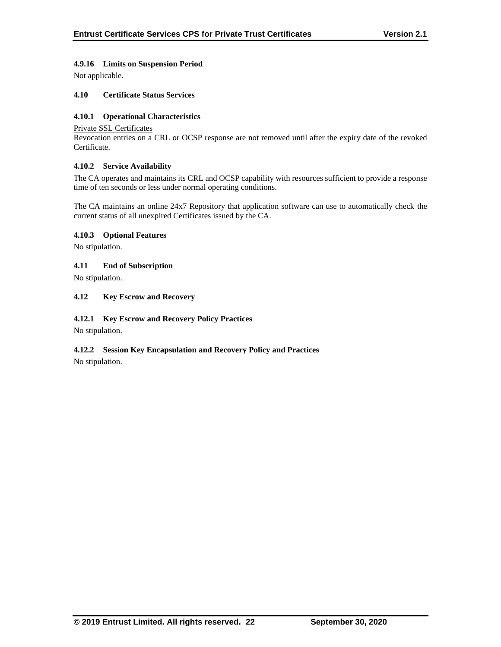## **4.9.16 Limits on Suspension Period**

Not applicable.

## **4.10 Certificate Status Services**

## **4.10.1 Operational Characteristics**

#### Private SSL Certificates

Revocation entries on a CRL or OCSP response are not removed until after the expiry date of the revoked Certificate.

## **4.10.2 Service Availability**

The CA operates and maintains its CRL and OCSP capability with resources sufficient to provide a response time of ten seconds or less under normal operating conditions.

The CA maintains an online 24x7 Repository that application software can use to automatically check the current status of all unexpired Certificates issued by the CA.

## **4.10.3 Optional Features**

No stipulation.

## **4.11 End of Subscription**

No stipulation.

## **4.12 Key Escrow and Recovery**

## **4.12.1 Key Escrow and Recovery Policy Practices**

No stipulation.

## **4.12.2 Session Key Encapsulation and Recovery Policy and Practices**

No stipulation.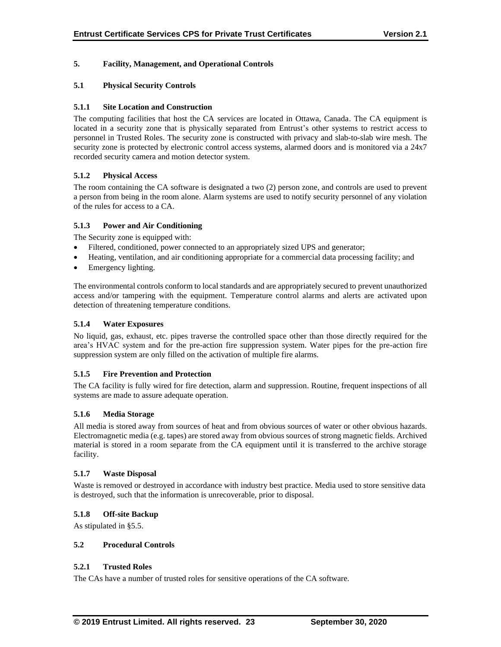## **5. Facility, Management, and Operational Controls**

## **5.1 Physical Security Controls**

## **5.1.1 Site Location and Construction**

The computing facilities that host the CA services are located in Ottawa, Canada. The CA equipment is located in a security zone that is physically separated from Entrust's other systems to restrict access to personnel in Trusted Roles. The security zone is constructed with privacy and slab-to-slab wire mesh. The security zone is protected by electronic control access systems, alarmed doors and is monitored via a 24x7 recorded security camera and motion detector system.

## **5.1.2 Physical Access**

The room containing the CA software is designated a two (2) person zone, and controls are used to prevent a person from being in the room alone. Alarm systems are used to notify security personnel of any violation of the rules for access to a CA.

## **5.1.3 Power and Air Conditioning**

The Security zone is equipped with:

- Filtered, conditioned, power connected to an appropriately sized UPS and generator;
- Heating, ventilation, and air conditioning appropriate for a commercial data processing facility; and
- Emergency lighting.

The environmental controls conform to local standards and are appropriately secured to prevent unauthorized access and/or tampering with the equipment. Temperature control alarms and alerts are activated upon detection of threatening temperature conditions.

#### **5.1.4 Water Exposures**

No liquid, gas, exhaust, etc. pipes traverse the controlled space other than those directly required for the area's HVAC system and for the pre-action fire suppression system. Water pipes for the pre-action fire suppression system are only filled on the activation of multiple fire alarms.

#### **5.1.5 Fire Prevention and Protection**

The CA facility is fully wired for fire detection, alarm and suppression. Routine, frequent inspections of all systems are made to assure adequate operation.

#### **5.1.6 Media Storage**

All media is stored away from sources of heat and from obvious sources of water or other obvious hazards. Electromagnetic media (e.g. tapes) are stored away from obvious sources of strong magnetic fields. Archived material is stored in a room separate from the CA equipment until it is transferred to the archive storage facility.

#### **5.1.7 Waste Disposal**

Waste is removed or destroyed in accordance with industry best practice. Media used to store sensitive data is destroyed, such that the information is unrecoverable, prior to disposal.

#### **5.1.8 Off-site Backup**

As stipulated in §5.5.

#### **5.2 Procedural Controls**

#### **5.2.1 Trusted Roles**

The CAs have a number of trusted roles for sensitive operations of the CA software.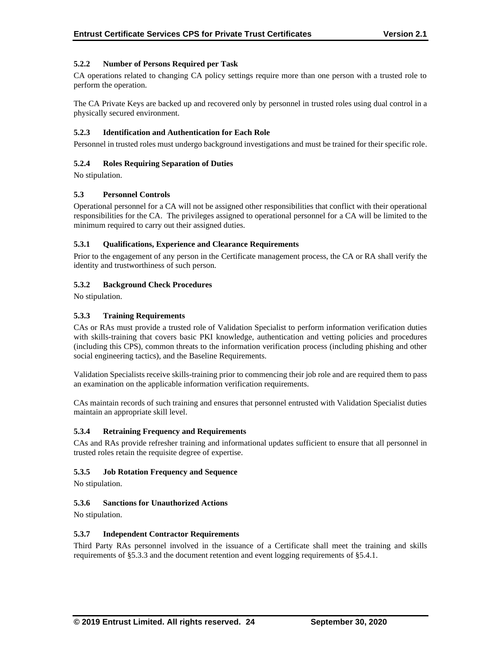## **5.2.2 Number of Persons Required per Task**

CA operations related to changing CA policy settings require more than one person with a trusted role to perform the operation.

The CA Private Keys are backed up and recovered only by personnel in trusted roles using dual control in a physically secured environment.

#### **5.2.3 Identification and Authentication for Each Role**

Personnel in trusted roles must undergo background investigations and must be trained for their specific role.

## **5.2.4 Roles Requiring Separation of Duties**

No stipulation.

## **5.3 Personnel Controls**

Operational personnel for a CA will not be assigned other responsibilities that conflict with their operational responsibilities for the CA. The privileges assigned to operational personnel for a CA will be limited to the minimum required to carry out their assigned duties.

#### **5.3.1 Qualifications, Experience and Clearance Requirements**

Prior to the engagement of any person in the Certificate management process, the CA or RA shall verify the identity and trustworthiness of such person.

## **5.3.2 Background Check Procedures**

No stipulation.

## **5.3.3 Training Requirements**

CAs or RAs must provide a trusted role of Validation Specialist to perform information verification duties with skills-training that covers basic PKI knowledge, authentication and vetting policies and procedures (including this CPS), common threats to the information verification process (including phishing and other social engineering tactics), and the Baseline Requirements.

Validation Specialists receive skills-training prior to commencing their job role and are required them to pass an examination on the applicable information verification requirements.

CAs maintain records of such training and ensures that personnel entrusted with Validation Specialist duties maintain an appropriate skill level.

#### **5.3.4 Retraining Frequency and Requirements**

CAs and RAs provide refresher training and informational updates sufficient to ensure that all personnel in trusted roles retain the requisite degree of expertise.

#### **5.3.5 Job Rotation Frequency and Sequence**

No stipulation.

#### **5.3.6 Sanctions for Unauthorized Actions**

No stipulation.

#### **5.3.7 Independent Contractor Requirements**

Third Party RAs personnel involved in the issuance of a Certificate shall meet the training and skills requirements of §5.3.3 and the document retention and event logging requirements of §5.4.1.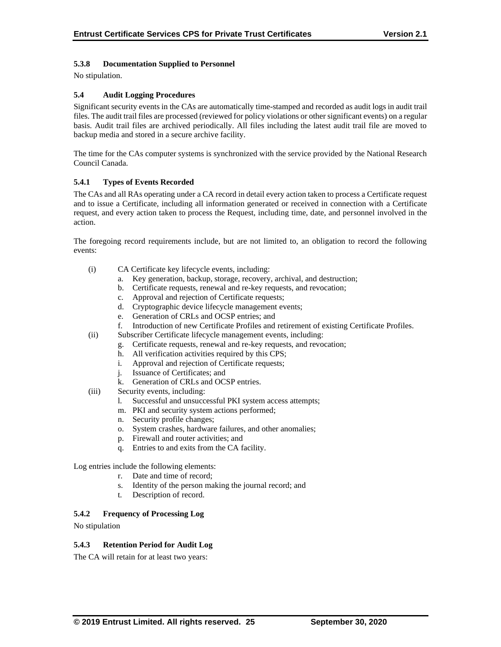## **5.3.8 Documentation Supplied to Personnel**

No stipulation.

## **5.4 Audit Logging Procedures**

Significant security events in the CAs are automatically time-stamped and recorded as audit logs in audit trail files. The audit trail files are processed (reviewed for policy violations or other significant events) on a regular basis. Audit trail files are archived periodically. All files including the latest audit trail file are moved to backup media and stored in a secure archive facility.

The time for the CAs computer systems is synchronized with the service provided by the National Research Council Canada.

## **5.4.1 Types of Events Recorded**

The CAs and all RAs operating under a CA record in detail every action taken to process a Certificate request and to issue a Certificate, including all information generated or received in connection with a Certificate request, and every action taken to process the Request, including time, date, and personnel involved in the action.

The foregoing record requirements include, but are not limited to, an obligation to record the following events:

- (i) CA Certificate key lifecycle events, including:
	- a. Key generation, backup, storage, recovery, archival, and destruction;
	- b. Certificate requests, renewal and re-key requests, and revocation;
	- c. Approval and rejection of Certificate requests;
	- d. Cryptographic device lifecycle management events;
	- e. Generation of CRLs and OCSP entries; and
	- f. Introduction of new Certificate Profiles and retirement of existing Certificate Profiles.
- (ii) Subscriber Certificate lifecycle management events, including:
	- g. Certificate requests, renewal and re-key requests, and revocation;
		- h. All verification activities required by this CPS;
	- i. Approval and rejection of Certificate requests;
	- j. Issuance of Certificates; and
	- k. Generation of CRLs and OCSP entries.
- (iii) Security events, including:
	- l. Successful and unsuccessful PKI system access attempts;
	- m. PKI and security system actions performed;
	- n. Security profile changes;
	- o. System crashes, hardware failures, and other anomalies;
	- p. Firewall and router activities; and
	- q. Entries to and exits from the CA facility.

Log entries include the following elements:

- r. Date and time of record;
- s. Identity of the person making the journal record; and
- t. Description of record.

#### **5.4.2 Frequency of Processing Log**

No stipulation

#### **5.4.3 Retention Period for Audit Log**

The CA will retain for at least two years: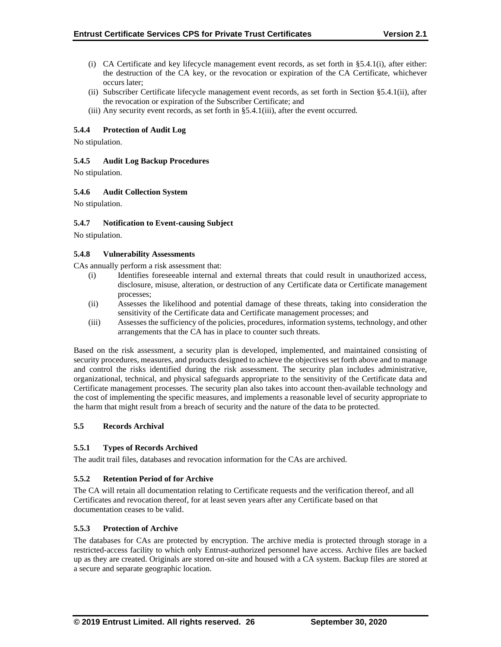- (i) CA Certificate and key lifecycle management event records, as set forth in §5.4.1(i), after either: the destruction of the CA key, or the revocation or expiration of the CA Certificate, whichever occurs later;
- (ii) Subscriber Certificate lifecycle management event records, as set forth in Section §5.4.1(ii), after the revocation or expiration of the Subscriber Certificate; and
- (iii) Any security event records, as set forth in §5.4.1(iii), after the event occurred.

## **5.4.4 Protection of Audit Log**

No stipulation.

#### **5.4.5 Audit Log Backup Procedures**

No stipulation.

## **5.4.6 Audit Collection System**

No stipulation.

#### **5.4.7 Notification to Event-causing Subject**

No stipulation.

## **5.4.8 Vulnerability Assessments**

CAs annually perform a risk assessment that:

- (i) Identifies foreseeable internal and external threats that could result in unauthorized access, disclosure, misuse, alteration, or destruction of any Certificate data or Certificate management processes;
- (ii) Assesses the likelihood and potential damage of these threats, taking into consideration the sensitivity of the Certificate data and Certificate management processes; and
- (iii) Assesses the sufficiency of the policies, procedures, information systems, technology, and other arrangements that the CA has in place to counter such threats.

Based on the risk assessment, a security plan is developed, implemented, and maintained consisting of security procedures, measures, and products designed to achieve the objectives set forth above and to manage and control the risks identified during the risk assessment. The security plan includes administrative, organizational, technical, and physical safeguards appropriate to the sensitivity of the Certificate data and Certificate management processes. The security plan also takes into account then-available technology and the cost of implementing the specific measures, and implements a reasonable level of security appropriate to the harm that might result from a breach of security and the nature of the data to be protected.

#### **5.5 Records Archival**

#### **5.5.1 Types of Records Archived**

The audit trail files, databases and revocation information for the CAs are archived.

#### **5.5.2 Retention Period of for Archive**

The CA will retain all documentation relating to Certificate requests and the verification thereof, and all Certificates and revocation thereof, for at least seven years after any Certificate based on that documentation ceases to be valid.

#### **5.5.3 Protection of Archive**

The databases for CAs are protected by encryption. The archive media is protected through storage in a restricted-access facility to which only Entrust-authorized personnel have access. Archive files are backed up as they are created. Originals are stored on-site and housed with a CA system. Backup files are stored at a secure and separate geographic location.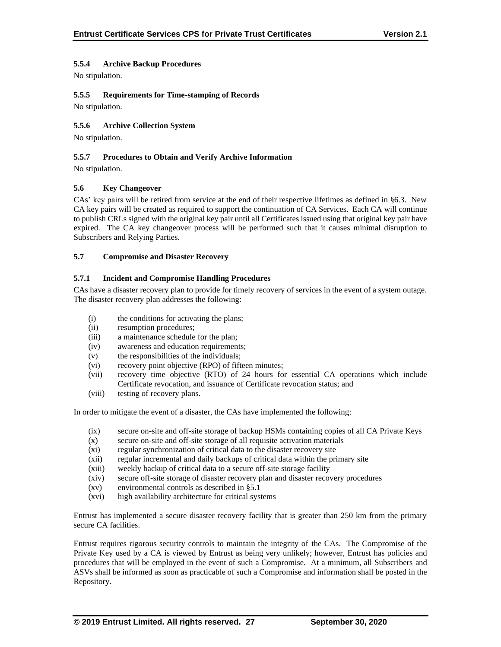## **5.5.4 Archive Backup Procedures**

No stipulation.

## **5.5.5 Requirements for Time-stamping of Records**

No stipulation.

## **5.5.6 Archive Collection System**

No stipulation.

#### **5.5.7 Procedures to Obtain and Verify Archive Information**

No stipulation.

#### **5.6 Key Changeover**

CAs' key pairs will be retired from service at the end of their respective lifetimes as defined in §6.3. New CA key pairs will be created as required to support the continuation of CA Services. Each CA will continue to publish CRLs signed with the original key pair until all Certificates issued using that original key pair have expired. The CA key changeover process will be performed such that it causes minimal disruption to Subscribers and Relying Parties.

#### **5.7 Compromise and Disaster Recovery**

#### **5.7.1 Incident and Compromise Handling Procedures**

CAs have a disaster recovery plan to provide for timely recovery of services in the event of a system outage. The disaster recovery plan addresses the following:

- (i) the conditions for activating the plans;
- (ii) resumption procedures;
- (iii) a maintenance schedule for the plan;
- (iv) awareness and education requirements;
- (v) the responsibilities of the individuals;
- (vi) recovery point objective (RPO) of fifteen minutes;
- (vii) recovery time objective (RTO) of 24 hours for essential CA operations which include Certificate revocation, and issuance of Certificate revocation status; and
- (viii) testing of recovery plans.

In order to mitigate the event of a disaster, the CAs have implemented the following:

- (ix) secure on-site and off-site storage of backup HSMs containing copies of all CA Private Keys
- (x) secure on-site and off-site storage of all requisite activation materials
- (xi) regular synchronization of critical data to the disaster recovery site
- (xii) regular incremental and daily backups of critical data within the primary site
- (xiii) weekly backup of critical data to a secure off-site storage facility
- (xiv) secure off-site storage of disaster recovery plan and disaster recovery procedures
- (xv) environmental controls as described in §5.1
- (xvi) high availability architecture for critical systems

Entrust has implemented a secure disaster recovery facility that is greater than 250 km from the primary secure CA facilities.

Entrust requires rigorous security controls to maintain the integrity of the CAs. The Compromise of the Private Key used by a CA is viewed by Entrust as being very unlikely; however, Entrust has policies and procedures that will be employed in the event of such a Compromise. At a minimum, all Subscribers and ASVs shall be informed as soon as practicable of such a Compromise and information shall be posted in the Repository.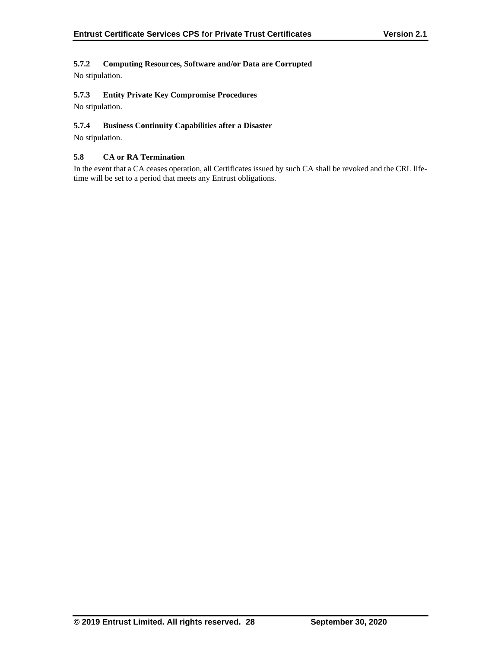## **5.7.2 Computing Resources, Software and/or Data are Corrupted**

No stipulation.

## **5.7.3 Entity Private Key Compromise Procedures**

No stipulation.

## **5.7.4 Business Continuity Capabilities after a Disaster**

No stipulation.

## **5.8 CA or RA Termination**

In the event that a CA ceases operation, all Certificates issued by such CA shall be revoked and the CRL lifetime will be set to a period that meets any Entrust obligations.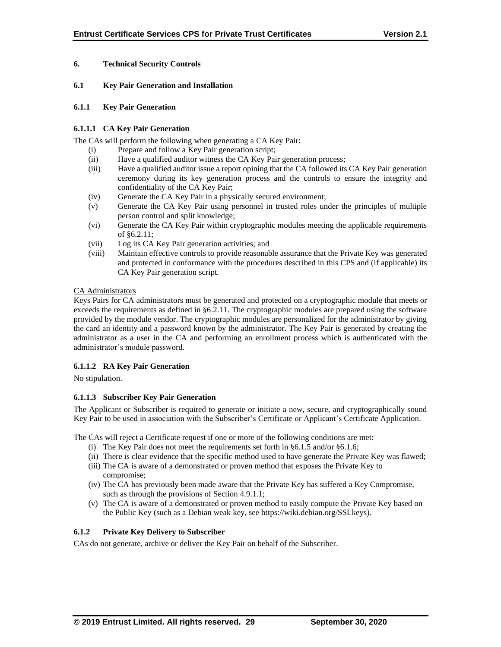## **6. Technical Security Controls**

#### **6.1 Key Pair Generation and Installation**

#### **6.1.1 Key Pair Generation**

## **6.1.1.1 CA Key Pair Generation**

The CAs will perform the following when generating a CA Key Pair:

- (i) Prepare and follow a Key Pair generation script;
- (ii) Have a qualified auditor witness the CA Key Pair generation process;
- (iii) Have a qualified auditor issue a report opining that the CA followed its CA Key Pair generation ceremony during its key generation process and the controls to ensure the integrity and confidentiality of the CA Key Pair;
- (iv) Generate the CA Key Pair in a physically secured environment;
- (v) Generate the CA Key Pair using personnel in trusted roles under the principles of multiple person control and split knowledge;
- (vi) Generate the CA Key Pair within cryptographic modules meeting the applicable requirements of §6.2.11;
- (vii) Log its CA Key Pair generation activities; and
- (viii) Maintain effective controls to provide reasonable assurance that the Private Key was generated and protected in conformance with the procedures described in this CPS and (if applicable) its CA Key Pair generation script.

## CA Administrators

Keys Pairs for CA administrators must be generated and protected on a cryptographic module that meets or exceeds the requirements as defined in §6.2.11. The cryptographic modules are prepared using the software provided by the module vendor. The cryptographic modules are personalized for the administrator by giving the card an identity and a password known by the administrator. The Key Pair is generated by creating the administrator as a user in the CA and performing an enrollment process which is authenticated with the administrator's module password.

## **6.1.1.2 RA Key Pair Generation**

No stipulation.

## **6.1.1.3 Subscriber Key Pair Generation**

The Applicant or Subscriber is required to generate or initiate a new, secure, and cryptographically sound Key Pair to be used in association with the Subscriber's Certificate or Applicant's Certificate Application.

The CAs will reject a Certificate request if one or more of the following conditions are met:

- (i) The Key Pair does not meet the requirements set forth in §6.1.5 and/or §6.1.6;
- (ii) There is clear evidence that the specific method used to have generate the Private Key was flawed;
- (iii) The CA is aware of a demonstrated or proven method that exposes the Private Key to compromise;
- (iv) The CA has previously been made aware that the Private Key has suffered a Key Compromise, such as through the provisions of Section 4.9.1.1;
- (v) The CA is aware of a demonstrated or proven method to easily compute the Private Key based on the Public Key (such as a Debian weak key, see https://wiki.debian.org/SSLkeys).

## **6.1.2 Private Key Delivery to Subscriber**

CAs do not generate, archive or deliver the Key Pair on behalf of the Subscriber.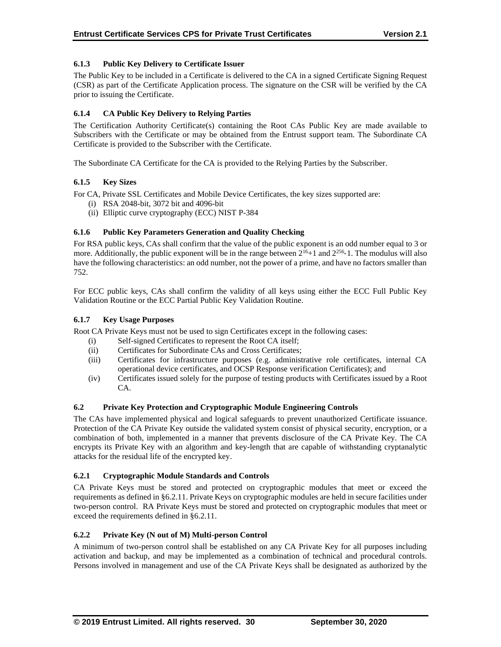## **6.1.3 Public Key Delivery to Certificate Issuer**

The Public Key to be included in a Certificate is delivered to the CA in a signed Certificate Signing Request (CSR) as part of the Certificate Application process. The signature on the CSR will be verified by the CA prior to issuing the Certificate.

## **6.1.4 CA Public Key Delivery to Relying Parties**

The Certification Authority Certificate(s) containing the Root CAs Public Key are made available to Subscribers with the Certificate or may be obtained from the Entrust support team. The Subordinate CA Certificate is provided to the Subscriber with the Certificate.

The Subordinate CA Certificate for the CA is provided to the Relying Parties by the Subscriber.

## **6.1.5 Key Sizes**

For CA, Private SSL Certificates and Mobile Device Certificates, the key sizes supported are:

- (i) RSA 2048-bit, 3072 bit and 4096-bit
- (ii) Elliptic curve cryptography (ECC) NIST P-384

## **6.1.6 Public Key Parameters Generation and Quality Checking**

For RSA public keys, CAs shall confirm that the value of the public exponent is an odd number equal to 3 or more. Additionally, the public exponent will be in the range between  $2^{16}+1$  and  $2^{256}-1$ . The modulus will also have the following characteristics: an odd number, not the power of a prime, and have no factors smaller than 752.

For ECC public keys, CAs shall confirm the validity of all keys using either the ECC Full Public Key Validation Routine or the ECC Partial Public Key Validation Routine.

#### **6.1.7 Key Usage Purposes**

Root CA Private Keys must not be used to sign Certificates except in the following cases:

- (i) Self-signed Certificates to represent the Root CA itself;
- (ii) Certificates for Subordinate CAs and Cross Certificates;
- (iii) Certificates for infrastructure purposes (e.g. administrative role certificates, internal CA operational device certificates, and OCSP Response verification Certificates); and
- (iv) Certificates issued solely for the purpose of testing products with Certificates issued by a Root CA.

#### **6.2 Private Key Protection and Cryptographic Module Engineering Controls**

The CAs have implemented physical and logical safeguards to prevent unauthorized Certificate issuance. Protection of the CA Private Key outside the validated system consist of physical security, encryption, or a combination of both, implemented in a manner that prevents disclosure of the CA Private Key. The CA encrypts its Private Key with an algorithm and key-length that are capable of withstanding cryptanalytic attacks for the residual life of the encrypted key.

#### **6.2.1 Cryptographic Module Standards and Controls**

CA Private Keys must be stored and protected on cryptographic modules that meet or exceed the requirements as defined in §6.2.11. Private Keys on cryptographic modules are held in secure facilities under two-person control. RA Private Keys must be stored and protected on cryptographic modules that meet or exceed the requirements defined in §6.2.11.

## **6.2.2 Private Key (N out of M) Multi-person Control**

A minimum of two-person control shall be established on any CA Private Key for all purposes including activation and backup, and may be implemented as a combination of technical and procedural controls. Persons involved in management and use of the CA Private Keys shall be designated as authorized by the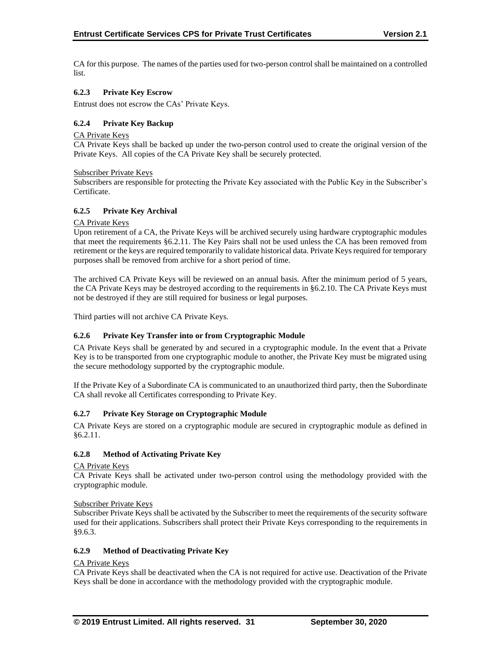CA for this purpose. The names of the parties used for two-person control shall be maintained on a controlled list.

## **6.2.3 Private Key Escrow**

Entrust does not escrow the CAs' Private Keys.

## **6.2.4 Private Key Backup**

#### CA Private Keys

CA Private Keys shall be backed up under the two-person control used to create the original version of the Private Keys. All copies of the CA Private Key shall be securely protected.

#### Subscriber Private Keys

Subscribers are responsible for protecting the Private Key associated with the Public Key in the Subscriber's Certificate.

## **6.2.5 Private Key Archival**

#### CA Private Keys

Upon retirement of a CA, the Private Keys will be archived securely using hardware cryptographic modules that meet the requirements §6.2.11. The Key Pairs shall not be used unless the CA has been removed from retirement or the keys are required temporarily to validate historical data. Private Keys required for temporary purposes shall be removed from archive for a short period of time.

The archived CA Private Keys will be reviewed on an annual basis. After the minimum period of 5 years, the CA Private Keys may be destroyed according to the requirements in §6.2.10. The CA Private Keys must not be destroyed if they are still required for business or legal purposes.

Third parties will not archive CA Private Keys.

## **6.2.6 Private Key Transfer into or from Cryptographic Module**

CA Private Keys shall be generated by and secured in a cryptographic module. In the event that a Private Key is to be transported from one cryptographic module to another, the Private Key must be migrated using the secure methodology supported by the cryptographic module.

If the Private Key of a Subordinate CA is communicated to an unauthorized third party, then the Subordinate CA shall revoke all Certificates corresponding to Private Key.

#### **6.2.7 Private Key Storage on Cryptographic Module**

CA Private Keys are stored on a cryptographic module are secured in cryptographic module as defined in §6.2.11.

## **6.2.8 Method of Activating Private Key**

#### CA Private Keys

CA Private Keys shall be activated under two-person control using the methodology provided with the cryptographic module.

#### Subscriber Private Keys

Subscriber Private Keys shall be activated by the Subscriber to meet the requirements of the security software used for their applications. Subscribers shall protect their Private Keys corresponding to the requirements in §9.6.3.

#### **6.2.9 Method of Deactivating Private Key**

## CA Private Keys

CA Private Keys shall be deactivated when the CA is not required for active use. Deactivation of the Private Keys shall be done in accordance with the methodology provided with the cryptographic module.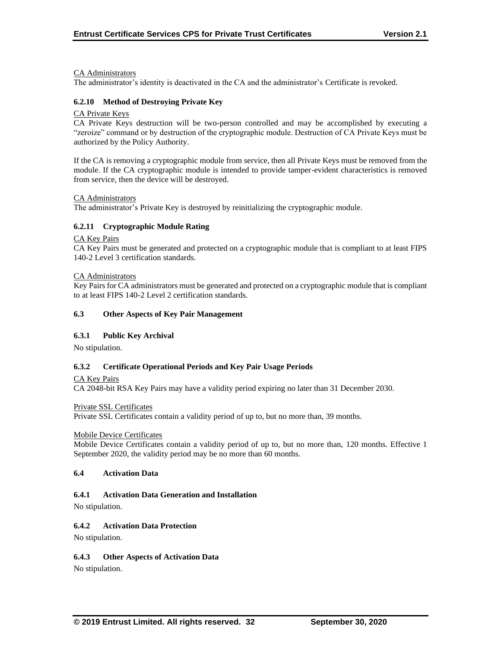#### CA Administrators

The administrator's identity is deactivated in the CA and the administrator's Certificate is revoked.

#### **6.2.10 Method of Destroying Private Key**

#### CA Private Keys

CA Private Keys destruction will be two-person controlled and may be accomplished by executing a "zeroize" command or by destruction of the cryptographic module. Destruction of CA Private Keys must be authorized by the Policy Authority.

If the CA is removing a cryptographic module from service, then all Private Keys must be removed from the module. If the CA cryptographic module is intended to provide tamper-evident characteristics is removed from service, then the device will be destroyed.

#### CA Administrators

The administrator's Private Key is destroyed by reinitializing the cryptographic module.

#### **6.2.11 Cryptographic Module Rating**

#### CA Key Pairs

CA Key Pairs must be generated and protected on a cryptographic module that is compliant to at least FIPS 140-2 Level 3 certification standards.

#### CA Administrators

Key Pairs for CA administrators must be generated and protected on a cryptographic module that is compliant to at least FIPS 140-2 Level 2 certification standards.

#### **6.3 Other Aspects of Key Pair Management**

#### **6.3.1 Public Key Archival**

No stipulation.

#### **6.3.2 Certificate Operational Periods and Key Pair Usage Periods**

CA Key Pairs

CA 2048-bit RSA Key Pairs may have a validity period expiring no later than 31 December 2030.

Private SSL Certificates

Private SSL Certificates contain a validity period of up to, but no more than, 39 months.

#### Mobile Device Certificates

Mobile Device Certificates contain a validity period of up to, but no more than, 120 months. Effective 1 September 2020, the validity period may be no more than 60 months.

#### **6.4 Activation Data**

## **6.4.1 Activation Data Generation and Installation**

No stipulation.

#### **6.4.2 Activation Data Protection**

No stipulation.

#### **6.4.3 Other Aspects of Activation Data**

No stipulation.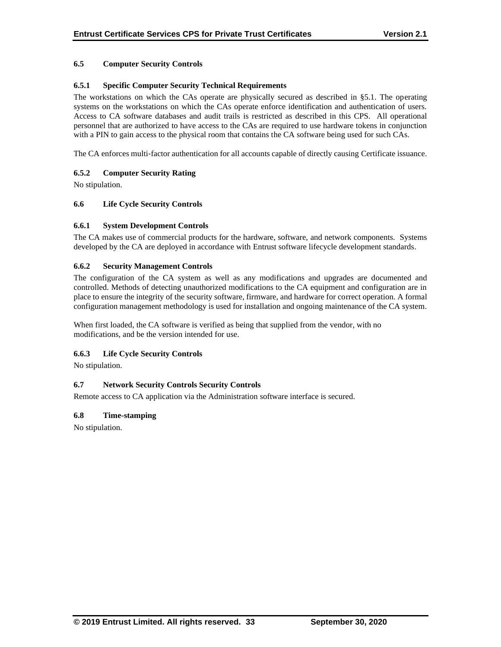## **6.5 Computer Security Controls**

## **6.5.1 Specific Computer Security Technical Requirements**

The workstations on which the CAs operate are physically secured as described in §5.1. The operating systems on the workstations on which the CAs operate enforce identification and authentication of users. Access to CA software databases and audit trails is restricted as described in this CPS. All operational personnel that are authorized to have access to the CAs are required to use hardware tokens in conjunction with a PIN to gain access to the physical room that contains the CA software being used for such CAs.

The CA enforces multi-factor authentication for all accounts capable of directly causing Certificate issuance.

## **6.5.2 Computer Security Rating**

No stipulation.

## **6.6 Life Cycle Security Controls**

#### **6.6.1 System Development Controls**

The CA makes use of commercial products for the hardware, software, and network components. Systems developed by the CA are deployed in accordance with Entrust software lifecycle development standards.

## **6.6.2 Security Management Controls**

The configuration of the CA system as well as any modifications and upgrades are documented and controlled. Methods of detecting unauthorized modifications to the CA equipment and configuration are in place to ensure the integrity of the security software, firmware, and hardware for correct operation. A formal configuration management methodology is used for installation and ongoing maintenance of the CA system.

When first loaded, the CA software is verified as being that supplied from the vendor, with no modifications, and be the version intended for use.

#### **6.6.3 Life Cycle Security Controls**

No stipulation.

## **6.7 Network Security Controls Security Controls**

Remote access to CA application via the Administration software interface is secured.

#### **6.8 Time-stamping**

No stipulation.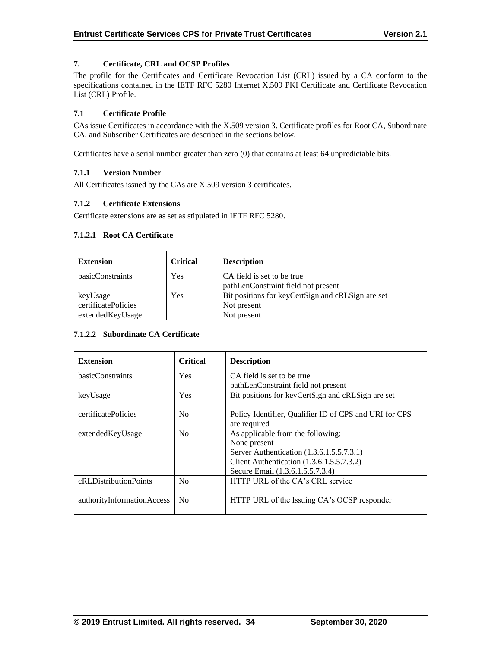## **7. Certificate, CRL and OCSP Profiles**

The profile for the Certificates and Certificate Revocation List (CRL) issued by a CA conform to the specifications contained in the IETF RFC 5280 Internet X.509 PKI Certificate and Certificate Revocation List (CRL) Profile.

## **7.1 Certificate Profile**

CAs issue Certificates in accordance with the X.509 version 3. Certificate profiles for Root CA, Subordinate CA, and Subscriber Certificates are described in the sections below.

Certificates have a serial number greater than zero (0) that contains at least 64 unpredictable bits.

## **7.1.1 Version Number**

All Certificates issued by the CAs are X.509 version 3 certificates.

## **7.1.2 Certificate Extensions**

Certificate extensions are as set as stipulated in IETF RFC 5280.

## **7.1.2.1 Root CA Certificate**

| <b>Extension</b>    | <b>Critical</b> | <b>Description</b>                                |
|---------------------|-----------------|---------------------------------------------------|
| basicConstraints    | Yes             | CA field is set to be true                        |
|                     |                 | pathLenConstraint field not present               |
| keyUsage            | Yes             | Bit positions for keyCertSign and cRLSign are set |
| certificatePolicies |                 | Not present                                       |
| extendedKeyUsage    |                 | Not present                                       |

#### **7.1.2.2 Subordinate CA Certificate**

| <b>Extension</b>           | Critical       | <b>Description</b>                                                                                                                                                              |
|----------------------------|----------------|---------------------------------------------------------------------------------------------------------------------------------------------------------------------------------|
| basicConstraints           | <b>Yes</b>     | CA field is set to be true<br>pathLenConstraint field not present                                                                                                               |
| keyUsage                   | <b>Yes</b>     | Bit positions for keyCertSign and cRLSign are set                                                                                                                               |
| certificatePolicies        | N <sub>0</sub> | Policy Identifier, Qualifier ID of CPS and URI for CPS<br>are required                                                                                                          |
| extendedKeyUsage           | N <sub>0</sub> | As applicable from the following:<br>None present<br>Server Authentication (1.3.6.1.5.5.7.3.1)<br>Client Authentication (1.3.6.1.5.5.7.3.2)<br>Secure Email (1.3.6.1.5.5.7.3.4) |
| cRLDistributionPoints      | N <sub>0</sub> | HTTP URL of the CA's CRL service                                                                                                                                                |
| authorityInformationAccess | N <sub>0</sub> | HTTP URL of the Issuing CA's OCSP responder                                                                                                                                     |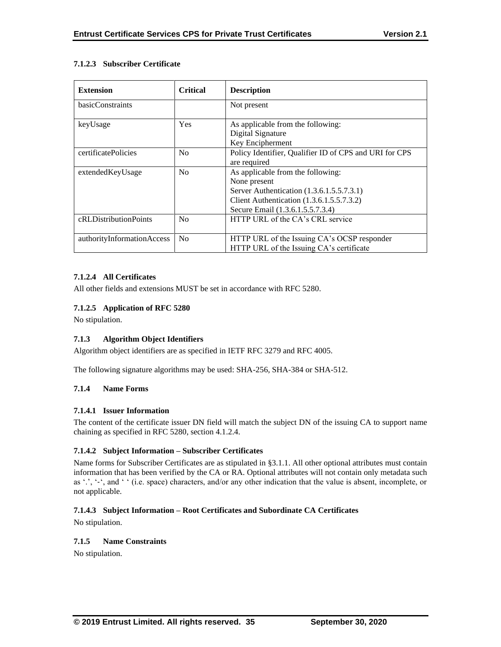## **7.1.2.3 Subscriber Certificate**

| <b>Extension</b>           | <b>Critical</b> | <b>Description</b>                                     |
|----------------------------|-----------------|--------------------------------------------------------|
| basicConstraints           |                 | Not present                                            |
| keyUsage                   | Yes             | As applicable from the following:                      |
|                            |                 | Digital Signature                                      |
|                            |                 | Key Encipherment                                       |
| certificatePolicies        | No              | Policy Identifier, Qualifier ID of CPS and URI for CPS |
|                            |                 | are required                                           |
| extendedKeyUsage           | N <sub>o</sub>  | As applicable from the following:                      |
|                            |                 | None present                                           |
|                            |                 | Server Authentication (1.3.6.1.5.5.7.3.1)              |
|                            |                 | Client Authentication (1.3.6.1.5.5.7.3.2)              |
|                            |                 | Secure Email (1.3.6.1.5.5.7.3.4)                       |
| cRLDistributionPoints      | No              | HTTP URL of the CA's CRL service                       |
|                            |                 |                                                        |
| authorityInformationAccess | N <sub>0</sub>  | HTTP URL of the Issuing CA's OCSP responder            |
|                            |                 | HTTP URL of the Issuing CA's certificate               |

## **7.1.2.4 All Certificates**

All other fields and extensions MUST be set in accordance with RFC 5280.

## **7.1.2.5 Application of RFC 5280**

No stipulation.

#### **7.1.3 Algorithm Object Identifiers**

Algorithm object identifiers are as specified in IETF RFC 3279 and RFC 4005.

The following signature algorithms may be used: SHA-256, SHA-384 or SHA-512.

#### **7.1.4 Name Forms**

#### **7.1.4.1 Issuer Information**

The content of the certificate issuer DN field will match the subject DN of the issuing CA to support name chaining as specified in RFC 5280, section 4.1.2.4.

## **7.1.4.2 Subject Information – Subscriber Certificates**

Name forms for Subscriber Certificates are as stipulated in §3.1.1. All other optional attributes must contain information that has been verified by the CA or RA. Optional attributes will not contain only metadata such as '.', '‐', and ' ' (i.e. space) characters, and/or any other indication that the value is absent, incomplete, or not applicable.

## **7.1.4.3 Subject Information – Root Certificates and Subordinate CA Certificates**

No stipulation.

## **7.1.5 Name Constraints**

No stipulation.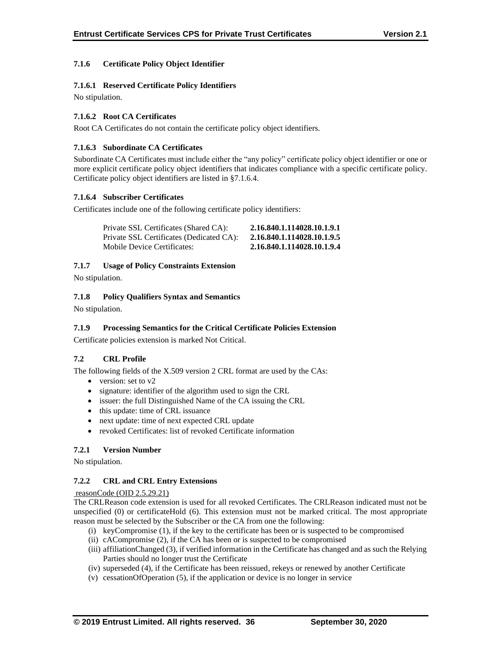## **7.1.6 Certificate Policy Object Identifier**

#### **7.1.6.1 Reserved Certificate Policy Identifiers**

No stipulation.

## **7.1.6.2 Root CA Certificates**

Root CA Certificates do not contain the certificate policy object identifiers.

#### **7.1.6.3 Subordinate CA Certificates**

Subordinate CA Certificates must include either the "any policy" certificate policy object identifier or one or more explicit certificate policy object identifiers that indicates compliance with a specific certificate policy. Certificate policy object identifiers are listed in §7.1.6.4.

## **7.1.6.4 Subscriber Certificates**

Certificates include one of the following certificate policy identifiers:

| Private SSL Certificates (Shared CA):    | 2.16.840.1.114028.10.1.9.1 |
|------------------------------------------|----------------------------|
| Private SSL Certificates (Dedicated CA): | 2.16.840.1.114028.10.1.9.5 |
| Mobile Device Certificates:              | 2.16.840.1.114028.10.1.9.4 |

## **7.1.7 Usage of Policy Constraints Extension**

No stipulation.

## **7.1.8 Policy Qualifiers Syntax and Semantics**

No stipulation.

## **7.1.9 Processing Semantics for the Critical Certificate Policies Extension**

Certificate policies extension is marked Not Critical.

#### **7.2 CRL Profile**

The following fields of the X.509 version 2 CRL format are used by the CAs:

- version: set to v2
- signature: identifier of the algorithm used to sign the CRL
- issuer: the full Distinguished Name of the CA issuing the CRL
- this update: time of CRL issuance
- next update: time of next expected CRL update
- revoked Certificates: list of revoked Certificate information

## **7.2.1 Version Number**

No stipulation.

#### **7.2.2 CRL and CRL Entry Extensions**

#### reasonCode (OID 2.5.29.21)

The CRLReason code extension is used for all revoked Certificates. The CRLReason indicated must not be unspecified (0) or certificateHold (6). This extension must not be marked critical. The most appropriate reason must be selected by the Subscriber or the CA from one the following:

- (i) keyCompromise (1), if the key to the certificate has been or is suspected to be compromised
- (ii) cACompromise (2), if the CA has been or is suspected to be compromised
- (iii) affiliationChanged (3), if verified information in the Certificate has changed and as such the Relying Parties should no longer trust the Certificate
- (iv) superseded (4), if the Certificate has been reissued, rekeys or renewed by another Certificate
- (v) cessationOfOperation (5), if the application or device is no longer in service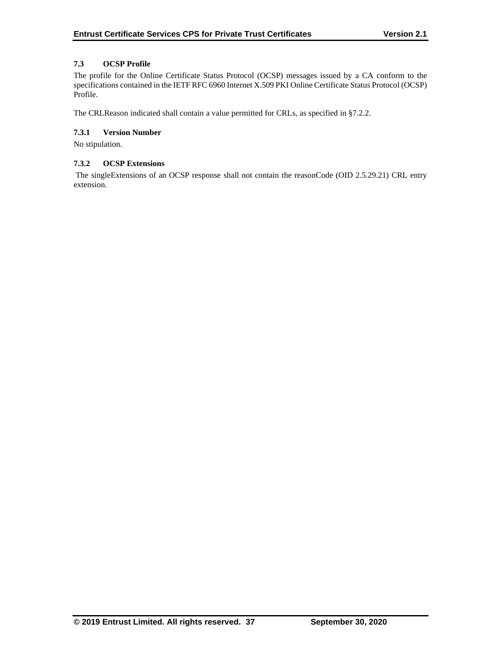## **7.3 OCSP Profile**

The profile for the Online Certificate Status Protocol (OCSP) messages issued by a CA conform to the specifications contained in the IETF RFC 6960 Internet X.509 PKI Online Certificate Status Protocol (OCSP) Profile.

The CRLReason indicated shall contain a value permitted for CRLs, as specified in §7.2.2.

## **7.3.1 Version Number**

No stipulation.

## **7.3.2 OCSP Extensions**

The singleExtensions of an OCSP response shall not contain the reasonCode (OID 2.5.29.21) CRL entry extension.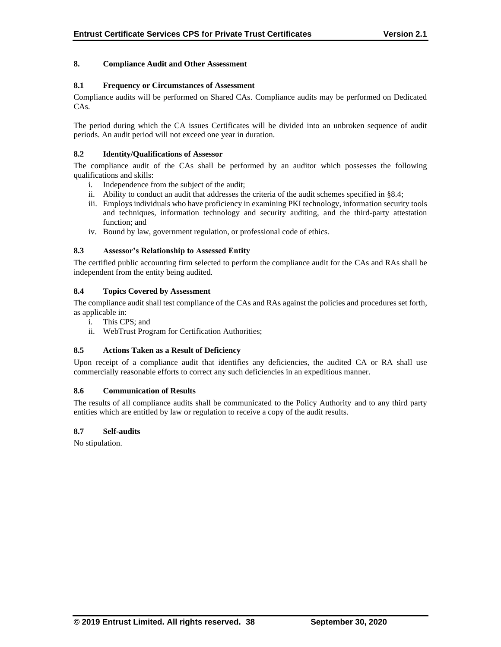## **8. Compliance Audit and Other Assessment**

#### **8.1 Frequency or Circumstances of Assessment**

Compliance audits will be performed on Shared CAs. Compliance audits may be performed on Dedicated CAs.

The period during which the CA issues Certificates will be divided into an unbroken sequence of audit periods. An audit period will not exceed one year in duration.

#### **8.2 Identity/Qualifications of Assessor**

The compliance audit of the CAs shall be performed by an auditor which possesses the following qualifications and skills:

- i. Independence from the subject of the audit;
- ii. Ability to conduct an audit that addresses the criteria of the audit schemes specified in §8.4;
- iii. Employs individuals who have proficiency in examining PKI technology, information security tools and techniques, information technology and security auditing, and the third-party attestation function; and
- iv. Bound by law, government regulation, or professional code of ethics.

## **8.3 Assessor's Relationship to Assessed Entity**

The certified public accounting firm selected to perform the compliance audit for the CAs and RAs shall be independent from the entity being audited.

## **8.4 Topics Covered by Assessment**

The compliance audit shall test compliance of the CAs and RAs against the policies and procedures set forth, as applicable in:

- i. This CPS; and
- ii. WebTrust Program for Certification Authorities;

#### **8.5 Actions Taken as a Result of Deficiency**

Upon receipt of a compliance audit that identifies any deficiencies, the audited CA or RA shall use commercially reasonable efforts to correct any such deficiencies in an expeditious manner.

#### **8.6 Communication of Results**

The results of all compliance audits shall be communicated to the Policy Authority and to any third party entities which are entitled by law or regulation to receive a copy of the audit results.

#### **8.7 Self-audits**

No stipulation.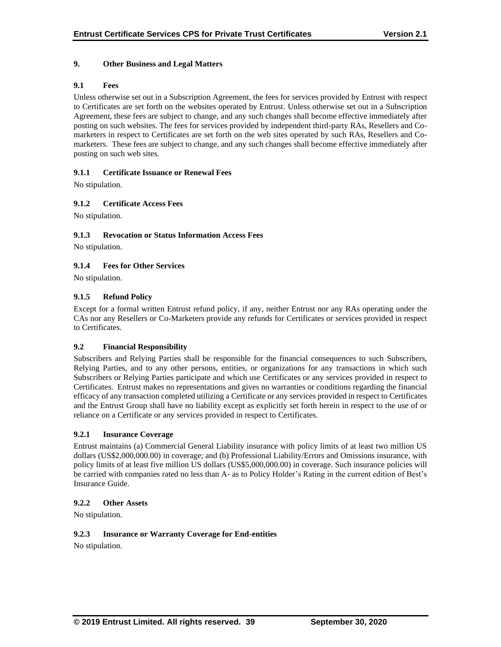## **9. Other Business and Legal Matters**

## **9.1 Fees**

Unless otherwise set out in a Subscription Agreement, the fees for services provided by Entrust with respect to Certificates are set forth on the websites operated by Entrust. Unless otherwise set out in a Subscription Agreement, these fees are subject to change, and any such changes shall become effective immediately after posting on such websites. The fees for services provided by independent third-party RAs, Resellers and Comarketers in respect to Certificates are set forth on the web sites operated by such RAs, Resellers and Comarketers. These fees are subject to change, and any such changes shall become effective immediately after posting on such web sites.

## **9.1.1 Certificate Issuance or Renewal Fees**

No stipulation.

## **9.1.2 Certificate Access Fees**

No stipulation.

## **9.1.3 Revocation or Status Information Access Fees**

No stipulation.

## **9.1.4 Fees for Other Services**

No stipulation.

## **9.1.5 Refund Policy**

Except for a formal written Entrust refund policy, if any, neither Entrust nor any RAs operating under the CAs nor any Resellers or Co-Marketers provide any refunds for Certificates or services provided in respect to Certificates.

#### **9.2 Financial Responsibility**

Subscribers and Relying Parties shall be responsible for the financial consequences to such Subscribers, Relying Parties, and to any other persons, entities, or organizations for any transactions in which such Subscribers or Relying Parties participate and which use Certificates or any services provided in respect to Certificates. Entrust makes no representations and gives no warranties or conditions regarding the financial efficacy of any transaction completed utilizing a Certificate or any services provided in respect to Certificates and the Entrust Group shall have no liability except as explicitly set forth herein in respect to the use of or reliance on a Certificate or any services provided in respect to Certificates.

#### **9.2.1 Insurance Coverage**

Entrust maintains (a) Commercial General Liability insurance with policy limits of at least two million US dollars (US\$2,000,000.00) in coverage; and (b) Professional Liability/Errors and Omissions insurance, with policy limits of at least five million US dollars (US\$5,000,000.00) in coverage. Such insurance policies will be carried with companies rated no less than A- as to Policy Holder's Rating in the current edition of Best's Insurance Guide.

#### **9.2.2 Other Assets**

No stipulation.

#### **9.2.3 Insurance or Warranty Coverage for End-entities**

No stipulation.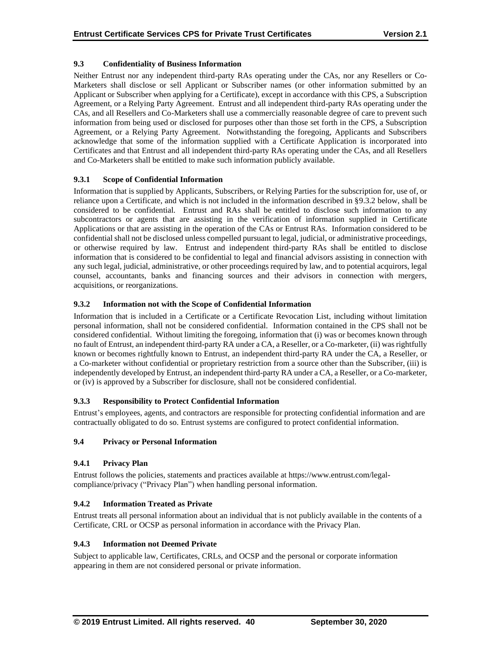## **9.3 Confidentiality of Business Information**

Neither Entrust nor any independent third-party RAs operating under the CAs, nor any Resellers or Co-Marketers shall disclose or sell Applicant or Subscriber names (or other information submitted by an Applicant or Subscriber when applying for a Certificate), except in accordance with this CPS, a Subscription Agreement, or a Relying Party Agreement. Entrust and all independent third-party RAs operating under the CAs, and all Resellers and Co-Marketers shall use a commercially reasonable degree of care to prevent such information from being used or disclosed for purposes other than those set forth in the CPS, a Subscription Agreement, or a Relying Party Agreement. Notwithstanding the foregoing, Applicants and Subscribers acknowledge that some of the information supplied with a Certificate Application is incorporated into Certificates and that Entrust and all independent third-party RAs operating under the CAs, and all Resellers and Co-Marketers shall be entitled to make such information publicly available.

## **9.3.1 Scope of Confidential Information**

Information that is supplied by Applicants, Subscribers, or Relying Parties for the subscription for, use of, or reliance upon a Certificate, and which is not included in the information described in §9.3.2 below, shall be considered to be confidential. Entrust and RAs shall be entitled to disclose such information to any subcontractors or agents that are assisting in the verification of information supplied in Certificate Applications or that are assisting in the operation of the CAs or Entrust RAs. Information considered to be confidential shall not be disclosed unless compelled pursuant to legal, judicial, or administrative proceedings, or otherwise required by law. Entrust and independent third-party RAs shall be entitled to disclose information that is considered to be confidential to legal and financial advisors assisting in connection with any such legal, judicial, administrative, or other proceedings required by law, and to potential acquirors, legal counsel, accountants, banks and financing sources and their advisors in connection with mergers, acquisitions, or reorganizations.

## **9.3.2 Information not with the Scope of Confidential Information**

Information that is included in a Certificate or a Certificate Revocation List, including without limitation personal information, shall not be considered confidential. Information contained in the CPS shall not be considered confidential. Without limiting the foregoing, information that (i) was or becomes known through no fault of Entrust, an independent third-party RA under a CA, a Reseller, or a Co-marketer, (ii) was rightfully known or becomes rightfully known to Entrust, an independent third-party RA under the CA, a Reseller, or a Co-marketer without confidential or proprietary restriction from a source other than the Subscriber, (iii) is independently developed by Entrust, an independent third-party RA under a CA, a Reseller, or a Co-marketer, or (iv) is approved by a Subscriber for disclosure, shall not be considered confidential.

## **9.3.3 Responsibility to Protect Confidential Information**

Entrust's employees, agents, and contractors are responsible for protecting confidential information and are contractually obligated to do so. Entrust systems are configured to protect confidential information.

## **9.4 Privacy or Personal Information**

## **9.4.1 Privacy Plan**

Entrust follows the policies, statements and practices available at https://www.entrust.com/legalcompliance/privacy ("Privacy Plan") when handling personal information.

## **9.4.2 Information Treated as Private**

Entrust treats all personal information about an individual that is not publicly available in the contents of a Certificate, CRL or OCSP as personal information in accordance with the Privacy Plan.

## **9.4.3 Information not Deemed Private**

Subject to applicable law, Certificates, CRLs, and OCSP and the personal or corporate information appearing in them are not considered personal or private information.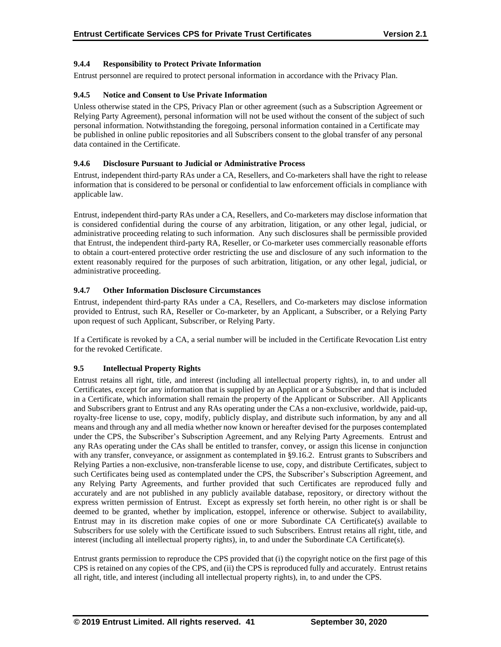## **9.4.4 Responsibility to Protect Private Information**

Entrust personnel are required to protect personal information in accordance with the Privacy Plan.

## **9.4.5 Notice and Consent to Use Private Information**

Unless otherwise stated in the CPS, Privacy Plan or other agreement (such as a Subscription Agreement or Relying Party Agreement), personal information will not be used without the consent of the subject of such personal information. Notwithstanding the foregoing, personal information contained in a Certificate may be published in online public repositories and all Subscribers consent to the global transfer of any personal data contained in the Certificate.

## **9.4.6 Disclosure Pursuant to Judicial or Administrative Process**

Entrust, independent third-party RAs under a CA, Resellers, and Co-marketers shall have the right to release information that is considered to be personal or confidential to law enforcement officials in compliance with applicable law.

Entrust, independent third-party RAs under a CA, Resellers, and Co-marketers may disclose information that is considered confidential during the course of any arbitration, litigation, or any other legal, judicial, or administrative proceeding relating to such information. Any such disclosures shall be permissible provided that Entrust, the independent third-party RA, Reseller, or Co-marketer uses commercially reasonable efforts to obtain a court-entered protective order restricting the use and disclosure of any such information to the extent reasonably required for the purposes of such arbitration, litigation, or any other legal, judicial, or administrative proceeding.

## **9.4.7 Other Information Disclosure Circumstances**

Entrust, independent third-party RAs under a CA, Resellers, and Co-marketers may disclose information provided to Entrust, such RA, Reseller or Co-marketer, by an Applicant, a Subscriber, or a Relying Party upon request of such Applicant, Subscriber, or Relying Party.

If a Certificate is revoked by a CA, a serial number will be included in the Certificate Revocation List entry for the revoked Certificate.

## **9.5 Intellectual Property Rights**

Entrust retains all right, title, and interest (including all intellectual property rights), in, to and under all Certificates, except for any information that is supplied by an Applicant or a Subscriber and that is included in a Certificate, which information shall remain the property of the Applicant or Subscriber. All Applicants and Subscribers grant to Entrust and any RAs operating under the CAs a non-exclusive, worldwide, paid-up, royalty-free license to use, copy, modify, publicly display, and distribute such information, by any and all means and through any and all media whether now known or hereafter devised for the purposes contemplated under the CPS, the Subscriber's Subscription Agreement, and any Relying Party Agreements. Entrust and any RAs operating under the CAs shall be entitled to transfer, convey, or assign this license in conjunction with any transfer, conveyance, or assignment as contemplated in §9.16.2. Entrust grants to Subscribers and Relying Parties a non-exclusive, non-transferable license to use, copy, and distribute Certificates, subject to such Certificates being used as contemplated under the CPS, the Subscriber's Subscription Agreement, and any Relying Party Agreements, and further provided that such Certificates are reproduced fully and accurately and are not published in any publicly available database, repository, or directory without the express written permission of Entrust. Except as expressly set forth herein, no other right is or shall be deemed to be granted, whether by implication, estoppel, inference or otherwise. Subject to availability, Entrust may in its discretion make copies of one or more Subordinate CA Certificate(s) available to Subscribers for use solely with the Certificate issued to such Subscribers. Entrust retains all right, title, and interest (including all intellectual property rights), in, to and under the Subordinate CA Certificate(s).

Entrust grants permission to reproduce the CPS provided that (i) the copyright notice on the first page of this CPS is retained on any copies of the CPS, and (ii) the CPS is reproduced fully and accurately. Entrust retains all right, title, and interest (including all intellectual property rights), in, to and under the CPS.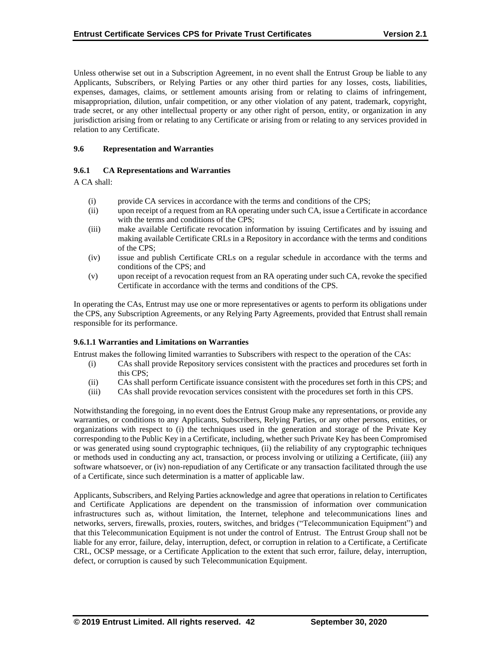Unless otherwise set out in a Subscription Agreement, in no event shall the Entrust Group be liable to any Applicants, Subscribers, or Relying Parties or any other third parties for any losses, costs, liabilities, expenses, damages, claims, or settlement amounts arising from or relating to claims of infringement, misappropriation, dilution, unfair competition, or any other violation of any patent, trademark, copyright, trade secret, or any other intellectual property or any other right of person, entity, or organization in any jurisdiction arising from or relating to any Certificate or arising from or relating to any services provided in relation to any Certificate.

## **9.6 Representation and Warranties**

#### **9.6.1 CA Representations and Warranties**

A CA shall:

- (i) provide CA services in accordance with the terms and conditions of the CPS;
- (ii) upon receipt of a request from an RA operating under such CA, issue a Certificate in accordance with the terms and conditions of the CPS;
- (iii) make available Certificate revocation information by issuing Certificates and by issuing and making available Certificate CRLs in a Repository in accordance with the terms and conditions of the CPS;
- (iv) issue and publish Certificate CRLs on a regular schedule in accordance with the terms and conditions of the CPS; and
- (v) upon receipt of a revocation request from an RA operating under such CA, revoke the specified Certificate in accordance with the terms and conditions of the CPS.

In operating the CAs, Entrust may use one or more representatives or agents to perform its obligations under the CPS, any Subscription Agreements, or any Relying Party Agreements, provided that Entrust shall remain responsible for its performance.

#### **9.6.1.1 Warranties and Limitations on Warranties**

Entrust makes the following limited warranties to Subscribers with respect to the operation of the CAs:

- (i) CAs shall provide Repository services consistent with the practices and procedures set forth in this CPS;
- (ii) CAs shall perform Certificate issuance consistent with the procedures set forth in this CPS; and
- (iii) CAs shall provide revocation services consistent with the procedures set forth in this CPS.

Notwithstanding the foregoing, in no event does the Entrust Group make any representations, or provide any warranties, or conditions to any Applicants, Subscribers, Relying Parties, or any other persons, entities, or organizations with respect to (i) the techniques used in the generation and storage of the Private Key corresponding to the Public Key in a Certificate, including, whether such Private Key has been Compromised or was generated using sound cryptographic techniques, (ii) the reliability of any cryptographic techniques or methods used in conducting any act, transaction, or process involving or utilizing a Certificate, (iii) any software whatsoever, or (iv) non-repudiation of any Certificate or any transaction facilitated through the use of a Certificate, since such determination is a matter of applicable law.

Applicants, Subscribers, and Relying Parties acknowledge and agree that operations in relation to Certificates and Certificate Applications are dependent on the transmission of information over communication infrastructures such as, without limitation, the Internet, telephone and telecommunications lines and networks, servers, firewalls, proxies, routers, switches, and bridges ("Telecommunication Equipment") and that this Telecommunication Equipment is not under the control of Entrust. The Entrust Group shall not be liable for any error, failure, delay, interruption, defect, or corruption in relation to a Certificate, a Certificate CRL, OCSP message, or a Certificate Application to the extent that such error, failure, delay, interruption, defect, or corruption is caused by such Telecommunication Equipment.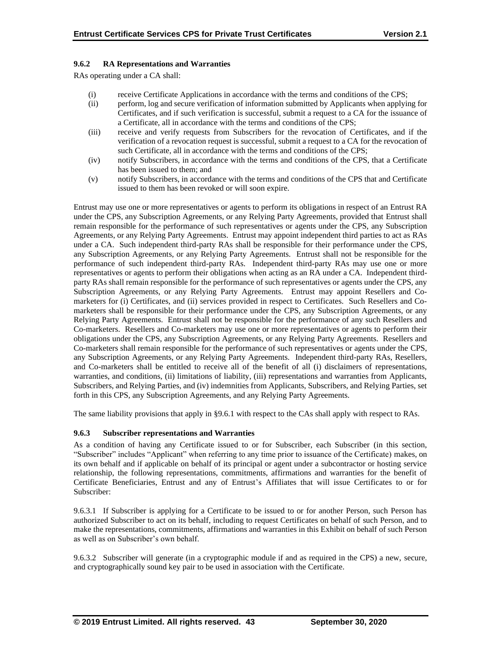## **9.6.2 RA Representations and Warranties**

RAs operating under a CA shall:

- (i) receive Certificate Applications in accordance with the terms and conditions of the CPS;
- (ii) perform, log and secure verification of information submitted by Applicants when applying for Certificates, and if such verification is successful, submit a request to a CA for the issuance of a Certificate, all in accordance with the terms and conditions of the CPS;
- (iii) receive and verify requests from Subscribers for the revocation of Certificates, and if the verification of a revocation request is successful, submit a request to a CA for the revocation of such Certificate, all in accordance with the terms and conditions of the CPS;
- (iv) notify Subscribers, in accordance with the terms and conditions of the CPS, that a Certificate has been issued to them; and
- (v) notify Subscribers, in accordance with the terms and conditions of the CPS that and Certificate issued to them has been revoked or will soon expire.

Entrust may use one or more representatives or agents to perform its obligations in respect of an Entrust RA under the CPS, any Subscription Agreements, or any Relying Party Agreements, provided that Entrust shall remain responsible for the performance of such representatives or agents under the CPS, any Subscription Agreements, or any Relying Party Agreements. Entrust may appoint independent third parties to act as RAs under a CA. Such independent third-party RAs shall be responsible for their performance under the CPS, any Subscription Agreements, or any Relying Party Agreements. Entrust shall not be responsible for the performance of such independent third-party RAs. Independent third-party RAs may use one or more representatives or agents to perform their obligations when acting as an RA under a CA. Independent thirdparty RAs shall remain responsible for the performance of such representatives or agents under the CPS, any Subscription Agreements, or any Relying Party Agreements. Entrust may appoint Resellers and Comarketers for (i) Certificates, and (ii) services provided in respect to Certificates. Such Resellers and Comarketers shall be responsible for their performance under the CPS, any Subscription Agreements, or any Relying Party Agreements. Entrust shall not be responsible for the performance of any such Resellers and Co-marketers. Resellers and Co-marketers may use one or more representatives or agents to perform their obligations under the CPS, any Subscription Agreements, or any Relying Party Agreements. Resellers and Co-marketers shall remain responsible for the performance of such representatives or agents under the CPS, any Subscription Agreements, or any Relying Party Agreements. Independent third-party RAs, Resellers, and Co-marketers shall be entitled to receive all of the benefit of all (i) disclaimers of representations, warranties, and conditions, (ii) limitations of liability, (iii) representations and warranties from Applicants, Subscribers, and Relying Parties, and (iv) indemnities from Applicants, Subscribers, and Relying Parties, set forth in this CPS, any Subscription Agreements, and any Relying Party Agreements.

The same liability provisions that apply in §9.6.1 with respect to the CAs shall apply with respect to RAs.

#### **9.6.3 Subscriber representations and Warranties**

As a condition of having any Certificate issued to or for Subscriber, each Subscriber (in this section, "Subscriber" includes "Applicant" when referring to any time prior to issuance of the Certificate) makes, on its own behalf and if applicable on behalf of its principal or agent under a subcontractor or hosting service relationship, the following representations, commitments, affirmations and warranties for the benefit of Certificate Beneficiaries, Entrust and any of Entrust's Affiliates that will issue Certificates to or for Subscriber:

9.6.3.1 If Subscriber is applying for a Certificate to be issued to or for another Person, such Person has authorized Subscriber to act on its behalf, including to request Certificates on behalf of such Person, and to make the representations, commitments, affirmations and warranties in this Exhibit on behalf of such Person as well as on Subscriber's own behalf.

9.6.3.2 Subscriber will generate (in a cryptographic module if and as required in the CPS) a new, secure, and cryptographically sound key pair to be used in association with the Certificate.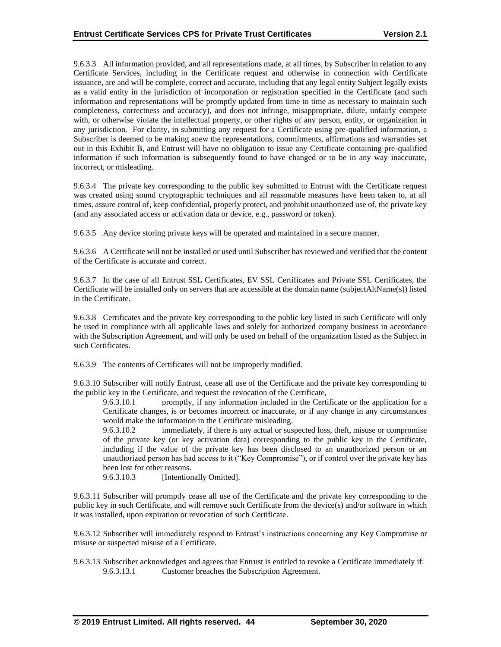9.6.3.3 All information provided, and all representations made, at all times, by Subscriber in relation to any Certificate Services, including in the Certificate request and otherwise in connection with Certificate issuance, are and will be complete, correct and accurate, including that any legal entity Subject legally exists as a valid entity in the jurisdiction of incorporation or registration specified in the Certificate (and such information and representations will be promptly updated from time to time as necessary to maintain such completeness, correctness and accuracy), and does not infringe, misappropriate, dilute, unfairly compete with, or otherwise violate the intellectual property, or other rights of any person, entity, or organization in any jurisdiction. For clarity, in submitting any request for a Certificate using pre-qualified information, a Subscriber is deemed to be making anew the representations, commitments, affirmations and warranties set out in this Exhibit B, and Entrust will have no obligation to issue any Certificate containing pre-qualified information if such information is subsequently found to have changed or to be in any way inaccurate, incorrect, or misleading.

9.6.3.4 The private key corresponding to the public key submitted to Entrust with the Certificate request was created using sound cryptographic techniques and all reasonable measures have been taken to, at all times, assure control of, keep confidential, properly protect, and prohibit unauthorized use of, the private key (and any associated access or activation data or device, e.g., password or token).

9.6.3.5 Any device storing private keys will be operated and maintained in a secure manner.

9.6.3.6 A Certificate will not be installed or used until Subscriber has reviewed and verified that the content of the Certificate is accurate and correct.

9.6.3.7 In the case of all Entrust SSL Certificates, EV SSL Certificates and Private SSL Certificates, the Certificate will be installed only on servers that are accessible at the domain name (subjectAltName(s)) listed in the Certificate.

9.6.3.8 Certificates and the private key corresponding to the public key listed in such Certificate will only be used in compliance with all applicable laws and solely for authorized company business in accordance with the Subscription Agreement, and will only be used on behalf of the organization listed as the Subject in such Certificates.

9.6.3.9 The contents of Certificates will not be improperly modified.

9.6.3.10 Subscriber will notify Entrust, cease all use of the Certificate and the private key corresponding to the public key in the Certificate, and request the revocation of the Certificate,

9.6.3.10.1 promptly, if any information included in the Certificate or the application for a Certificate changes, is or becomes incorrect or inaccurate, or if any change in any circumstances would make the information in the Certificate misleading.

9.6.3.10.2 immediately, if there is any actual or suspected loss, theft, misuse or compromise of the private key (or key activation data) corresponding to the public key in the Certificate, including if the value of the private key has been disclosed to an unauthorized person or an unauthorized person has had access to it ("Key Compromise"), or if control over the private key has been lost for other reasons.

9.6.3.10.3 [Intentionally Omitted].

9.6.3.11 Subscriber will promptly cease all use of the Certificate and the private key corresponding to the public key in such Certificate, and will remove such Certificate from the device(s) and/or software in which it was installed, upon expiration or revocation of such Certificate.

9.6.3.12 Subscriber will immediately respond to Entrust's instructions concerning any Key Compromise or misuse or suspected misuse of a Certificate.

9.6.3.13 Subscriber acknowledges and agrees that Entrust is entitled to revoke a Certificate immediately if: 9.6.3.13.1 Customer breaches the Subscription Agreement.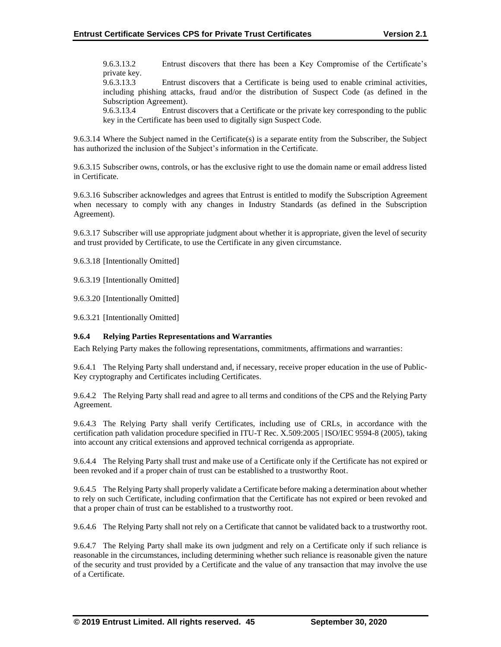9.6.3.13.2 Entrust discovers that there has been a Key Compromise of the Certificate's private key.

9.6.3.13.3 Entrust discovers that a Certificate is being used to enable criminal activities, including phishing attacks, fraud and/or the distribution of Suspect Code (as defined in the Subscription Agreement).

9.6.3.13.4 Entrust discovers that a Certificate or the private key corresponding to the public key in the Certificate has been used to digitally sign Suspect Code.

9.6.3.14 Where the Subject named in the Certificate(s) is a separate entity from the Subscriber, the Subject has authorized the inclusion of the Subject's information in the Certificate.

9.6.3.15 Subscriber owns, controls, or has the exclusive right to use the domain name or email address listed in Certificate.

9.6.3.16 Subscriber acknowledges and agrees that Entrust is entitled to modify the Subscription Agreement when necessary to comply with any changes in Industry Standards (as defined in the Subscription Agreement).

9.6.3.17 Subscriber will use appropriate judgment about whether it is appropriate, given the level of security and trust provided by Certificate, to use the Certificate in any given circumstance.

9.6.3.18 [Intentionally Omitted]

9.6.3.19 [Intentionally Omitted]

9.6.3.20 [Intentionally Omitted]

9.6.3.21 [Intentionally Omitted]

## **9.6.4 Relying Parties Representations and Warranties**

Each Relying Party makes the following representations, commitments, affirmations and warranties:

9.6.4.1 The Relying Party shall understand and, if necessary, receive proper education in the use of Public-Key cryptography and Certificates including Certificates.

9.6.4.2 The Relying Party shall read and agree to all terms and conditions of the CPS and the Relying Party Agreement.

9.6.4.3 The Relying Party shall verify Certificates, including use of CRLs, in accordance with the certification path validation procedure specified in ITU-T Rec. X.509:2005 | ISO/IEC 9594-8 (2005), taking into account any critical extensions and approved technical corrigenda as appropriate.

9.6.4.4 The Relying Party shall trust and make use of a Certificate only if the Certificate has not expired or been revoked and if a proper chain of trust can be established to a trustworthy Root.

9.6.4.5 The Relying Party shall properly validate a Certificate before making a determination about whether to rely on such Certificate, including confirmation that the Certificate has not expired or been revoked and that a proper chain of trust can be established to a trustworthy root.

9.6.4.6 The Relying Party shall not rely on a Certificate that cannot be validated back to a trustworthy root.

9.6.4.7 The Relying Party shall make its own judgment and rely on a Certificate only if such reliance is reasonable in the circumstances, including determining whether such reliance is reasonable given the nature of the security and trust provided by a Certificate and the value of any transaction that may involve the use of a Certificate.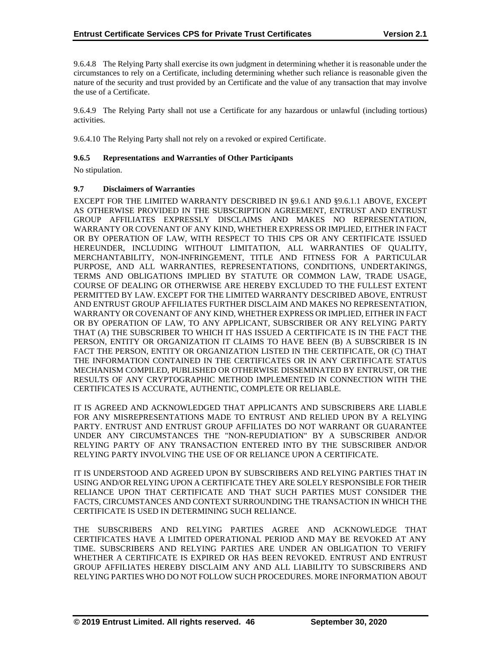9.6.4.8 The Relying Party shall exercise its own judgment in determining whether it is reasonable under the circumstances to rely on a Certificate, including determining whether such reliance is reasonable given the nature of the security and trust provided by an Certificate and the value of any transaction that may involve the use of a Certificate.

9.6.4.9 The Relying Party shall not use a Certificate for any hazardous or unlawful (including tortious) activities.

9.6.4.10 The Relying Party shall not rely on a revoked or expired Certificate.

## **9.6.5 Representations and Warranties of Other Participants**

No stipulation.

#### **9.7 Disclaimers of Warranties**

EXCEPT FOR THE LIMITED WARRANTY DESCRIBED IN §9.6.1 AND §9.6.1.1 ABOVE, EXCEPT AS OTHERWISE PROVIDED IN THE SUBSCRIPTION AGREEMENT, ENTRUST AND ENTRUST GROUP AFFILIATES EXPRESSLY DISCLAIMS AND MAKES NO REPRESENTATION, WARRANTY OR COVENANT OF ANY KIND, WHETHER EXPRESS OR IMPLIED, EITHER IN FACT OR BY OPERATION OF LAW, WITH RESPECT TO THIS CPS OR ANY CERTIFICATE ISSUED HEREUNDER, INCLUDING WITHOUT LIMITATION, ALL WARRANTIES OF QUALITY, MERCHANTABILITY, NON-INFRINGEMENT, TITLE AND FITNESS FOR A PARTICULAR PURPOSE, AND ALL WARRANTIES, REPRESENTATIONS, CONDITIONS, UNDERTAKINGS, TERMS AND OBLIGATIONS IMPLIED BY STATUTE OR COMMON LAW, TRADE USAGE, COURSE OF DEALING OR OTHERWISE ARE HEREBY EXCLUDED TO THE FULLEST EXTENT PERMITTED BY LAW. EXCEPT FOR THE LIMITED WARRANTY DESCRIBED ABOVE, ENTRUST AND ENTRUST GROUP AFFILIATES FURTHER DISCLAIM AND MAKES NO REPRESENTATION, WARRANTY OR COVENANT OF ANY KIND, WHETHER EXPRESS OR IMPLIED, EITHER IN FACT OR BY OPERATION OF LAW, TO ANY APPLICANT, SUBSCRIBER OR ANY RELYING PARTY THAT (A) THE SUBSCRIBER TO WHICH IT HAS ISSUED A CERTIFICATE IS IN THE FACT THE PERSON, ENTITY OR ORGANIZATION IT CLAIMS TO HAVE BEEN (B) A SUBSCRIBER IS IN FACT THE PERSON, ENTITY OR ORGANIZATION LISTED IN THE CERTIFICATE, OR (C) THAT THE INFORMATION CONTAINED IN THE CERTIFICATES OR IN ANY CERTIFICATE STATUS MECHANISM COMPILED, PUBLISHED OR OTHERWISE DISSEMINATED BY ENTRUST, OR THE RESULTS OF ANY CRYPTOGRAPHIC METHOD IMPLEMENTED IN CONNECTION WITH THE CERTIFICATES IS ACCURATE, AUTHENTIC, COMPLETE OR RELIABLE.

IT IS AGREED AND ACKNOWLEDGED THAT APPLICANTS AND SUBSCRIBERS ARE LIABLE FOR ANY MISREPRESENTATIONS MADE TO ENTRUST AND RELIED UPON BY A RELYING PARTY. ENTRUST AND ENTRUST GROUP AFFILIATES DO NOT WARRANT OR GUARANTEE UNDER ANY CIRCUMSTANCES THE "NON-REPUDIATION" BY A SUBSCRIBER AND/OR RELYING PARTY OF ANY TRANSACTION ENTERED INTO BY THE SUBSCRIBER AND/OR RELYING PARTY INVOLVING THE USE OF OR RELIANCE UPON A CERTIFICATE.

IT IS UNDERSTOOD AND AGREED UPON BY SUBSCRIBERS AND RELYING PARTIES THAT IN USING AND/OR RELYING UPON A CERTIFICATE THEY ARE SOLELY RESPONSIBLE FOR THEIR RELIANCE UPON THAT CERTIFICATE AND THAT SUCH PARTIES MUST CONSIDER THE FACTS, CIRCUMSTANCES AND CONTEXT SURROUNDING THE TRANSACTION IN WHICH THE CERTIFICATE IS USED IN DETERMINING SUCH RELIANCE.

THE SUBSCRIBERS AND RELYING PARTIES AGREE AND ACKNOWLEDGE THAT CERTIFICATES HAVE A LIMITED OPERATIONAL PERIOD AND MAY BE REVOKED AT ANY TIME. SUBSCRIBERS AND RELYING PARTIES ARE UNDER AN OBLIGATION TO VERIFY WHETHER A CERTIFICATE IS EXPIRED OR HAS BEEN REVOKED. ENTRUST AND ENTRUST GROUP AFFILIATES HEREBY DISCLAIM ANY AND ALL LIABILITY TO SUBSCRIBERS AND RELYING PARTIES WHO DO NOT FOLLOW SUCH PROCEDURES. MORE INFORMATION ABOUT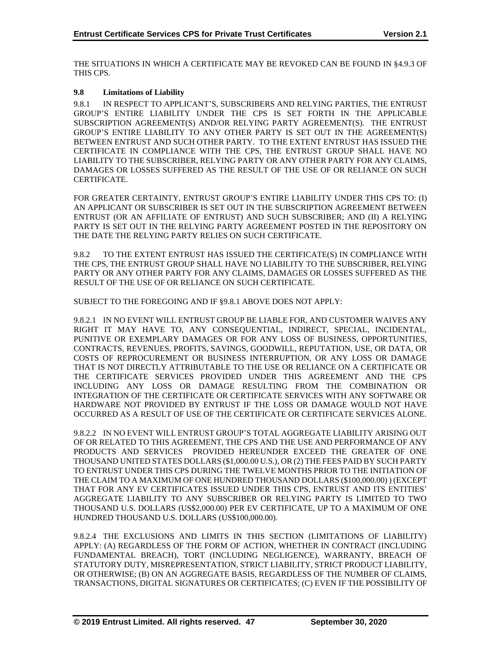THE SITUATIONS IN WHICH A CERTIFICATE MAY BE REVOKED CAN BE FOUND IN §4.9.3 OF THIS CPS.

## **9.8 Limitations of Liability**

9.8.1 IN RESPECT TO APPLICANT'S, SUBSCRIBERS AND RELYING PARTIES, THE ENTRUST GROUP'S ENTIRE LIABILITY UNDER THE CPS IS SET FORTH IN THE APPLICABLE SUBSCRIPTION AGREEMENT(S) AND/OR RELYING PARTY AGREEMENT(S). THE ENTRUST GROUP'S ENTIRE LIABILITY TO ANY OTHER PARTY IS SET OUT IN THE AGREEMENT(S) BETWEEN ENTRUST AND SUCH OTHER PARTY. TO THE EXTENT ENTRUST HAS ISSUED THE CERTIFICATE IN COMPLIANCE WITH THE CPS, THE ENTRUST GROUP SHALL HAVE NO LIABILITY TO THE SUBSCRIBER, RELYING PARTY OR ANY OTHER PARTY FOR ANY CLAIMS, DAMAGES OR LOSSES SUFFERED AS THE RESULT OF THE USE OF OR RELIANCE ON SUCH CERTIFICATE.

FOR GREATER CERTAINTY, ENTRUST GROUP'S ENTIRE LIABILITY UNDER THIS CPS TO: (I) AN APPLICANT OR SUBSCRIBER IS SET OUT IN THE SUBSCRIPTION AGREEMENT BETWEEN ENTRUST (OR AN AFFILIATE OF ENTRUST) AND SUCH SUBSCRIBER; AND (II) A RELYING PARTY IS SET OUT IN THE RELYING PARTY AGREEMENT POSTED IN THE REPOSITORY ON THE DATE THE RELYING PARTY RELIES ON SUCH CERTIFICATE.

9.8.2 TO THE EXTENT ENTRUST HAS ISSUED THE CERTIFICATE(S) IN COMPLIANCE WITH THE CPS, THE ENTRUST GROUP SHALL HAVE NO LIABILITY TO THE SUBSCRIBER, RELYING PARTY OR ANY OTHER PARTY FOR ANY CLAIMS, DAMAGES OR LOSSES SUFFERED AS THE RESULT OF THE USE OF OR RELIANCE ON SUCH CERTIFICATE.

SUBJECT TO THE FOREGOING AND IF §9.8.1 ABOVE DOES NOT APPLY:

9.8.2.1 IN NO EVENT WILL ENTRUST GROUP BE LIABLE FOR, AND CUSTOMER WAIVES ANY RIGHT IT MAY HAVE TO, ANY CONSEQUENTIAL, INDIRECT, SPECIAL, INCIDENTAL, PUNITIVE OR EXEMPLARY DAMAGES OR FOR ANY LOSS OF BUSINESS, OPPORTUNITIES, CONTRACTS, REVENUES, PROFITS, SAVINGS, GOODWILL, REPUTATION, USE, OR DATA, OR COSTS OF REPROCUREMENT OR BUSINESS INTERRUPTION, OR ANY LOSS OR DAMAGE THAT IS NOT DIRECTLY ATTRIBUTABLE TO THE USE OR RELIANCE ON A CERTIFICATE OR THE CERTIFICATE SERVICES PROVIDED UNDER THIS AGREEMENT AND THE CPS INCLUDING ANY LOSS OR DAMAGE RESULTING FROM THE COMBINATION OR INTEGRATION OF THE CERTIFICATE OR CERTIFICATE SERVICES WITH ANY SOFTWARE OR HARDWARE NOT PROVIDED BY ENTRUST IF THE LOSS OR DAMAGE WOULD NOT HAVE OCCURRED AS A RESULT OF USE OF THE CERTIFICATE OR CERTIFICATE SERVICES ALONE.

9.8.2.2 IN NO EVENT WILL ENTRUST GROUP'S TOTAL AGGREGATE LIABILITY ARISING OUT OF OR RELATED TO THIS AGREEMENT, THE CPS AND THE USE AND PERFORMANCE OF ANY PRODUCTS AND SERVICES PROVIDED HEREUNDER EXCEED THE GREATER OF ONE THOUSAND UNITED STATES DOLLARS (\$1,000.00 U.S.), OR (2) THE FEES PAID BY SUCH PARTY TO ENTRUST UNDER THIS CPS DURING THE TWELVE MONTHS PRIOR TO THE INITIATION OF THE CLAIM TO A MAXIMUM OF ONE HUNDRED THOUSAND DOLLARS (\$100,000.00) ) (EXCEPT THAT FOR ANY EV CERTIFICATES ISSUED UNDER THIS CPS, ENTRUST AND ITS ENTITIES' AGGREGATE LIABILITY TO ANY SUBSCRIBER OR RELYING PARTY IS LIMITED TO TWO THOUSAND U.S. DOLLARS (US\$2,000.00) PER EV CERTIFICATE, UP TO A MAXIMUM OF ONE HUNDRED THOUSAND U.S. DOLLARS (US\$100,000.00).

9.8.2.4 THE EXCLUSIONS AND LIMITS IN THIS SECTION (LIMITATIONS OF LIABILITY) APPLY: (A) REGARDLESS OF THE FORM OF ACTION, WHETHER IN CONTRACT (INCLUDING FUNDAMENTAL BREACH), TORT (INCLUDING NEGLIGENCE), WARRANTY, BREACH OF STATUTORY DUTY, MISREPRESENTATION, STRICT LIABILITY, STRICT PRODUCT LIABILITY, OR OTHERWISE; (B) ON AN AGGREGATE BASIS, REGARDLESS OF THE NUMBER OF CLAIMS, TRANSACTIONS, DIGITAL SIGNATURES OR CERTIFICATES; (C) EVEN IF THE POSSIBILITY OF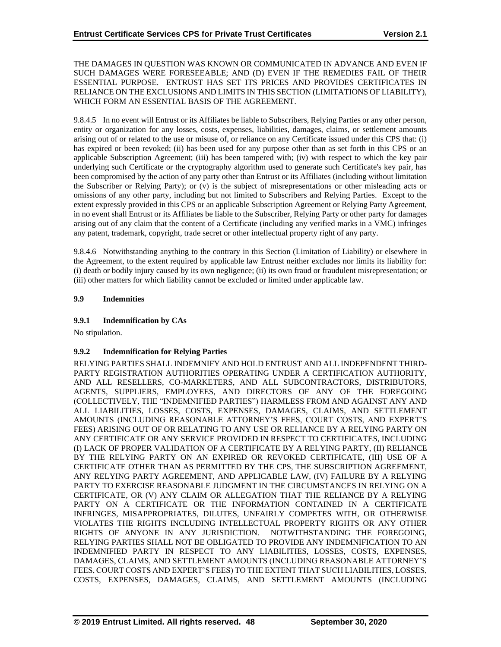THE DAMAGES IN QUESTION WAS KNOWN OR COMMUNICATED IN ADVANCE AND EVEN IF SUCH DAMAGES WERE FORESEEABLE; AND (D) EVEN IF THE REMEDIES FAIL OF THEIR ESSENTIAL PURPOSE. ENTRUST HAS SET ITS PRICES AND PROVIDES CERTIFICATES IN RELIANCE ON THE EXCLUSIONS AND LIMITS IN THIS SECTION (LIMITATIONS OF LIABILITY), WHICH FORM AN ESSENTIAL BASIS OF THE AGREEMENT.

9.8.4.5 In no event will Entrust or its Affiliates be liable to Subscribers, Relying Parties or any other person, entity or organization for any losses, costs, expenses, liabilities, damages, claims, or settlement amounts arising out of or related to the use or misuse of, or reliance on any Certificate issued under this CPS that: (i) has expired or been revoked; (ii) has been used for any purpose other than as set forth in this CPS or an applicable Subscription Agreement; (iii) has been tampered with; (iv) with respect to which the key pair underlying such Certificate or the cryptography algorithm used to generate such Certificate's key pair, has been compromised by the action of any party other than Entrust or its Affiliates (including without limitation the Subscriber or Relying Party); or (v) is the subject of misrepresentations or other misleading acts or omissions of any other party, including but not limited to Subscribers and Relying Parties. Except to the extent expressly provided in this CPS or an applicable Subscription Agreement or Relying Party Agreement, in no event shall Entrust or its Affiliates be liable to the Subscriber, Relying Party or other party for damages arising out of any claim that the content of a Certificate (including any verified marks in a VMC) infringes any patent, trademark, copyright, trade secret or other intellectual property right of any party.

9.8.4.6 Notwithstanding anything to the contrary in this Section (Limitation of Liability) or elsewhere in the Agreement, to the extent required by applicable law Entrust neither excludes nor limits its liability for: (i) death or bodily injury caused by its own negligence; (ii) its own fraud or fraudulent misrepresentation; or (iii) other matters for which liability cannot be excluded or limited under applicable law.

## **9.9 Indemnities**

## **9.9.1 Indemnification by CAs**

No stipulation.

## **9.9.2 Indemnification for Relying Parties**

RELYING PARTIES SHALL INDEMNIFY AND HOLD ENTRUST AND ALL INDEPENDENT THIRD-PARTY REGISTRATION AUTHORITIES OPERATING UNDER A CERTIFICATION AUTHORITY, AND ALL RESELLERS, CO-MARKETERS, AND ALL SUBCONTRACTORS, DISTRIBUTORS, AGENTS, SUPPLIERS, EMPLOYEES, AND DIRECTORS OF ANY OF THE FOREGOING (COLLECTIVELY, THE "INDEMNIFIED PARTIES") HARMLESS FROM AND AGAINST ANY AND ALL LIABILITIES, LOSSES, COSTS, EXPENSES, DAMAGES, CLAIMS, AND SETTLEMENT AMOUNTS (INCLUDING REASONABLE ATTORNEY'S FEES, COURT COSTS, AND EXPERT'S FEES) ARISING OUT OF OR RELATING TO ANY USE OR RELIANCE BY A RELYING PARTY ON ANY CERTIFICATE OR ANY SERVICE PROVIDED IN RESPECT TO CERTIFICATES, INCLUDING (I) LACK OF PROPER VALIDATION OF A CERTIFICATE BY A RELYING PARTY, (II) RELIANCE BY THE RELYING PARTY ON AN EXPIRED OR REVOKED CERTIFICATE, (III) USE OF A CERTIFICATE OTHER THAN AS PERMITTED BY THE CPS, THE SUBSCRIPTION AGREEMENT, ANY RELYING PARTY AGREEMENT, AND APPLICABLE LAW, (IV) FAILURE BY A RELYING PARTY TO EXERCISE REASONABLE JUDGMENT IN THE CIRCUMSTANCES IN RELYING ON A CERTIFICATE, OR (V) ANY CLAIM OR ALLEGATION THAT THE RELIANCE BY A RELYING PARTY ON A CERTIFICATE OR THE INFORMATION CONTAINED IN A CERTIFICATE INFRINGES, MISAPPROPRIATES, DILUTES, UNFAIRLY COMPETES WITH, OR OTHERWISE VIOLATES THE RIGHTS INCLUDING INTELLECTUAL PROPERTY RIGHTS OR ANY OTHER RIGHTS OF ANYONE IN ANY JURISDICTION. NOTWITHSTANDING THE FOREGOING, RELYING PARTIES SHALL NOT BE OBLIGATED TO PROVIDE ANY INDEMNIFICATION TO AN INDEMNIFIED PARTY IN RESPECT TO ANY LIABILITIES, LOSSES, COSTS, EXPENSES, DAMAGES, CLAIMS, AND SETTLEMENT AMOUNTS (INCLUDING REASONABLE ATTORNEY'S FEES, COURT COSTS AND EXPERT'S FEES) TO THE EXTENT THAT SUCH LIABILITIES, LOSSES, COSTS, EXPENSES, DAMAGES, CLAIMS, AND SETTLEMENT AMOUNTS (INCLUDING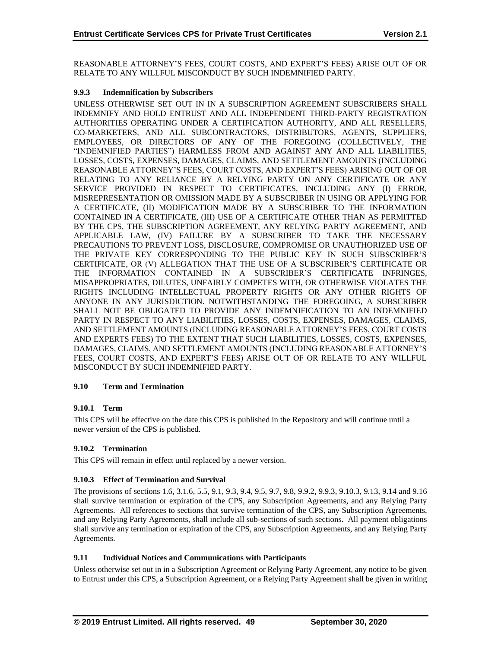REASONABLE ATTORNEY'S FEES, COURT COSTS, AND EXPERT'S FEES) ARISE OUT OF OR RELATE TO ANY WILLFUL MISCONDUCT BY SUCH INDEMNIFIED PARTY.

## **9.9.3 Indemnification by Subscribers**

UNLESS OTHERWISE SET OUT IN IN A SUBSCRIPTION AGREEMENT SUBSCRIBERS SHALL INDEMNIFY AND HOLD ENTRUST AND ALL INDEPENDENT THIRD-PARTY REGISTRATION AUTHORITIES OPERATING UNDER A CERTIFICATION AUTHORITY, AND ALL RESELLERS, CO-MARKETERS, AND ALL SUBCONTRACTORS, DISTRIBUTORS, AGENTS, SUPPLIERS, EMPLOYEES, OR DIRECTORS OF ANY OF THE FOREGOING (COLLECTIVELY, THE "INDEMNIFIED PARTIES") HARMLESS FROM AND AGAINST ANY AND ALL LIABILITIES, LOSSES, COSTS, EXPENSES, DAMAGES, CLAIMS, AND SETTLEMENT AMOUNTS (INCLUDING REASONABLE ATTORNEY'S FEES, COURT COSTS, AND EXPERT'S FEES) ARISING OUT OF OR RELATING TO ANY RELIANCE BY A RELYING PARTY ON ANY CERTIFICATE OR ANY SERVICE PROVIDED IN RESPECT TO CERTIFICATES, INCLUDING ANY (I) ERROR, MISREPRESENTATION OR OMISSION MADE BY A SUBSCRIBER IN USING OR APPLYING FOR A CERTIFICATE, (II) MODIFICATION MADE BY A SUBSCRIBER TO THE INFORMATION CONTAINED IN A CERTIFICATE, (III) USE OF A CERTIFICATE OTHER THAN AS PERMITTED BY THE CPS, THE SUBSCRIPTION AGREEMENT, ANY RELYING PARTY AGREEMENT, AND APPLICABLE LAW, (IV) FAILURE BY A SUBSCRIBER TO TAKE THE NECESSARY PRECAUTIONS TO PREVENT LOSS, DISCLOSURE, COMPROMISE OR UNAUTHORIZED USE OF THE PRIVATE KEY CORRESPONDING TO THE PUBLIC KEY IN SUCH SUBSCRIBER'S CERTIFICATE, OR (V) ALLEGATION THAT THE USE OF A SUBSCRIBER'S CERTIFICATE OR THE INFORMATION CONTAINED IN A SUBSCRIBER'S CERTIFICATE INFRINGES, MISAPPROPRIATES, DILUTES, UNFAIRLY COMPETES WITH, OR OTHERWISE VIOLATES THE RIGHTS INCLUDING INTELLECTUAL PROPERTY RIGHTS OR ANY OTHER RIGHTS OF ANYONE IN ANY JURISDICTION. NOTWITHSTANDING THE FOREGOING, A SUBSCRIBER SHALL NOT BE OBLIGATED TO PROVIDE ANY INDEMNIFICATION TO AN INDEMNIFIED PARTY IN RESPECT TO ANY LIABILITIES, LOSSES, COSTS, EXPENSES, DAMAGES, CLAIMS, AND SETTLEMENT AMOUNTS (INCLUDING REASONABLE ATTORNEY'S FEES, COURT COSTS AND EXPERTS FEES) TO THE EXTENT THAT SUCH LIABILITIES, LOSSES, COSTS, EXPENSES, DAMAGES, CLAIMS, AND SETTLEMENT AMOUNTS (INCLUDING REASONABLE ATTORNEY'S FEES, COURT COSTS, AND EXPERT'S FEES) ARISE OUT OF OR RELATE TO ANY WILLFUL MISCONDUCT BY SUCH INDEMNIFIED PARTY.

## **9.10 Term and Termination**

## **9.10.1 Term**

This CPS will be effective on the date this CPS is published in the Repository and will continue until a newer version of the CPS is published.

## **9.10.2 Termination**

This CPS will remain in effect until replaced by a newer version.

#### **9.10.3 Effect of Termination and Survival**

The provisions of sections 1.6, 3.1.6, 5.5, 9.1, 9.3, 9.4, 9.5, 9.7, 9.8, 9.9.2, 9.9.3, 9.10.3, 9.13, 9.14 and 9.16 shall survive termination or expiration of the CPS, any Subscription Agreements, and any Relying Party Agreements. All references to sections that survive termination of the CPS, any Subscription Agreements, and any Relying Party Agreements, shall include all sub-sections of such sections. All payment obligations shall survive any termination or expiration of the CPS, any Subscription Agreements, and any Relying Party Agreements.

## **9.11 Individual Notices and Communications with Participants**

Unless otherwise set out in in a Subscription Agreement or Relying Party Agreement, any notice to be given to Entrust under this CPS, a Subscription Agreement, or a Relying Party Agreement shall be given in writing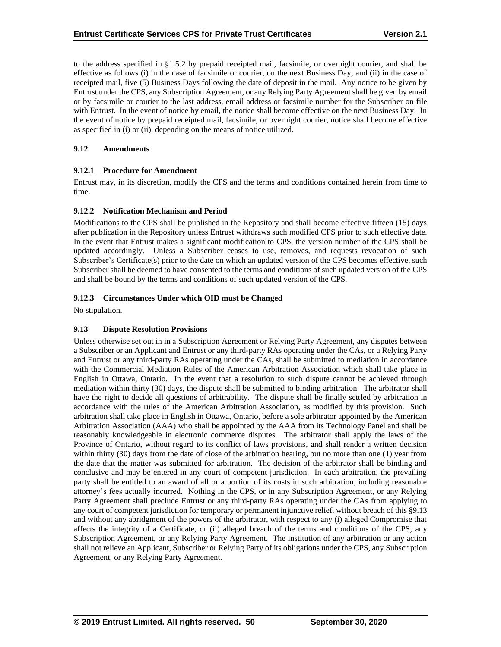to the address specified in §1.5.2 by prepaid receipted mail, facsimile, or overnight courier, and shall be effective as follows (i) in the case of facsimile or courier, on the next Business Day, and (ii) in the case of receipted mail, five (5) Business Days following the date of deposit in the mail. Any notice to be given by Entrust under the CPS, any Subscription Agreement, or any Relying Party Agreement shall be given by email or by facsimile or courier to the last address, email address or facsimile number for the Subscriber on file with Entrust. In the event of notice by email, the notice shall become effective on the next Business Day. In the event of notice by prepaid receipted mail, facsimile, or overnight courier, notice shall become effective as specified in (i) or (ii), depending on the means of notice utilized.

## **9.12 Amendments**

## **9.12.1 Procedure for Amendment**

Entrust may, in its discretion, modify the CPS and the terms and conditions contained herein from time to time.

## **9.12.2 Notification Mechanism and Period**

Modifications to the CPS shall be published in the Repository and shall become effective fifteen (15) days after publication in the Repository unless Entrust withdraws such modified CPS prior to such effective date. In the event that Entrust makes a significant modification to CPS, the version number of the CPS shall be updated accordingly. Unless a Subscriber ceases to use, removes, and requests revocation of such Subscriber's Certificate(s) prior to the date on which an updated version of the CPS becomes effective, such Subscriber shall be deemed to have consented to the terms and conditions of such updated version of the CPS and shall be bound by the terms and conditions of such updated version of the CPS.

## **9.12.3 Circumstances Under which OID must be Changed**

No stipulation.

## **9.13 Dispute Resolution Provisions**

Unless otherwise set out in in a Subscription Agreement or Relying Party Agreement, any disputes between a Subscriber or an Applicant and Entrust or any third-party RAs operating under the CAs, or a Relying Party and Entrust or any third-party RAs operating under the CAs, shall be submitted to mediation in accordance with the Commercial Mediation Rules of the American Arbitration Association which shall take place in English in Ottawa, Ontario. In the event that a resolution to such dispute cannot be achieved through mediation within thirty (30) days, the dispute shall be submitted to binding arbitration. The arbitrator shall have the right to decide all questions of arbitrability. The dispute shall be finally settled by arbitration in accordance with the rules of the American Arbitration Association, as modified by this provision. Such arbitration shall take place in English in Ottawa, Ontario, before a sole arbitrator appointed by the American Arbitration Association (AAA) who shall be appointed by the AAA from its Technology Panel and shall be reasonably knowledgeable in electronic commerce disputes. The arbitrator shall apply the laws of the Province of Ontario, without regard to its conflict of laws provisions, and shall render a written decision within thirty (30) days from the date of close of the arbitration hearing, but no more than one (1) year from the date that the matter was submitted for arbitration. The decision of the arbitrator shall be binding and conclusive and may be entered in any court of competent jurisdiction. In each arbitration, the prevailing party shall be entitled to an award of all or a portion of its costs in such arbitration, including reasonable attorney's fees actually incurred. Nothing in the CPS, or in any Subscription Agreement, or any Relying Party Agreement shall preclude Entrust or any third-party RAs operating under the CAs from applying to any court of competent jurisdiction for temporary or permanent injunctive relief, without breach of this §9.13 and without any abridgment of the powers of the arbitrator, with respect to any (i) alleged Compromise that affects the integrity of a Certificate, or (ii) alleged breach of the terms and conditions of the CPS, any Subscription Agreement, or any Relying Party Agreement. The institution of any arbitration or any action shall not relieve an Applicant, Subscriber or Relying Party of its obligations under the CPS, any Subscription Agreement, or any Relying Party Agreement.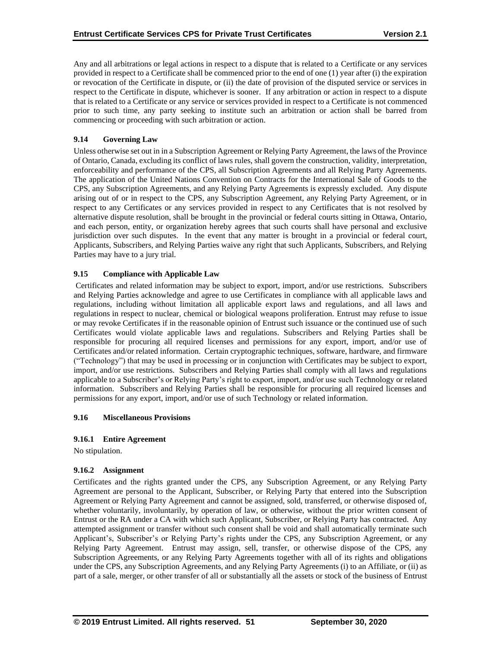Any and all arbitrations or legal actions in respect to a dispute that is related to a Certificate or any services provided in respect to a Certificate shall be commenced prior to the end of one (1) year after (i) the expiration or revocation of the Certificate in dispute, or (ii) the date of provision of the disputed service or services in respect to the Certificate in dispute, whichever is sooner. If any arbitration or action in respect to a dispute that is related to a Certificate or any service or services provided in respect to a Certificate is not commenced prior to such time, any party seeking to institute such an arbitration or action shall be barred from commencing or proceeding with such arbitration or action.

## **9.14 Governing Law**

Unless otherwise set out in in a Subscription Agreement or Relying Party Agreement, the laws of the Province of Ontario, Canada, excluding its conflict of laws rules, shall govern the construction, validity, interpretation, enforceability and performance of the CPS, all Subscription Agreements and all Relying Party Agreements. The application of the United Nations Convention on Contracts for the International Sale of Goods to the CPS, any Subscription Agreements, and any Relying Party Agreements is expressly excluded. Any dispute arising out of or in respect to the CPS, any Subscription Agreement, any Relying Party Agreement, or in respect to any Certificates or any services provided in respect to any Certificates that is not resolved by alternative dispute resolution, shall be brought in the provincial or federal courts sitting in Ottawa, Ontario, and each person, entity, or organization hereby agrees that such courts shall have personal and exclusive jurisdiction over such disputes. In the event that any matter is brought in a provincial or federal court, Applicants, Subscribers, and Relying Parties waive any right that such Applicants, Subscribers, and Relying Parties may have to a jury trial.

## **9.15 Compliance with Applicable Law**

Certificates and related information may be subject to export, import, and/or use restrictions. Subscribers and Relying Parties acknowledge and agree to use Certificates in compliance with all applicable laws and regulations, including without limitation all applicable export laws and regulations, and all laws and regulations in respect to nuclear, chemical or biological weapons proliferation. Entrust may refuse to issue or may revoke Certificates if in the reasonable opinion of Entrust such issuance or the continued use of such Certificates would violate applicable laws and regulations. Subscribers and Relying Parties shall be responsible for procuring all required licenses and permissions for any export, import, and/or use of Certificates and/or related information. Certain cryptographic techniques, software, hardware, and firmware ("Technology") that may be used in processing or in conjunction with Certificates may be subject to export, import, and/or use restrictions. Subscribers and Relying Parties shall comply with all laws and regulations applicable to a Subscriber's or Relying Party's right to export, import, and/or use such Technology or related information. Subscribers and Relying Parties shall be responsible for procuring all required licenses and permissions for any export, import, and/or use of such Technology or related information.

#### **9.16 Miscellaneous Provisions**

## **9.16.1 Entire Agreement**

No stipulation.

## **9.16.2 Assignment**

Certificates and the rights granted under the CPS, any Subscription Agreement, or any Relying Party Agreement are personal to the Applicant, Subscriber, or Relying Party that entered into the Subscription Agreement or Relying Party Agreement and cannot be assigned, sold, transferred, or otherwise disposed of, whether voluntarily, involuntarily, by operation of law, or otherwise, without the prior written consent of Entrust or the RA under a CA with which such Applicant, Subscriber, or Relying Party has contracted. Any attempted assignment or transfer without such consent shall be void and shall automatically terminate such Applicant's, Subscriber's or Relying Party's rights under the CPS, any Subscription Agreement, or any Relying Party Agreement. Entrust may assign, sell, transfer, or otherwise dispose of the CPS, any Subscription Agreements, or any Relying Party Agreements together with all of its rights and obligations under the CPS, any Subscription Agreements, and any Relying Party Agreements (i) to an Affiliate, or (ii) as part of a sale, merger, or other transfer of all or substantially all the assets or stock of the business of Entrust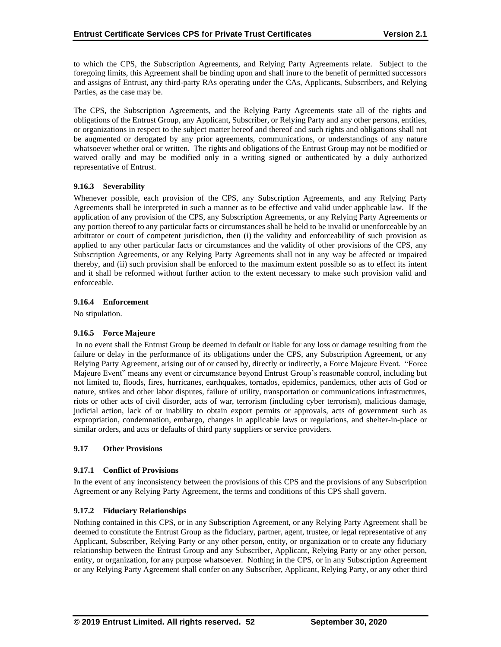to which the CPS, the Subscription Agreements, and Relying Party Agreements relate. Subject to the foregoing limits, this Agreement shall be binding upon and shall inure to the benefit of permitted successors and assigns of Entrust, any third-party RAs operating under the CAs, Applicants, Subscribers, and Relying Parties, as the case may be.

The CPS, the Subscription Agreements, and the Relying Party Agreements state all of the rights and obligations of the Entrust Group, any Applicant, Subscriber, or Relying Party and any other persons, entities, or organizations in respect to the subject matter hereof and thereof and such rights and obligations shall not be augmented or derogated by any prior agreements, communications, or understandings of any nature whatsoever whether oral or written. The rights and obligations of the Entrust Group may not be modified or waived orally and may be modified only in a writing signed or authenticated by a duly authorized representative of Entrust.

## **9.16.3 Severability**

Whenever possible, each provision of the CPS, any Subscription Agreements, and any Relying Party Agreements shall be interpreted in such a manner as to be effective and valid under applicable law. If the application of any provision of the CPS, any Subscription Agreements, or any Relying Party Agreements or any portion thereof to any particular facts or circumstances shall be held to be invalid or unenforceable by an arbitrator or court of competent jurisdiction, then (i) the validity and enforceability of such provision as applied to any other particular facts or circumstances and the validity of other provisions of the CPS, any Subscription Agreements, or any Relying Party Agreements shall not in any way be affected or impaired thereby, and (ii) such provision shall be enforced to the maximum extent possible so as to effect its intent and it shall be reformed without further action to the extent necessary to make such provision valid and enforceable.

#### **9.16.4 Enforcement**

No stipulation.

## **9.16.5 Force Majeure**

In no event shall the Entrust Group be deemed in default or liable for any loss or damage resulting from the failure or delay in the performance of its obligations under the CPS, any Subscription Agreement, or any Relying Party Agreement, arising out of or caused by, directly or indirectly, a Force Majeure Event. "Force Majeure Event" means any event or circumstance beyond Entrust Group's reasonable control, including but not limited to, floods, fires, hurricanes, earthquakes, tornados, epidemics, pandemics, other acts of God or nature, strikes and other labor disputes, failure of utility, transportation or communications infrastructures, riots or other acts of civil disorder, acts of war, terrorism (including cyber terrorism), malicious damage, judicial action, lack of or inability to obtain export permits or approvals, acts of government such as expropriation, condemnation, embargo, changes in applicable laws or regulations, and shelter-in-place or similar orders, and acts or defaults of third party suppliers or service providers.

#### **9.17 Other Provisions**

#### **9.17.1 Conflict of Provisions**

In the event of any inconsistency between the provisions of this CPS and the provisions of any Subscription Agreement or any Relying Party Agreement, the terms and conditions of this CPS shall govern.

#### **9.17.2 Fiduciary Relationships**

Nothing contained in this CPS, or in any Subscription Agreement, or any Relying Party Agreement shall be deemed to constitute the Entrust Group as the fiduciary, partner, agent, trustee, or legal representative of any Applicant, Subscriber, Relying Party or any other person, entity, or organization or to create any fiduciary relationship between the Entrust Group and any Subscriber, Applicant, Relying Party or any other person, entity, or organization, for any purpose whatsoever. Nothing in the CPS, or in any Subscription Agreement or any Relying Party Agreement shall confer on any Subscriber, Applicant, Relying Party, or any other third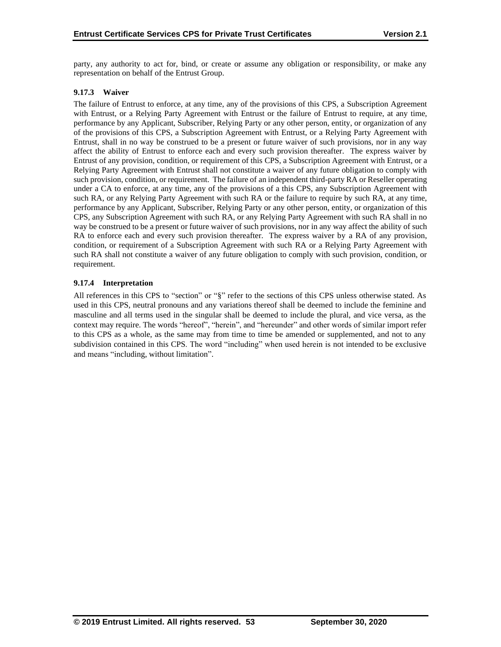party, any authority to act for, bind, or create or assume any obligation or responsibility, or make any representation on behalf of the Entrust Group.

## **9.17.3 Waiver**

The failure of Entrust to enforce, at any time, any of the provisions of this CPS, a Subscription Agreement with Entrust, or a Relying Party Agreement with Entrust or the failure of Entrust to require, at any time, performance by any Applicant, Subscriber, Relying Party or any other person, entity, or organization of any of the provisions of this CPS, a Subscription Agreement with Entrust, or a Relying Party Agreement with Entrust, shall in no way be construed to be a present or future waiver of such provisions, nor in any way affect the ability of Entrust to enforce each and every such provision thereafter. The express waiver by Entrust of any provision, condition, or requirement of this CPS, a Subscription Agreement with Entrust, or a Relying Party Agreement with Entrust shall not constitute a waiver of any future obligation to comply with such provision, condition, or requirement. The failure of an independent third-party RA or Reseller operating under a CA to enforce, at any time, any of the provisions of a this CPS, any Subscription Agreement with such RA, or any Relying Party Agreement with such RA or the failure to require by such RA, at any time, performance by any Applicant, Subscriber, Relying Party or any other person, entity, or organization of this CPS, any Subscription Agreement with such RA, or any Relying Party Agreement with such RA shall in no way be construed to be a present or future waiver of such provisions, nor in any way affect the ability of such RA to enforce each and every such provision thereafter. The express waiver by a RA of any provision, condition, or requirement of a Subscription Agreement with such RA or a Relying Party Agreement with such RA shall not constitute a waiver of any future obligation to comply with such provision, condition, or requirement.

## **9.17.4 Interpretation**

All references in this CPS to "section" or "§" refer to the sections of this CPS unless otherwise stated. As used in this CPS, neutral pronouns and any variations thereof shall be deemed to include the feminine and masculine and all terms used in the singular shall be deemed to include the plural, and vice versa, as the context may require. The words "hereof", "herein", and "hereunder" and other words of similar import refer to this CPS as a whole, as the same may from time to time be amended or supplemented, and not to any subdivision contained in this CPS. The word "including" when used herein is not intended to be exclusive and means "including, without limitation".